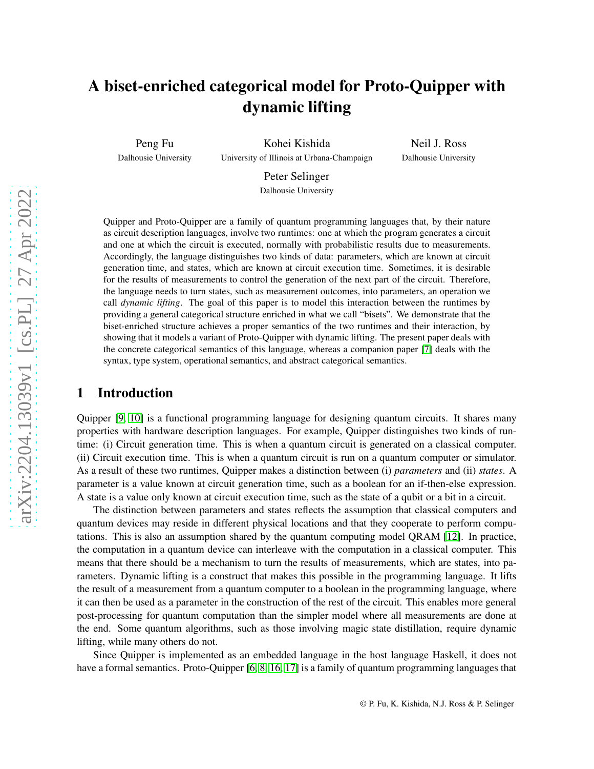## A biset-enriched categorical model for Proto-Quipper with dynamic lifting

Peng Fu

Dalhousie University

Kohei Kishida University of Illinois at Urbana-Champaign

Neil J. Ross Dalhousie University

Peter Selinger Dalhousie University

Quipper and Proto-Quipper are a family of quantum programming languages that, by their nature as circuit description languages, involve two runtimes: one at which the program generates a circuit and one at which the circuit is executed, normally with probabilistic results due to measurements. Accordingly, the language distinguishes two kinds of data: parameters, which are known at circuit generation time, and states, which are known at circuit execution time. Sometimes, it is desirable for the results of measurements to control the generation of the next part of the circuit. Therefore, the language needs to turn states, such as measurement outcomes, into parameters, an operation we call *dynamic lifting*. The goal of this paper is to model this interaction between the runtimes by providing a general categorical structure enriched in what we call "bisets". We demonstrate that the biset-enriched structure achieves a proper semantics of the two runtimes and their interaction, by showing that it models a variant of Proto-Quipper with dynamic lifting. The present paper deals with the concrete categorical semantics of this language, whereas a companion paper [\[7\]](#page-12-0) deals with the syntax, type system, operational semantics, and abstract categorical semantics.

### 1 Introduction

Quipper [\[9,](#page-12-1) [10\]](#page-12-2) is a functional programming language for designing quantum circuits. It shares many properties with hardware description languages. For example, Quipper distinguishes two kinds of runtime: (i) Circuit generation time. This is when a quantum circuit is generated on a classical computer. (ii) Circuit execution time. This is when a quantum circuit is run on a quantum computer or simulator. As a result of these two runtimes, Quipper makes a distinction between (i) *parameters* and (ii) *states*. A parameter is a value known at circuit generation time, such as a boolean for an if-then-else expression. A state is a value only known at circuit execution time, such as the state of a qubit or a bit in a circuit.

The distinction between parameters and states reflects the assumption that classical computers and quantum devices may reside in different physical locations and that they cooperate to perform computations. This is also an assumption shared by the quantum computing model QRAM [\[12\]](#page-12-3). In practice, the computation in a quantum device can interleave with the computation in a classical computer. This means that there should be a mechanism to turn the results of measurements, which are states, into parameters. Dynamic lifting is a construct that makes this possible in the programming language. It lifts the result of a measurement from a quantum computer to a boolean in the programming language, where it can then be used as a parameter in the construction of the rest of the circuit. This enables more general post-processing for quantum computation than the simpler model where all measurements are done at the end. Some quantum algorithms, such as those involving magic state distillation, require dynamic lifting, while many others do not.

Since Quipper is implemented as an embedded language in the host language Haskell, it does not have a formal semantics. Proto-Quipper [\[6,](#page-12-4) [8,](#page-12-5) [16,](#page-12-6) [17\]](#page-12-7) is a family of quantum programming languages that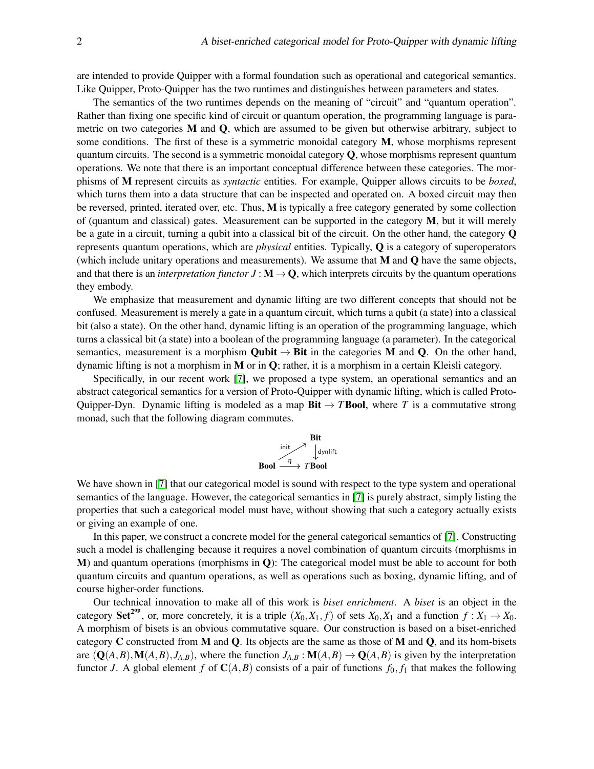are intended to provide Quipper with a formal foundation such as operational and categorical semantics. Like Quipper, Proto-Quipper has the two runtimes and distinguishes between parameters and states.

The semantics of the two runtimes depends on the meaning of "circuit" and "quantum operation". Rather than fixing one specific kind of circuit or quantum operation, the programming language is parametric on two categories  $M$  and  $Q$ , which are assumed to be given but otherwise arbitrary, subject to some conditions. The first of these is a symmetric monoidal category M, whose morphisms represent quantum circuits. The second is a symmetric monoidal category  $Q$ , whose morphisms represent quantum operations. We note that there is an important conceptual difference between these categories. The morphisms of M represent circuits as *syntactic* entities. For example, Quipper allows circuits to be *boxed*, which turns them into a data structure that can be inspected and operated on. A boxed circuit may then be reversed, printed, iterated over, etc. Thus, M is typically a free category generated by some collection of (quantum and classical) gates. Measurement can be supported in the category  $M$ , but it will merely be a gate in a circuit, turning a qubit into a classical bit of the circuit. On the other hand, the category Q represents quantum operations, which are *physical* entities. Typically, Q is a category of superoperators (which include unitary operations and measurements). We assume that  $M$  and  $Q$  have the same objects, and that there is an *interpretation functor*  $J : M \to Q$ , which interprets circuits by the quantum operations they embody.

We emphasize that measurement and dynamic lifting are two different concepts that should not be confused. Measurement is merely a gate in a quantum circuit, which turns a qubit (a state) into a classical bit (also a state). On the other hand, dynamic lifting is an operation of the programming language, which turns a classical bit (a state) into a boolean of the programming language (a parameter). In the categorical semantics, measurement is a morphism **Qubit**  $\rightarrow$  **Bit** in the categories **M** and **Q**. On the other hand, dynamic lifting is not a morphism in M or in Q; rather, it is a morphism in a certain Kleisli category.

Specifically, in our recent work [\[7\]](#page-12-0), we proposed a type system, an operational semantics and an abstract categorical semantics for a version of Proto-Quipper with dynamic lifting, which is called Proto-Quipper-Dyn. Dynamic lifting is modeled as a map  $\text{Bit} \rightarrow T \text{Bool}$ , where *T* is a commutative strong monad, such that the following diagram commutes.



We have shown in [\[7\]](#page-12-0) that our categorical model is sound with respect to the type system and operational semantics of the language. However, the categorical semantics in [\[7\]](#page-12-0) is purely abstract, simply listing the properties that such a categorical model must have, without showing that such a category actually exists or giving an example of one.

In this paper, we construct a concrete model for the general categorical semantics of [\[7\]](#page-12-0). Constructing such a model is challenging because it requires a novel combination of quantum circuits (morphisms in M) and quantum operations (morphisms in Q): The categorical model must be able to account for both quantum circuits and quantum operations, as well as operations such as boxing, dynamic lifting, and of course higher-order functions.

Our technical innovation to make all of this work is *biset enrichment*. A *biset* is an object in the category **Set<sup>2°P</sup>**, or, more concretely, it is a triple  $(X_0, X_1, f)$  of sets  $X_0, X_1$  and a function  $f: X_1 \to X_0$ . A morphism of bisets is an obvious commutative square. Our construction is based on a biset-enriched category  $C$  constructed from M and  $Q$ . Its objects are the same as those of M and  $Q$ , and its hom-bisets are  $(Q(A,B), M(A,B), J_{A,B})$ , where the function  $J_{A,B}: M(A,B) \to Q(A,B)$  is given by the interpretation functor *J*. A global element *f* of  $C(A, B)$  consists of a pair of functions  $f_0, f_1$  that makes the following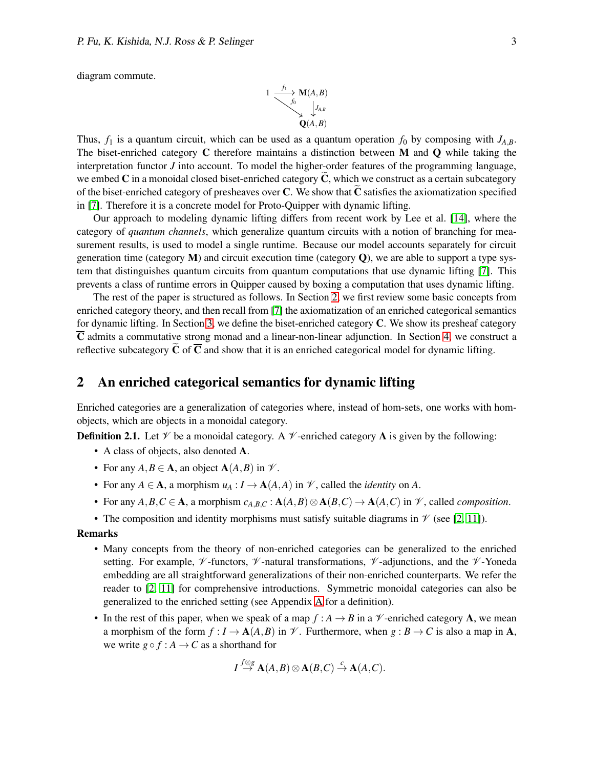diagram commute.

$$
\begin{array}{c}\n1 \longrightarrow^{f_1} \mathbf{M}(A,B) \\
\downarrow^{f_0} \qquad \qquad \downarrow^{f_{A,B}} \\
\mathbf{Q}(A,B)\n\end{array}
$$

Thus,  $f_1$  is a quantum circuit, which can be used as a quantum operation  $f_0$  by composing with  $J_{A,B}$ . The biset-enriched category  $C$  therefore maintains a distinction between  $M$  and  $Q$  while taking the interpretation functor *J* into account. To model the higher-order features of the programming language, we embed C in a monoidal closed biset-enriched category  $\tilde{C}$ , which we construct as a certain subcategory of the biset-enriched category of presheaves over  $C$ . We show that  $\tilde{C}$  satisfies the axiomatization specified in [\[7\]](#page-12-0). Therefore it is a concrete model for Proto-Quipper with dynamic lifting.

Our approach to modeling dynamic lifting differs from recent work by Lee et al. [\[14\]](#page-12-8), where the category of *quantum channels*, which generalize quantum circuits with a notion of branching for measurement results, is used to model a single runtime. Because our model accounts separately for circuit generation time (category  $M$ ) and circuit execution time (category  $Q$ ), we are able to support a type system that distinguishes quantum circuits from quantum computations that use dynamic lifting [\[7\]](#page-12-0). This prevents a class of runtime errors in Quipper caused by boxing a computation that uses dynamic lifting.

The rest of the paper is structured as follows. In Section [2,](#page-2-0) we first review some basic concepts from enriched category theory, and then recall from [\[7\]](#page-12-0) the axiomatization of an enriched categorical semantics for dynamic lifting. In Section [3,](#page-5-0) we define the biset-enriched category C. We show its presheaf category  $\overline{C}$  admits a commutative strong monad and a linear-non-linear adjunction. In Section [4,](#page-8-0) we construct a reflective subcategory  $\tilde{C}$  of  $\overline{C}$  and show that it is an enriched categorical model for dynamic lifting.

#### <span id="page-2-0"></span>2 An enriched categorical semantics for dynamic lifting

Enriched categories are a generalization of categories where, instead of hom-sets, one works with homobjects, which are objects in a monoidal category.

**Definition 2.1.** Let  $\mathcal V$  be a monoidal category. A  $\mathcal V$ -enriched category **A** is given by the following:

- A class of objects, also denoted A.
- For any  $A, B \in \mathbf{A}$ , an object  $\mathbf{A}(A, B)$  in  $\mathcal{V}$ .
- For any  $A \in \mathbf{A}$ , a morphism  $u_A : I \to \mathbf{A}(A, A)$  in  $\mathcal{V}$ , called the *identity* on A.
- For any  $A, B, C \in \mathbf{A}$ , a morphism  $c_{A,B,C} : \mathbf{A}(A,B) \otimes \mathbf{A}(B,C) \to \mathbf{A}(A,C)$  in  $\mathcal{V}$ , called *composition*.
- The composition and identity morphisms must satisfy suitable diagrams in  $\mathcal V$  (see [\[2,](#page-12-9) [11\]](#page-12-10)).

#### Remarks

- Many concepts from the theory of non-enriched categories can be generalized to the enriched setting. For example,  $\mathcal V$ -functors,  $\mathcal V$ -natural transformations,  $\mathcal V$ -adjunctions, and the  $\mathcal V$ -Yoneda embedding are all straightforward generalizations of their non-enriched counterparts. We refer the reader to [\[2,](#page-12-9) [11\]](#page-12-10) for comprehensive introductions. Symmetric monoidal categories can also be generalized to the enriched setting (see Appendix [A](#page-13-0) for a definition).
- In the rest of this paper, when we speak of a map  $f : A \to B$  in a  $\mathcal V$ -enriched category **A**, we mean a morphism of the form  $f: I \to \mathbf{A}(A, B)$  in  $\mathcal V$ . Furthermore, when  $g: B \to C$  is also a map in A, we write  $g \circ f : A \to C$  as a shorthand for

$$
I \stackrel{f \otimes g}{\to} \mathbf{A}(A,B) \otimes \mathbf{A}(B,C) \stackrel{c}{\to} \mathbf{A}(A,C).
$$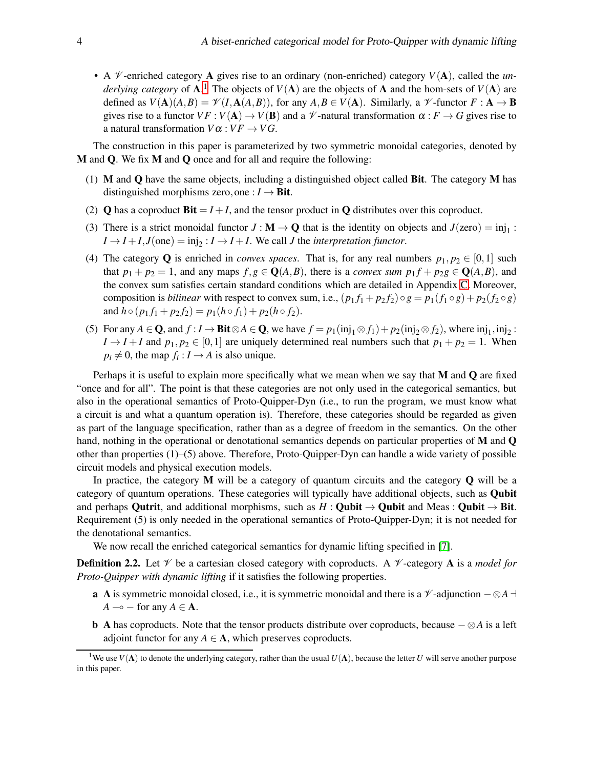• A  $\mathcal V$ -enriched category **A** gives rise to an ordinary (non-enriched) category  $V(A)$ , called the *underlying category* of **A**.<sup>[1](#page-3-0)</sup> The objects of  $V(A)$  are the objects of **A** and the hom-sets of  $V(A)$  are defined as  $V(A)(A, B) = \mathcal{V}(I, A(A, B))$ , for any  $A, B \in V(A)$ . Similarly, a  $\mathcal{V}$ -functor  $F : A \to B$ gives rise to a functor  $VF : V(\mathbf{A}) \to V(\mathbf{B})$  and a  $\mathcal V$ -natural transformation  $\alpha : F \to G$  gives rise to a natural transformation  $V\alpha$  :  $VF \rightarrow VG$ .

The construction in this paper is parameterized by two symmetric monoidal categories, denoted by M and Q. We fix M and Q once and for all and require the following:

- (1)  $M$  and  $Q$  have the same objects, including a distinguished object called Bit. The category  $M$  has distinguished morphisms zero, one :  $I \rightarrow$  Bit.
- (2) **Q** has a coproduct  $\textbf{Bit} = I + I$ , and the tensor product in **Q** distributes over this coproduct.
- (3) There is a strict monoidal functor  $J : \mathbf{M} \to \mathbf{Q}$  that is the identity on objects and  $J(zero) = inj_1$ :  $I \rightarrow I + I$ ,  $J(\text{one}) = \text{inj}_2 : I \rightarrow I + I$ . We call *J* the *interpretation functor*.
- (4) The category Q is enriched in *convex spaces*. That is, for any real numbers  $p_1, p_2 \in [0, 1]$  such that  $p_1 + p_2 = 1$ , and any maps  $f, g \in \mathbb{Q}(A, B)$ , there is a *convex sum*  $p_1 f + p_2 g \in \mathbb{Q}(A, B)$ , and the convex sum satisfies certain standard conditions which are detailed in Appendix [C.](#page-15-0) Moreover, composition is *bilinear* with respect to convex sum, i.e.,  $(p_1 f_1 + p_2 f_2) \circ g = p_1(f_1 \circ g) + p_2(f_2 \circ g)$ and  $h \circ (p_1 f_1 + p_2 f_2) = p_1(h \circ f_1) + p_2(h \circ f_2).$
- (5) For any  $A \in \mathbf{Q}$ , and  $f : I \to \textbf{Bit} \otimes A \in \mathbf{Q}$ , we have  $f = p_1(\text{inj}_1 \otimes f_1) + p_2(\text{inj}_2 \otimes f_2)$ , where  $\text{inj}_1, \text{inj}_2$ :  $I \rightarrow I + I$  and  $p_1, p_2 \in [0, 1]$  are uniquely determined real numbers such that  $p_1 + p_2 = 1$ . When  $p_i \neq 0$ , the map  $f_i: I \to A$  is also unique.

Perhaps it is useful to explain more specifically what we mean when we say that  $M$  and  $Q$  are fixed "once and for all". The point is that these categories are not only used in the categorical semantics, but also in the operational semantics of Proto-Quipper-Dyn (i.e., to run the program, we must know what a circuit is and what a quantum operation is). Therefore, these categories should be regarded as given as part of the language specification, rather than as a degree of freedom in the semantics. On the other hand, nothing in the operational or denotational semantics depends on particular properties of M and Q other than properties (1)–(5) above. Therefore, Proto-Quipper-Dyn can handle a wide variety of possible circuit models and physical execution models.

In practice, the category  $M$  will be a category of quantum circuits and the category  $Q$  will be a category of quantum operations. These categories will typically have additional objects, such as Qubit and perhaps Qutrit, and additional morphisms, such as  $H : \text{Qubit} \rightarrow \text{Qubit}$  and Meas : Qubit  $\rightarrow \text{Bit}$ . Requirement (5) is only needed in the operational semantics of Proto-Quipper-Dyn; it is not needed for the denotational semantics.

We now recall the enriched categorical semantics for dynamic lifting specified in [\[7\]](#page-12-0).

<span id="page-3-2"></span><span id="page-3-1"></span>**Definition 2.2.** Let  $\mathcal V$  be a cartesian closed category with coproducts. A  $\mathcal V$ -category **A** is a *model for Proto-Quipper with dynamic lifting* if it satisfies the following properties.

- **a** A is symmetric monoidal closed, i.e., it is symmetric monoidal and there is a  $\mathcal{V}$ -adjunction  $-\otimes A$  ⊣  $A \rightarrow -$  for any  $A \in \mathbf{A}$ .
- b A has coproducts. Note that the tensor products distribute over coproducts, because − ⊗*A* is a left adjoint functor for any  $A \in \mathbf{A}$ , which preserves coproducts.

<span id="page-3-0"></span><sup>&</sup>lt;sup>1</sup>We use  $V(A)$  to denote the underlying category, rather than the usual  $U(A)$ , because the letter *U* will serve another purpose in this paper.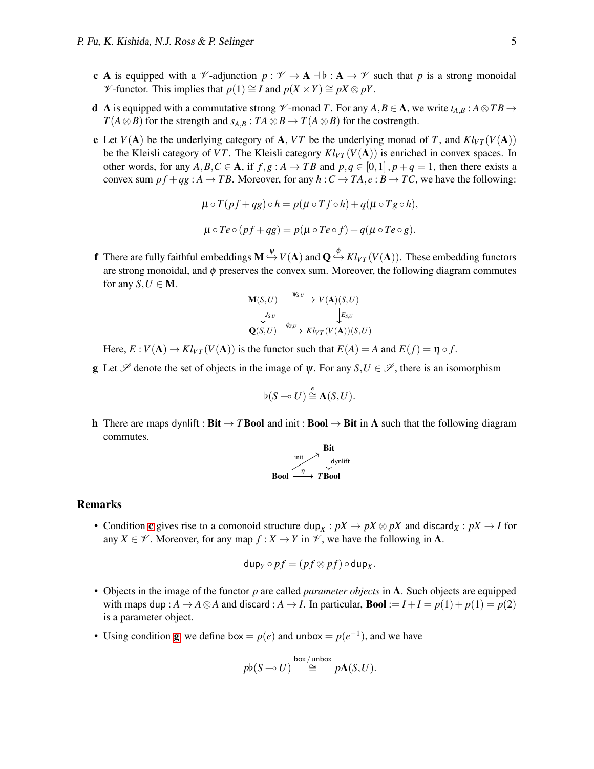- <span id="page-4-0"></span>c A is equipped with a  $\mathcal{V}$ -adjunction  $p : \mathcal{V} \to \mathbf{A} \to \mathcal{V}$  are the that p is a strong monoidal *V* -functor. This implies that  $p(1) \cong I$  and  $p(X \times Y) \cong pX \otimes pY$ .
- <span id="page-4-4"></span>d A is equipped with a commutative strong  $\mathcal V$ -monad *T*. For any  $A, B \in \mathbf{A}$ , we write  $t_{A,B} : A \otimes TB \rightarrow$ *T*(*A*⊗*B*) for the strength and *s*<sub>*A*,*B*</sub> : *TA*⊗*B* → *T*(*A*⊗*B*) for the costrength.
- e Let  $V(A)$  be the underlying category of A, VT be the underlying monad of T, and  $Kl_{VT}(V(A))$ be the Kleisli category of *VT*. The Kleisli category  $Kl_{VT}(V(A))$  is enriched in convex spaces. In other words, for any  $A, B, C \in \mathbf{A}$ , if  $f, g : A \to TB$  and  $p, q \in [0, 1], p + q = 1$ , then there exists a convex sum  $pf + qg : A \rightarrow TB$ . Moreover, for any  $h : C \rightarrow TA, e : B \rightarrow TC$ , we have the following:

$$
\mu \circ T(pf+qg) \circ h = p(\mu \circ Tf \circ h) + q(\mu \circ Tg \circ h),
$$
  

$$
\mu \circ Te \circ (pf+qg) = p(\mu \circ Te \circ f) + q(\mu \circ Te \circ g).
$$

<span id="page-4-2"></span>**f** There are fully faithful embeddings  $M \stackrel{\psi}{\hookrightarrow} V(A)$  and  $Q \stackrel{\phi}{\hookrightarrow} Kl_{VT}(V(A))$ . These embedding functors are strong monoidal, and  $\phi$  preserves the convex sum. Moreover, the following diagram commutes for any  $S, U \in M$ .

$$
\begin{array}{ccc}\n\mathbf{M}(S,U) & \xrightarrow{\Psi_{S,U}} & V(\mathbf{A})(S,U) \\
\downarrow_{S,U} & & \downarrow_{S,U} \\
\mathbf{Q}(S,U) & \xrightarrow{\phi_{S,U}} & Kl_{VT}(V(\mathbf{A}))(S,U)\n\end{array}
$$

Here,  $E: V(A) \to Kl_{VT}(V(A))$  is the functor such that  $E(A) = A$  and  $E(f) = \eta \circ f$ .

<span id="page-4-1"></span>g Let  $\mathscr S$  denote the set of objects in the image of  $\psi$ . For any  $S, U \in \mathscr S$ , there is an isomorphism

$$
\flat(S \multimap U) \stackrel{e}{\cong} \mathbf{A}(S, U).
$$

<span id="page-4-3"></span>h There are maps dynlift : **Bit**  $\rightarrow$  **TBool** and init : **Bool**  $\rightarrow$  **Bit** in A such that the following diagram commutes.



#### Remarks

• Condition [c](#page-4-0) gives rise to a comonoid structure  $\text{dup}_X: pX \to pX \otimes pX$  and  $\text{discard}_X: pX \to I$  for any *X*  $\in \mathcal{V}$ . Moreover, for any map  $f: X \to Y$  in  $\mathcal{V}$ , we have the following in **A**.

$$
\mathsf{dup}_{Y} \circ pf = (pf \otimes pf) \circ \mathsf{dup}_{X}.
$$

- Objects in the image of the functor *p* are called *parameter objects* in A. Such objects are equipped with maps dup :  $A \rightarrow A \otimes A$  and discard :  $A \rightarrow I$ . In particular, **Bool** :=  $I + I = p(1) + p(1) = p(2)$ is a parameter object.
- Usin[g](#page-4-1) condition **g**, we define box =  $p(e)$  and unbox =  $p(e^{-1})$ , and we have

$$
p\flat(S\multimap U)\stackrel{{\rm box}\ {\rm (unbox)}}{\cong} p{\bf A}(S,U).
$$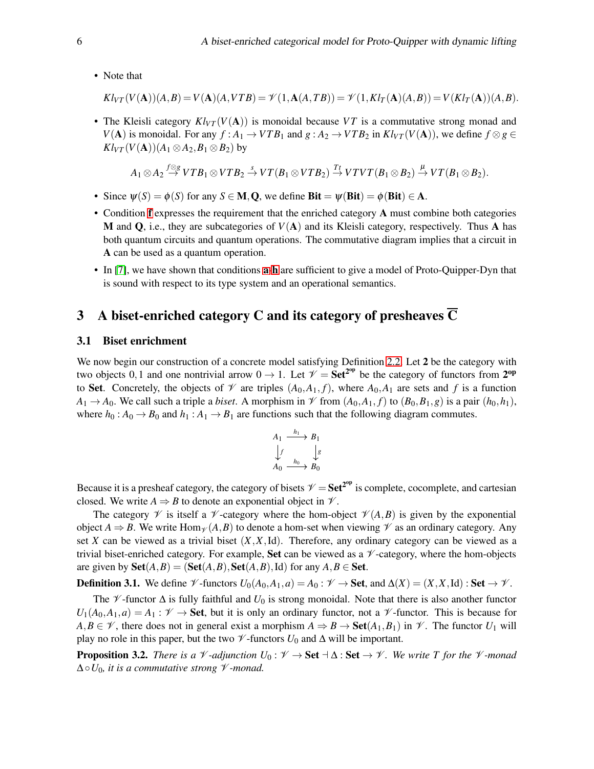• Note that

$$
Kl_{VT}(V(\mathbf{A}))(A,B) = V(\mathbf{A})(A,VTB) = \mathcal{V}(1,\mathbf{A}(A,TB)) = \mathcal{V}(1,Kl_T(\mathbf{A})(A,B)) = V(Kl_T(\mathbf{A}))(A,B).
$$

• The Kleisli category  $Kl_{VT}(V(A))$  is monoidal because VT is a commutative strong monad and *V*(**A**) is monoidal. For any *f* : *A*<sub>1</sub> → *VTB*<sub>1</sub> and *g* : *A*<sub>2</sub> → *VTB*<sub>2</sub> in  $Kl_{VT}(V(A))$ , we define *f* ⊗ *g* ∈  $Kl_{VT}(V(A))(A_1 \otimes A_2, B_1 \otimes B_2)$  by

$$
A_1 \otimes A_2 \stackrel{f \otimes g}{\rightarrow} VTB_1 \otimes VTB_2 \stackrel{s}{\rightarrow} VT(B_1 \otimes VTB_2) \stackrel{T_f}{\rightarrow} VTVT(B_1 \otimes B_2) \stackrel{\mu}{\rightarrow} VT(B_1 \otimes B_2).
$$

- Since  $\psi(S) = \phi(S)$  for any  $S \in M, Q$ , we define **Bit** =  $\psi(Bit) = \phi(Bit) \in A$ .
- Condition [f](#page-4-2) expresses the requirement that the enriched category A must combine both categories M and Q, i.e., they are subcategories of *V*(A) and its Kleisli category, respectively. Thus A has both quantum circuits and quantum operations. The commutative diagram implies that a circuit in A can be used as a quantum operation.
- In [\[7\]](#page-12-0), we have shown that conditions [a](#page-3-1)-[h](#page-4-3) are sufficient to give a model of Proto-Quipper-Dyn that is sound with respect to its type system and an operational semantics.

## <span id="page-5-0"></span>3 A biset-enriched category C and its category of presheaves  $\overline{C}$

#### 3.1 Biset enrichment

We now begin our construction of a concrete model satisfying Definition [2.2.](#page-3-2) Let 2 be the category with two objects 0,1 and one nontrivial arrow  $0 \to 1$ . Let  $\mathcal{V} = \mathbf{Set}^{2^{op}}$  be the category of functors from  $2^{op}$ to Set. Concretely, the objects of  $\mathcal V$  are triples  $(A_0, A_1, f)$ , where  $A_0, A_1$  are sets and f is a function  $A_1 \rightarrow A_0$ . We call such a triple a *biset*. A morphism in  $\mathscr V$  from  $(A_0, A_1, f)$  to  $(B_0, B_1, g)$  is a pair  $(h_0, h_1)$ , where  $h_0: A_0 \to B_0$  and  $h_1: A_1 \to B_1$  are functions such that the following diagram commutes.

$$
A_1 \xrightarrow{h_1} B_1
$$
  
\n
$$
\downarrow f \qquad \downarrow g
$$
  
\n
$$
A_0 \xrightarrow{h_0} B_0
$$

Because it is a presheaf category, the category of bisets  $V = Set^{2^{op}}$  is complete, cocomplete, and cartesian closed. We write  $A \Rightarrow B$  to denote an exponential object in  $\mathcal V$ .

The category  $\mathscr V$  is itself a  $\mathscr V$ -category where the hom-object  $\mathscr V(A,B)$  is given by the exponential object  $A \Rightarrow B$ . We write Hom<sub> $\gamma$ </sub> (A, B) to denote a hom-set when viewing  $\gamma$  as an ordinary category. Any set *X* can be viewed as a trivial biset  $(X, X, Id)$ . Therefore, any ordinary category can be viewed as a trivial biset-enriched category. For example, **Set** can be viewed as a  $\mathcal V$ -category, where the hom-objects are given by  $\textbf{Set}(A, B) = (\textbf{Set}(A, B), \textbf{Set}(A, B), \text{Id})$  for any  $A, B \in \textbf{Set}$ .

**Definition 3.1.** We define  $\mathcal{V}$ -functors  $U_0(A_0, A_1, a) = A_0 : \mathcal{V} \to \mathbf{Set}$ , and  $\Delta(X) = (X, X, \text{Id}) : \mathbf{Set} \to \mathcal{V}$ .

The  $\mathscr V$ -functor  $\Delta$  is fully faithful and  $U_0$  is strong monoidal. Note that there is also another functor  $U_1(A_0, A_1, a) = A_1 : \mathcal{V} \to \mathbf{Set}$ , but it is only an ordinary functor, not a  $\mathcal{V}$ -functor. This is because for *A*,*B* ∈  $\mathcal{V}$ , there does not in general exist a morphism  $A \Rightarrow B \rightarrow \text{Set}(A_1, B_1)$  in  $\mathcal{V}$ . The functor *U*<sub>1</sub> will play no role in this paper, but the two  $\mathcal V$ -functors  $U_0$  and  $\Delta$  will be important.

**Proposition 3.2.** *There is a*  $\mathcal V$  *-adjunction*  $U_0 : \mathcal V \to \mathbf{Set} \dashv \Delta$  :  $\mathbf{Set} \to \mathcal V$ *. We write T* for the  $\mathcal V$  *-monad* ∆◦*U*0*, it is a commutative strong* V *-monad.*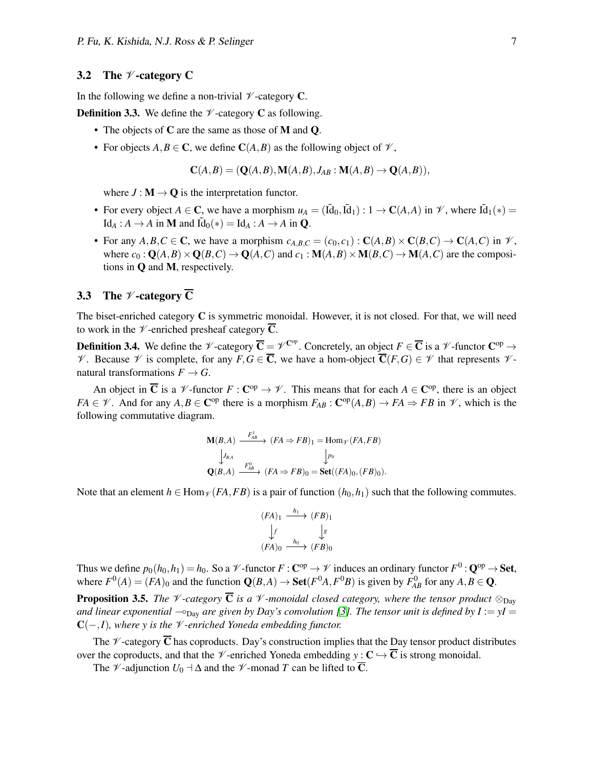#### 3.2 The  $\mathscr V$ -category C

In the following we define a non-trivial  $\not\!\!\!\!\nu$ -category **C**.

**Definition 3.3.** We define the  $\mathcal V$ -category **C** as following.

- The objects of C are the same as those of M and O.
- For objects  $A, B \in \mathbb{C}$ , we define  $\mathbb{C}(A, B)$  as the following object of  $\mathcal{V}$ ,

$$
\mathbf{C}(A,B) = (\mathbf{Q}(A,B), \mathbf{M}(A,B), J_{AB} : \mathbf{M}(A,B) \to \mathbf{Q}(A,B)),
$$

where  $J : M \to Q$  is the interpretation functor.

- For every object  $A \in \mathbb{C}$ , we have a morphism  $u_A = (\tilde{Id}_0, \tilde{Id}_1) : 1 \to \mathbb{C}(A, A)$  in  $\mathcal{V}$ , where  $\tilde{Id}_1(*) =$  $\text{Id}_A : A \to A$  in **M** and  $\tilde{\text{Id}}_0(*) = \text{Id}_A : A \to A$  in **Q**.
- For any  $A, B, C \in \mathbb{C}$ , we have a morphism  $c_{A,B,C} = (c_0, c_1) : \mathbb{C}(A, B) \times \mathbb{C}(B, C) \to \mathbb{C}(A, C)$  in  $\mathcal{V}$ , where  $c_0$ :  $Q(A, B) \times Q(B, C) \rightarrow Q(A, C)$  and  $c_1$ :  $M(A, B) \times M(B, C) \rightarrow M(A, C)$  are the compositions in Q and M, respectively.

#### 3.3 The  $\mathscr V$ -category  $\overline{C}$

The biset-enriched category C is symmetric monoidal. However, it is not closed. For that, we will need to work in the  $\mathcal V$ -enriched presheaf category  $\overline{\mathbf{C}}$ .

**Definition 3.4.** We define the  $\mathscr{V}$ -category  $\overline{\mathbf{C}} = \mathscr{V}^{\mathbf{C}^{\mathrm{op}}}$ . Concretely, an object  $F \in \overline{\mathbf{C}}$  is a  $\mathscr{V}$ -functor  $\mathbf{C}^{\mathrm{op}} \to$ *V*. Because *V* is complete, for any *F*, *G* ∈  $\overline{C}$ , we have a hom-object  $\overline{C}(F, G) \in \mathcal{V}$  that represents *V*natural transformations  $F \to G$ .

An object in  $\overline{C}$  is a  $\mathscr V$ -functor  $F: C^{op} \to \mathscr V$ . This means that for each  $A \in C^{op}$ , there is an object  $FA \in \mathcal{V}$ . And for any  $A, B \in \mathbb{C}^{op}$  there is a morphism  $F_{AB} : \mathbb{C}^{op}(A, B) \to FA \Rightarrow FB$  in  $\mathcal{V}$ , which is the following commutative diagram.

$$
\mathbf{M}(B,A) \xrightarrow{F_{AB}^1} (FA \Rightarrow FB)_1 = \text{Hom}_{\mathscr{V}}(FA, FB)
$$
  
\n
$$
\downarrow J_{B,A} \qquad \qquad \downarrow p_0
$$
  
\n
$$
\mathbf{Q}(B,A) \xrightarrow{F_{AB}^0} (FA \Rightarrow FB)_0 = \text{Set}((FA)_0, (FB)_0).
$$

Note that an element  $h \in \text{Hom}_{\mathcal{V}}(FA, FB)$  is a pair of function  $(h_0, h_1)$  such that the following commutes.

$$
(FA)_1 \xrightarrow{h_1} (FB)_1
$$
  
\n
$$
\downarrow f \qquad \qquad \downarrow g
$$
  
\n
$$
(FA)_0 \xrightarrow{h_0} (FB)_0
$$

Thus we define  $p_0(h_0,h_1)=h_0.$  So a  $\mathscr V$  -functor  $F:\mathbf C^{\mathrm{op}}\to\mathscr V$  induces an ordinary functor  $F^0:\mathbf Q^{\mathrm{op}}\to\mathbf{Set},$ where  $F^0(A) = (FA)_0$  and the function  $\mathbf{Q}(B,A) \to \mathbf{Set}(F^0A, F^0B)$  is given by  $F^0_{AB}$  for any  $A, B \in \mathbf{Q}$ .

**Proposition 3.5.** *The*  $\mathcal V$ -category  $\overline{\mathbf{C}}$  *is a*  $\mathcal V$ -monoidal closed category, where the tensor product  $\otimes_{\text{Day}}$ *and linear exponential*  $\sim_{\text{Day}}$  *are given by Day's convolution [\[3\]](#page-12-11). The tensor unit is defined by I* :=  $yI =$ C(−,*I*)*, where y is the* V *-enriched Yoneda embedding functor.*

The  $\mathscr V$ -category  $\overline{\mathbf{C}}$  has coproducts. Day's construction implies that the Day tensor product distributes over the coproducts, and that the  $\mathscr V$ -enriched Yoneda embedding  $y : C \hookrightarrow \overline{C}$  is strong monoidal.

The  $\mathscr V$ -adjunction  $U_0$   $\negthinspace \perp \Delta$  and the  $\mathscr V$ -monad  $T$  can be lifted to  $\overline{\mathbb C}$ .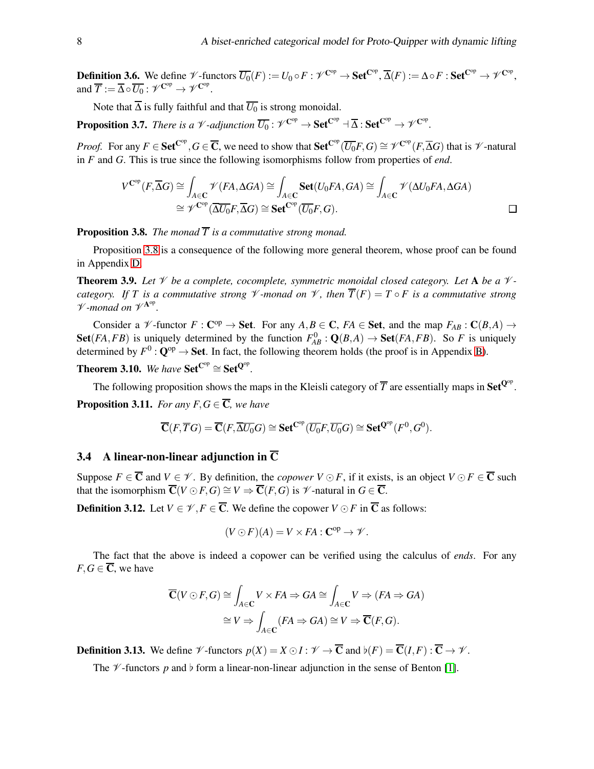**Definition 3.6.** We define  $\mathscr{V}$ -functors  $\overline{U_0}(F) := U_0 \circ F : \mathscr{V}^{\mathbf{C}^{\mathrm{op}}} \to \mathbf{Set}^{\mathbf{C}^{\mathrm{op}}}, \overline{\Delta}(F) := \Delta \circ F : \mathbf{Set}^{\mathbf{C}^{\mathrm{op}}} \to \mathscr{V}^{\mathbf{C}^{\mathrm{op}}},$ and  $\overline{T} := \overline{\Delta} \circ \overline{U_0} : \mathscr{V}^{\mathrm{C^{op}}} \to \mathscr{V}^{\mathrm{C^{op}}}.$ 

Note that  $\overline{\Delta}$  is fully faithful and that  $\overline{U_0}$  is strong monoidal.

**Proposition 3.7.** *There is a*  $\mathscr V$ -adjunction  $\overline{U_0}$  :  $\mathscr V^{\mathbf{C}^{\mathrm{op}}} \to \mathbf{Set}^{\mathbf{C}^{\mathrm{op}}} \dashv \overline{\Delta}$  :  $\mathbf{Set}^{\mathbf{C}^{\mathrm{op}}} \to \mathscr V^{\mathbf{C}^{\mathrm{op}}}$ .

*Proof.* For any  $F \in \mathbf{Set}^{\mathbf{C}^{\mathrm{op}}}, G \in \overline{\mathbf{C}}$ , we need to show that  $\mathbf{Set}^{\mathbf{C}^{\mathrm{op}}}(\overline{U_0}F,G) \cong \mathscr{V}^{\mathbf{C}^{\mathrm{op}}}(F,\overline{\Delta}G)$  that is  $\mathscr{V}$ -natural in *F* and *G*. This is true since the following isomorphisms follow from properties of *end*.

$$
V^{\mathbf{C}^{\mathrm{op}}}(F,\overline{\Delta}G) \cong \int_{A \in \mathbf{C}} \mathscr{V}(FA, \Delta GA) \cong \int_{A \in \mathbf{C}} \mathbf{Set}(U_0FA, GA) \cong \int_{A \in \mathbf{C}} \mathscr{V}(\Delta U_0FA, \Delta GA)
$$
  
\n
$$
\cong \mathscr{V}^{\mathbf{C}^{\mathrm{op}}}(\overline{\Delta U_0}F, \overline{\Delta}G) \cong \mathbf{Set}^{\mathbf{C}^{\mathrm{op}}}(\overline{U_0}F, G).
$$

<span id="page-7-0"></span>**Proposition 3.8.** *The monad*  $\overline{T}$  *is a commutative strong monad.* 

Proposition [3.8](#page-7-0) is a consequence of the following more general theorem, whose proof can be found in Appendix [D.](#page-19-0)

<span id="page-7-3"></span>**Theorem 3.9.** Let  $\mathcal V$  be a complete, cocomplete, symmetric monoidal closed category. Let A be a  $\mathcal V$ *category.* If T is a commutative strong  $\mathcal V$  *-monad on*  $\mathcal V$ , then  $\overline{T}(F) = T \circ F$  is a commutative strong  $\mathcal V$ -monad on  $\mathcal V^{\mathbf A^\mathrm{op}}.$ 

Consider a  $\mathscr V$ -functor  $F: \mathbb C^{op} \to \mathbf{Set}$ . For any  $A, B \in \mathbb C$ ,  $FA \in \mathbf{Set}$ , and the map  $F_{AB}: \mathbb C(B, A) \to$ Set(*FA*,*FB*) is uniquely determined by the function  $F_{AB}^0$  :  $\mathbf{Q}(B,A) \to \mathbf{Set}(FA,FB)$ . So *F* is uniquely determined by  $F^0$ :  $\mathbf{Q}^{op} \to \mathbf{Set}$ . In fact, the following theorem holds (the proof is in Appendix [B\)](#page-13-1).

<span id="page-7-2"></span>**Theorem 3.10.** We have  $\text{Set}^{\text{Cop}} \cong \text{Set}^{\text{Qop}}$ .

<span id="page-7-1"></span>The following proposition shows the maps in the Kleisli category of  $\overline{T}$  are essentially maps in Set<sup>Q°</sup>. **Proposition 3.11.** *For any F, G*  $\in \overline{C}$ *, we have* 

$$
\overline{\mathbf{C}}(F,\overline{T}G)=\overline{\mathbf{C}}(F,\overline{\Delta U_0}G)\cong\mathbf{Set}^{\mathbf{C}^{op}}(\overline{U_0}F,\overline{U_0}G)\cong\mathbf{Set}^{\mathbf{Q}^{op}}(F^0,G^0).
$$

### 3.4 A linear-non-linear adjunction in  $\overline{C}$

Suppose  $F \in \overline{C}$  and  $V \in \mathcal{V}$ . By definition, the *copower*  $V \odot F$ , if it exists, is an object  $V \odot F \in \overline{C}$  such that the isomorphism  $\overline{C}(V \odot F, G) \cong V \Rightarrow \overline{C}(F, G)$  is  $\mathscr V$ -natural in  $G \in \overline{C}$ .

**Definition 3.12.** Let  $V \in \mathcal{V}$ ,  $F \in \overline{C}$ . We define the copower  $V \odot F$  in  $\overline{C}$  as follows:

$$
(V \odot F)(A) = V \times FA : \mathbf{C}^{op} \to \mathcal{V}.
$$

The fact that the above is indeed a copower can be verified using the calculus of *ends*. For any *F*, *G*  $\in$  **C**, we have

$$
\overline{\mathbf{C}}(V \odot F, G) \cong \int_{A \in \mathbf{C}} V \times FA \Rightarrow GA \cong \int_{A \in \mathbf{C}} V \Rightarrow (FA \Rightarrow GA)
$$

$$
\cong V \Rightarrow \int_{A \in \mathbf{C}} (FA \Rightarrow GA) \cong V \Rightarrow \overline{\mathbf{C}}(F, G).
$$

**Definition 3.13.** We define  $\mathcal{V}$ -functors  $p(X) = X \odot I : \mathcal{V} \rightarrow \overline{\mathbf{C}}$  and  $b(F) = \overline{\mathbf{C}}(I,F) : \overline{\mathbf{C}} \rightarrow \mathcal{V}$ .

The  $\mathcal V$ -functors p and  $\flat$  form a linear-non-linear adjunction in the sense of Benton [\[1\]](#page-11-0).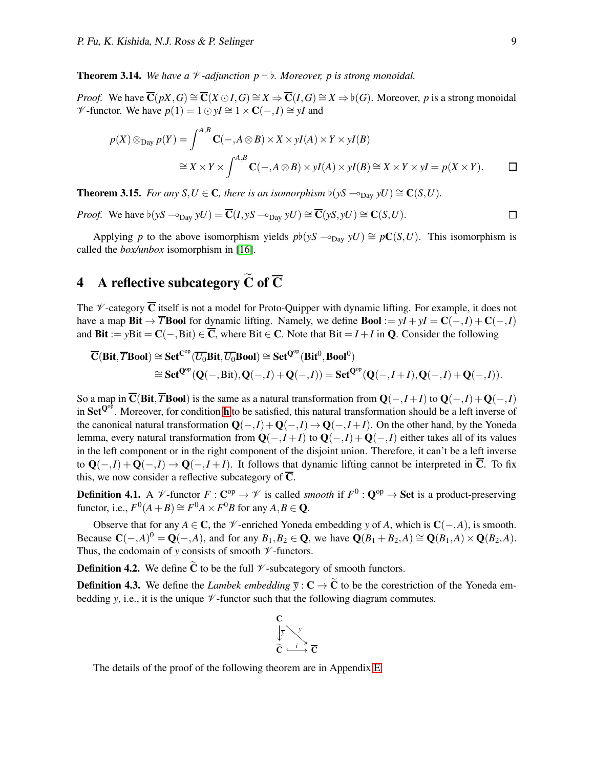**Theorem 3.14.** *We have a*  $\mathcal V$ -adjunction  $p \dashv b$ *. Moreover, p is strong monoidal.* 

*Proof.* We have  $\overline{C}(pX, G) \cong \overline{C}(X \odot I, G) \cong X \Rightarrow \overline{C}(I, G) \cong X \Rightarrow b(G)$ . Moreover, *p* is a strong monoidal *V* -functor. We have  $p(1) = 1 \odot yI \cong 1 \times \mathbb{C}(-, I) \cong yI$  and

$$
p(X) \otimes_{\text{Day}} p(Y) = \int^{A,B} \mathbf{C}(-, A \otimes B) \times X \times yI(A) \times Y \times yI(B)
$$
  
\n
$$
\cong X \times Y \times \int^{A,B} \mathbf{C}(-, A \otimes B) \times yI(A) \times yI(B) \cong X \times Y \times yI = p(X \times Y).
$$

**Theorem 3.15.** *For any*  $S, U \in \mathbb{C}$ *, there is an isomorphism*  $\flat(yS \sim_{\text{Dav}} yU) \cong \mathbb{C}(S, U)$ *.* 

*Proof.* We have 
$$
\flat(yS \sim_{\text{Day}} yU) = \overline{\mathbf{C}}(I, yS \sim_{\text{Day}} yU) \cong \overline{\mathbf{C}}(yS, yU) \cong \mathbf{C}(S, U).
$$

Applying *p* to the above isomorphism yields  $p\nmid(yS \sim_{\text{Day}} yU) \cong pC(S, U)$ . This isomorphism is called the *box/unbox* isomorphism in [\[16\]](#page-12-6).

# <span id="page-8-0"></span>4 A reflective subcategory  $\widetilde{C}$  of  $\overline{C}$

The  $\mathcal V$ -category  $\overline{\mathbf{C}}$  itself is not a model for Proto-Quipper with dynamic lifting. For example, it does not have a map **Bit**  $\rightarrow \overline{T}$ **Bool** for dynamic lifting. Namely, we define **Bool** :=  $yI + yI = C(-, I) + C(-, I)$ and Bit := *y*Bit =  $C(-, Bit) \in \overline{C}$ , where Bit  $\in C$ . Note that Bit = *I* + *I* in Q. Consider the following

$$
\begin{aligned} \overline{\mathbf{C}}(\mathbf{Bit},\overline{T}\mathbf{Bool}) &\cong \mathbf{Set}^{\mathbf{C}^{op}}(\overline{U_0}\mathbf{Bit},\overline{U_0}\mathbf{Bool}) \cong \mathbf{Set}^{\mathbf{Q}^{op}}(\mathbf{Bit}^0,\mathbf{Bool}^0) \\ &\cong \mathbf{Set}^{\mathbf{Q}^{op}}(\mathbf{Q}(-,\mathrm{Bit}),\mathbf{Q}(-,I)+\mathbf{Q}(-,I)) = \mathbf{Set}^{\mathbf{Q}^{op}}(\mathbf{Q}(-,I+I),\mathbf{Q}(-,I)+\mathbf{Q}(-,I)). \end{aligned}
$$

So a map in  $\overline{C}$ (Bit, $\overline{T}$ Bool) is the same as a natural transformation from  $Q(-,I+I)$  to  $Q(-,I)+Q(-,I)$ in Set<sup>Q $^{op}$ </sup>. Moreover, for condition **[h](#page-4-3)** to be satisfied, this natural transformation should be a left inverse of the canonical natural transformation  $Q(-,I) + Q(-,I) \rightarrow Q(-,I+I)$ . On the other hand, by the Yoneda lemma, every natural transformation from  $Q(-,I+I)$  to  $Q(-,I)+Q(-,I)$  either takes all of its values in the left component or in the right component of the disjoint union. Therefore, it can't be a left inverse to  $Q(-,I) + Q(-,I)$  →  $Q(-,I+I)$ . It follows that dynamic lifting cannot be interpreted in  $\overline{C}$ . To fix this, we now consider a reflective subcategory of  $\overline{C}$ .

**Definition 4.1.** A  $\mathcal{V}$ -functor  $F: \mathbb{C}^{op} \to \mathcal{V}$  is called *smooth* if  $F^0: \mathbb{Q}^{op} \to \mathbf{Set}$  is a product-preserving functor, i.e.,  $F^0(A + B) \cong F^0A \times F^0B$  for any  $A, B \in \mathbf{Q}$ .

Observe that for any *A* ∈ **C**, the  $\mathcal{V}$ -enriched Yoneda embedding *y* of *A*, which is **C**(−,*A*), is smooth. Because  $\mathbf{C}(-,A)^0 = \mathbf{Q}(-,A)$ , and for any  $B_1, B_2 \in \mathbf{Q}$ , we have  $\mathbf{Q}(B_1 + B_2, A) \cong \mathbf{Q}(B_1, A) \times \mathbf{Q}(B_2, A)$ . Thus, the codomain of *y* consists of smooth  $\mathcal V$ -functors.

**Definition 4.2.** We define  $\widetilde{C}$  to be the full  $\mathcal V$ -subcategory of smooth functors.

**Definition 4.3.** We define the *Lambek embedding*  $\overline{y}$  :  $C \rightarrow \widetilde{C}$  to be the corestriction of the Yoneda embedding *y*, i.e., it is the unique  $\mathcal V$ -functor such that the following diagram commutes.



The details of the proof of the following theorem are in Appendix [E.](#page-29-0)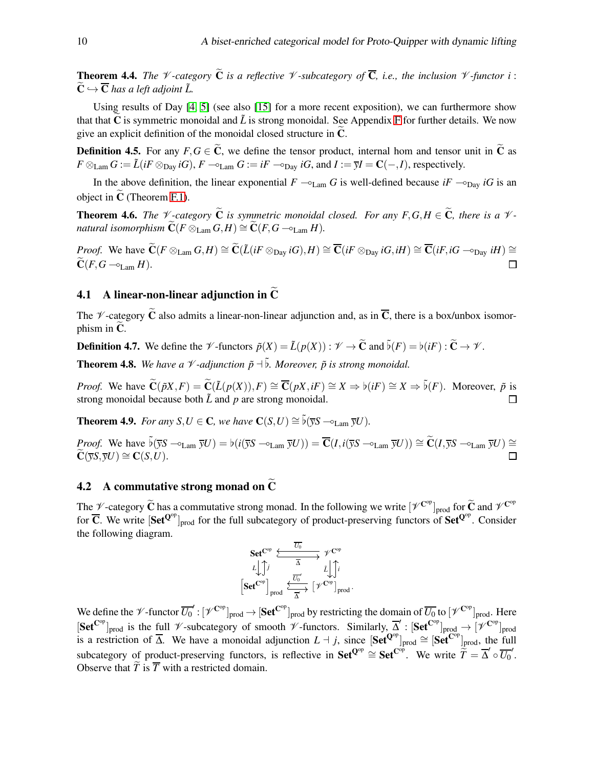<span id="page-9-0"></span>**Theorem 4.4.** *The*  $\mathcal V$ -category  $\widetilde{\mathbf{C}}$  *is a reflective*  $\mathcal V$ -subcategory of  $\overline{\mathbf{C}}$ *, i.e., the inclusion*  $\mathcal V$ -functor *i* :  $\widetilde{\mathbf{C}} \hookrightarrow \overline{\mathbf{C}}$  has a left adjoint  $\widetilde{L}$ .

Using results of Day [\[4,](#page-12-12) [5\]](#page-12-13) (see also [\[15\]](#page-12-14) for a more recent exposition), we can furthermore show that that  $C$  is symmetric monoidal and  $\tilde{L}$  is strong monoidal. See Appendix [F](#page-31-0) for further details. We now give an explicit definition of the monoidal closed structure in  $C$ .

**Definition 4.5.** For any  $F, G \in \mathbb{C}$ , we define the tensor product, internal hom and tensor unit in  $\mathbb{C}$  as  $F \otimes_{\text{Lam}} G := \tilde{L}(iF \otimes_{\text{Day}} iG), F \to_{\text{Lam}} G := iF \to_{\text{Day}} iG, \text{ and } I := \overline{y}I = \mathbb{C}(-, I),$  respectively.

In the above definition, the linear exponential  $F \sim_{\text{Lam}} G$  is well-defined because *iF*  $\sim_{\text{Dav}} iG$  is an object in  $C$  (Theorem [F.1\)](#page-31-1).

**Theorem 4.6.** *The*  $\mathcal V$ -category  $\widetilde{\mathbf{C}}$  *is symmetric monoidal closed. For any*  $F, G, H \in \widetilde{\mathbf{C}}$ *, there is a*  $\mathcal V$ *natural isomorphism*  $\widetilde{\mathbf{C}}(F \otimes_{\text{Lam}} G, H) \cong \widetilde{\mathbf{C}}(F, G -_{\text{Lam}} H)$ *.* 

*Proof.* We have  $\widetilde{C}(F \otimes_{\text{Lam}} G, H) \cong \widetilde{C}(\widetilde{L}(iF \otimes_{\text{Dav}} iG), H) \cong \overline{C}(iF \otimes_{\text{Dav}} iG, iH) \cong \overline{C}(iF, iG - \circ_{\text{Dav}} iH) \cong$  $\widetilde{\mathbf{C}}(F,G-\circ_{\text{Lam}} H).$  $\Box$ 

#### 4.1 A linear-non-linear adjunction in  $\overline{C}$

The *V*-category  $\tilde{C}$  also admits a linear-non-linear adjunction and, as in  $\overline{C}$ , there is a box/unbox isomorphism in  $C$ .

**Definition 4.7.** We define the  $\mathscr V$ -functors  $\tilde p(X) = \tilde L(p(X)) : \mathscr V \to \tilde C$  and  $\tilde b(F) = b(iF) : \tilde C \to \mathscr V$ .

**Theorem 4.8.** We have a  $\mathcal V$ -adjunction  $\tilde{p}$  + $\tilde{b}$ . Moreover,  $\tilde{p}$  is strong monoidal.

*Proof.* We have  $\widetilde{\mathbf{C}}(\widetilde{p}X, F) = \widetilde{\mathbf{C}}(\widetilde{L}(p(X)), F) \cong \overline{\mathbf{C}}(pX, iF) \cong X \Rightarrow \flat(iF) \cong X \Rightarrow \widetilde{\flat}(F)$ . Moreover,  $\widetilde{p}$  is strong monoidal because both  $\tilde{L}$  and  $p$  are strong monoidal.  $\Box$ 

**Theorem 4.9.** *For any*  $S, U \in \mathbb{C}$ , we have  $\mathbb{C}(S, U) \cong \tilde{b}(\overline{\nu}S - \sigma_{\text{Lam}} \overline{\nu}U)$ .

*Proof.* We have  $\bar{\mathfrak{b}}(\bar{y}S - \mathfrak{b}_{\text{Lam}} \bar{y}U) = \mathfrak{b}(i(\bar{y}S - \mathfrak{b}_{\text{Lam}} \bar{y}U)) = \overline{\mathbf{C}}(I, i(\bar{y}S - \mathfrak{b}_{\text{Lam}} \bar{y}U)) \cong \widetilde{\mathbf{C}}(I, \bar{y}S - \mathfrak{b}_{\text{Lam}} \bar{y}U) \cong \widetilde{\mathbf{C}}(I, \bar{y}S - \mathfrak{b}_{\text{Lam}} \bar{y}U)$  $\widetilde{\mathbf{C}}(\overline{\mathbf{v}}\mathbf{S},\overline{\mathbf{v}}\mathbf{U})\cong \mathbf{C}(\mathbf{S},\mathbf{U}).$ 

#### 4.2 A commutative strong monad on  $\tilde{C}$

The  $\mathcal{V}$ -category  $\widetilde{\mathbf{C}}$  has a commutative strong monad. In the following we write  $[\mathcal{V}^{\mathbf{C}^{op}}]_{\text{prod}}$  for  $\widetilde{\mathbf{C}}$  and  $\mathcal{V}^{\mathbf{C}^{op}}$ for  $\overline{C}$ . We write  $[Set^{Q^{op}}]_{prod}$  for the full subcategory of product-preserving functors of  $Set^{Q^{op}}$ . Consider the following diagram.

$$
\begin{array}{ccc}\n\textbf{Set}^{\textbf{C}^{op}} & \xleftarrow{\overline{U_0}} & \mathscr{V}^{\textbf{C}^{op}} \\
L & \downarrow \uparrow & & \bar{\Delta} & & \bar{L} \\
\textbf{Set}^{\textbf{C}^{op}} & & \xleftarrow{\overline{U_0}} & & \bar{L} \\
\end{array}
$$

We define the  $\mathscr V$ -functor  $\overline{U_0}' : [\mathscr V^{\mathbf{C}^{\mathrm{op}}}]_{\mathrm{prod}} \to [\mathbf{Set}^{\mathbf{C}^{\mathrm{op}}}]_{\mathrm{prod}}$  by restricting the domain of  $\overline{U_0}$  to  $[\mathscr V^{\mathbf{C}^{\mathrm{op}}}]_{\mathrm{prod}}$ . Here  $[\textbf{Set}^{\text{Cep}}]_{\text{prod}}$  is the full  $\mathcal V$ -subcategory of smooth  $\mathcal V$ -functors. Similarly,  $\overline{\Delta}'$  :  $[\textbf{Set}^{\text{Cep}}]_{\text{prod}} \rightarrow [\mathcal V^{\text{Cep}}]_{\text{prod}}$ is a restriction of  $\overline{\Delta}$ . We have a monoidal adjunction  $L \dashv j$ , since  $[\mathbf{Set}^{\mathbf{Q} \circ p}]_{\text{prod}} \cong [\mathbf{Set}^{\mathbf{C} \circ p}]_{\text{prod}}$ , the full subcategory of product-preserving functors, is reflective in  $\mathbf{Set}^{\mathbf{Q}^{op}} \cong \mathbf{Set}^{\mathbf{C}^{op}}$ . We write  $\hat{\vec{T}} = \overline{\Delta}' \circ \overline{U_0}'$ . Observe that  $\widetilde{T}$  is  $\overline{T}$  with a restricted domain.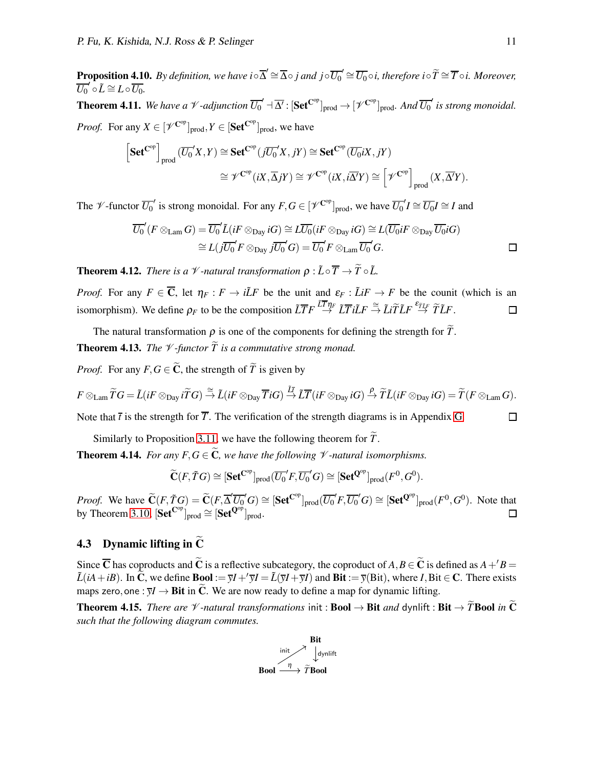**Proposition 4.10.** By definition, we have  $i \circ \overline{\Delta}' \cong \overline{\Delta} \circ j$  and  $j \circ \overline{U_0}' \cong \overline{U_0} \circ i$ , therefore  $i \circ \widetilde{T} \cong \overline{T} \circ i$ . Moreover,  $\overline{U_0}' \circ \tilde{L} \cong L \circ \overline{U_0}.$ 

**Theorem 4.11.** We have a  $\mathscr V$ -adjunction  $\overline{U_0}' \dashv \overline{\Delta'}$ :  $[\mathbf{Set}^{\mathbf{C}^{op}}]_{prod} \to [\mathscr V^{\mathbf{C}^{op}}]_{prod}$ . And  $\overline{U_0}'$  is strong monoidal. *Proof.* For any  $X \in [\mathscr{V}^{\mathbb{C}^{\mathrm{op}}}]_{\mathrm{prod}}, Y \in [\mathbf{Set}^{\mathbb{C}^{\mathrm{op}}}]_{\mathrm{prod}},$  we have

$$
\begin{aligned}\n\left[\mathbf{Set}^{\mathbf{C}^{\mathrm{op}}}\right]_{\mathrm{prod}} & (\overline{U_0}'X, Y) \cong \mathbf{Set}^{\mathbf{C}^{\mathrm{op}}}(\overline{jU_0}'X, jY) \cong \mathbf{Set}^{\mathbf{C}^{\mathrm{op}}}(\overline{U_0}iX, jY) \\
&\cong \mathscr{V}^{\mathbf{C}^{\mathrm{op}}}(iX, \overline{\Delta}jY) \cong \mathscr{V}^{\mathbf{C}^{\mathrm{op}}}(iX, i\overline{\Delta'}Y) \cong \left[\mathscr{V}^{\mathbf{C}^{\mathrm{op}}}\right]_{\mathrm{prod}}(X, \overline{\Delta'}Y).\n\end{aligned}
$$

The *V*-functor  $\overline{U_0}'$  is strong monoidal. For any  $F, G \in [\mathscr{V}^{\mathbb{C}^{\text{op}}}]_{\text{prod}}$ , we have  $\overline{U_0}' I \cong \overline{U_0} I \cong I$  and

$$
\overline{U_0}'(F \otimes_{\text{Lam}} G) = \overline{U_0}' \tilde{L}(iF \otimes_{\text{Day}} iG) \cong L\overline{U_0}(iF \otimes_{\text{Day}} iG) \cong L(\overline{U_0}iF \otimes_{\text{Day}} \overline{U_0}iG)
$$
  
\n
$$
\cong L(j\overline{U_0}'F \otimes_{\text{Day}} j\overline{U_0}'G) = \overline{U_0}'F \otimes_{\text{Lam}} \overline{U_0}'G.
$$

**Theorem 4.12.** *There is a*  $\mathcal{V}$ *-natural transformation*  $\rho : \tilde{L} \circ \overline{T} \to \tilde{T} \circ \tilde{L}$ .

*Proof.* For any  $F \in \overline{C}$ , let  $\eta_F : F \to i\tilde{L}F$  be the unit and  $\varepsilon_F : \tilde{L}iF \to F$  be the counit (which is an isomorphism). We define  $\rho_F$  to be the composition  $\tilde{L}\overline{T}F \stackrel{\tilde{L}\overline{T}\eta_F}{\to} \tilde{L}\overline{T}i\tilde{L}F \stackrel{\cong}{\to} \tilde{L}i\tilde{T}\tilde{L}F \stackrel{\epsilon_{\overline{T}LF}}{\to} \tilde{T}\tilde{L}F$ .  $\Box$ 

The natural transformation  $\rho$  is one of the components for defining the strength for  $\tilde{T}$ .

<span id="page-10-1"></span>**Theorem 4.13.** *The*  $\mathcal V$ *-functor*  $\widetilde{T}$  *is a commutative strong monad.* 

*Proof.* For any  $F, G \in \widetilde{C}$ , the strength of  $\widetilde{T}$  is given by

$$
F\otimes_{\text{Lam}} \widetilde{T}G = \widetilde{L}(iF\otimes_{\text{Day}} i\widetilde{T}G) \stackrel{\cong}{\rightarrow} \widetilde{L}(iF\otimes_{\text{Day}} \overline{T}iG) \stackrel{\widetilde{L}\overline{T}}{\rightarrow} \widetilde{L}\overline{T}(iF\otimes_{\text{Day}} iG) \stackrel{\rho}{\rightarrow} \widetilde{T}\widetilde{L}(iF\otimes_{\text{Day}} iG) = \widetilde{T}(F\otimes_{\text{Lam}} G).
$$

Note that  $\bar{t}$  is the strength for  $\bar{T}$ . The verification of the strength diagrams is in Appendix [G.](#page-32-0)

Similarly to Proposition [3.11,](#page-7-1) we have the following theorem for  $\tilde{T}$ .

<span id="page-10-0"></span>**Theorem 4.14.** *For any F, G*  $\in \widetilde{C}$ *, we have the following*  $\mathcal V$ *-natural isomorphisms.* 

$$
\widetilde{\mathbf{C}}(F,\widetilde{T}G) \cong [\mathbf{Set}^{\mathbf{C}^{op}}]_{\text{prod}}(\overline{U_0}'F,\overline{U_0}'G) \cong [\mathbf{Set}^{\mathbf{Q}^{op}}]_{\text{prod}}(F^0,G^0).
$$

*Proof.* We have  $\widetilde{C}(F, \widetilde{T}G) = \widetilde{C}(F, \overline{\Delta}' \overline{U_0}' G) \cong [\textbf{Set}^{\mathbf{C}^{op}}]_{prod}(\overline{U_0}' F, \overline{U_0}' G) \cong [\textbf{Set}^{\mathbf{Q}^{op}}]_{prod} (F^0, G^0)$ . Note that by Theorem [3.10,](#page-7-2)  $[\text{Set}^{\text{C^{op}}}]_{\text{prod}} \cong [\text{Set}^{\text{Q^{op}}}]_{\text{prod}}.$  $\Box$ 

## 4.3 Dynamic lifting in  $\tilde{C}$

Since  $\overline{C}$  has coproducts and  $\widetilde{C}$  is a reflective subcategory, the coproduct of  $A, B \in \widetilde{C}$  is defined as  $A + 'B =$  $\tilde{L}(iA+iB)$ . In  $\tilde{C}$ , we define  $B \text{ool} := \overline{y}I + \overline{y}I = \tilde{L}(\overline{y}I + \overline{y}I)$  and  $Bit := \overline{y}(Bit)$ , where *I*, Bit  $\in \mathbb{C}$ . There exists maps zero, one :  $\overline{y}$ *I*  $\rightarrow$  **Bit** in **C**. We are now ready to define a map for dynamic lifting.

**Theorem 4.15.** *There are*  $\mathcal V$ -natural transformations init : **Bool**  $\rightarrow$  **Bit** and dynlift : **Bit**  $\rightarrow \widetilde{T}$ **Bool** in  $\widetilde{C}$ *such that the following diagram commutes.*



 $\Box$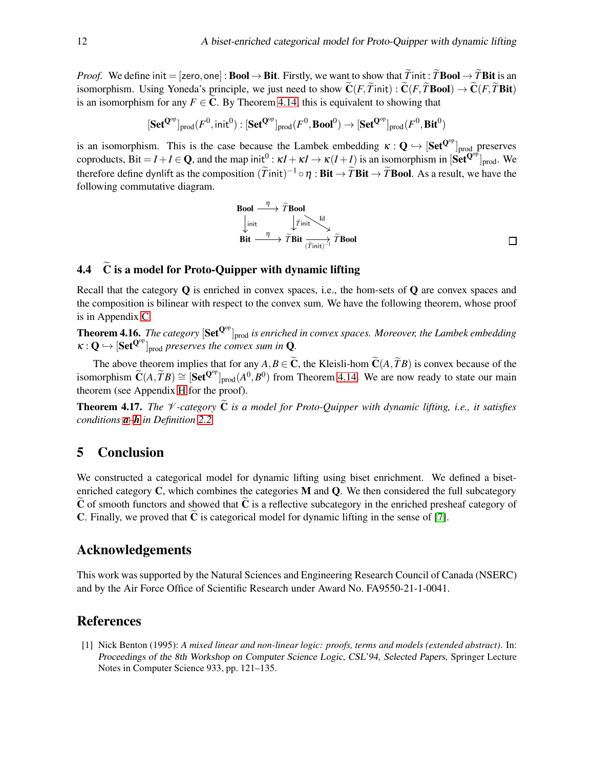*Proof.* We define init = [zero, one] : **Bool**  $\rightarrow$  **Bit**. Firstly, we want to show that  $\widetilde{T}$  init:  $\widetilde{T}$ **Bool**  $\rightarrow \widetilde{T}$  **Bit** is an isomorphism. Using Yoneda's principle, we just need to show  $\tilde{C}(F, \tilde{T}$ init) :  $\tilde{C}(F, \tilde{T}$ **Bool**)  $\rightarrow \tilde{C}(F, \tilde{T}$ **Bit**) is an isomorphism for any  $F \in \mathbb{C}$ . By Theorem [4.14,](#page-10-0) this is equivalent to showing that

$$
[\mathbf{Set}^{\mathbf{Q}^\mathrm{op}}]_{\mathrm{prod}}(F^0,\mathsf{init}^0) : [\mathbf{Set}^{\mathbf{Q}^\mathrm{op}}]_{\mathrm{prod}}(F^0,\mathbf{Bool}^0) \to [\mathbf{Set}^{\mathbf{Q}^\mathrm{op}}]_{\mathrm{prod}}(F^0,\mathbf{Bit}^0)
$$

is an isomorphism. This is the case because the Lambek embedding  $\kappa: \mathbf{Q} \hookrightarrow [\mathbf{Set}^{\mathbf{Q}^{op}}]_{\text{prod}}$  preserves coproducts,  $\text{Bit} = I + I \in \mathbf{Q}$ , and the map init<sup>0</sup>:  $\kappa I + \kappa I \to \kappa (I + I)$  is an isomorphism in  $[\text{Set}^{\mathbf{Q} \circ \hat{p}}]_{\text{prod}}$ . We therefore define dynlift as the composition  $(\tilde{T}$ init)<sup>-1</sup> ∘  $\eta$  : **Bit** →  $\tilde{T}$ **Bit** →  $\tilde{T}$ **Bool**. As a result, we have the following commutative diagram.

**Bool** 
$$
\xrightarrow{\eta}
$$
  $\widetilde{T}$ **Bool**  
\n $\downarrow \text{init}$   $\downarrow \widetilde{T}$  **init**  
\n**Bit**  $\xrightarrow{\eta}$   $\widetilde{T}$ **Bit**  $\overrightarrow{\overline{T}}$ **Bit**  $\overrightarrow{\overline{T}}$ **bit**  $\overrightarrow{\overline{T}}$ **1**  $\overrightarrow{\overline{T}}$ **2**  $\widetilde{T}$ **2**  $\overrightarrow{\overline{T}}$ **3**  $\overrightarrow{\overline{T}}$ **3**  $\overrightarrow{\overline{T}}$ **4**  $\overrightarrow{\overline{T}}$ **5**  $\overrightarrow{\overline{T}}$ **6**  $\overrightarrow{\overline{T}}$ **7**  $\overrightarrow{\overline{T}}$ **8**  $\overrightarrow{\overline{T}}$ **9**  $\overrightarrow{\overline{T}}$ **10**  $\overrightarrow{\overline{T}}$  **11**  $\overrightarrow{\overline{T}}$  **12**  $\overrightarrow{\overline{T}}$ **13**  $\overrightarrow{\overline{T}}$ **14**  $\overrightarrow{\overline{T}}$ **15**  $\overrightarrow{\overline{T}}$ **16**  $\overrightarrow{\overline{T}}$ **17**  $\overrightarrow{\overline{T}}$ **18**  $\overrightarrow{\overline{T}}$ **19**  $\overrightarrow{\overline{T}}$ **10**  $\overrightarrow{\overline{T}}$  **11**  $\overrightarrow{\overline{T}}$ **12**  $\overrightarrow{\overline{T}}$ **13**  $\overrightarrow{\overline{T}}$ **14**  $\overrightarrow{\overline{T}}$ **15**  $\overrightarrow{\overline{T}}$ **16**  $\overrightarrow{\overline{T}}$ **17**  $\overrightarrow{\overline{T}}$ **18**  $\overrightarrow{\overline{T}}$ **19**  $\overrightarrow{\overline{T}}$ **10**  $\overrightarrow{\overline{T}}$ **11**  $\overrightarrow{\overline{T$ 

## 4.4  $\tilde{C}$  is a model for Proto-Ouipper with dynamic lifting

Recall that the category  $\bf{Q}$  is enriched in convex spaces, i.e., the hom-sets of  $\bf{Q}$  are convex spaces and the composition is bilinear with respect to the convex sum. We have the following theorem, whose proof is in Appendix [C.](#page-15-0)

<span id="page-11-2"></span>**Theorem 4.16.** *The category*  $\left[Set^{Q^{op}}\right]_{prod}$  *is enriched in convex spaces. Moreover, the Lambek embedding*  $\kappa: \mathbf{Q} \hookrightarrow [\mathbf{Set}^{\mathbf{Q}^{op}}]_{\text{prod} }$  *preserves the convex sum in* Q.

The above theorem implies that for any  $A, B \in \widetilde{C}$ , the Kleisli-hom  $\widetilde{C}(A, \widetilde{T}B)$  is convex because of the isomorphism  $\widetilde{\mathbf{C}}(A, \widetilde{T}B) \cong [\mathbf{Set}^{\mathbf{Q}^{op}}]_{prod}(A^0, B^0)$  from Theorem [4.14.](#page-10-0) We are now ready to state our main theorem (see Appendix [H](#page-38-0) for the proof).

<span id="page-11-1"></span>**Theorem 4.17.** *The*  $\mathcal V$ -category  $\tilde{\mathbf C}$  is a model for Proto-Ouipper with dynamic lifting, i.e., it satisfies *conditions [a](#page-3-1)–[h](#page-4-3) in Definition [2.2.](#page-3-2)*

### 5 Conclusion

We constructed a categorical model for dynamic lifting using biset enrichment. We defined a bisetenriched category  $C$ , which combines the categories  $M$  and  $Q$ . We then considered the full subcategory  $C$  of smooth functors and showed that  $C$  is a reflective subcategory in the enriched presheaf category of **C.** Finally, we proved that  $C$  is categorical model for dynamic lifting in the sense of [\[7\]](#page-12-0).

#### Acknowledgements

This work was supported by the Natural Sciences and Engineering Research Council of Canada (NSERC) and by the Air Force Office of Scientific Research under Award No. FA9550-21-1-0041.

#### References

<span id="page-11-0"></span>[1] Nick Benton (1995): *A mixed linear and non-linear logic: proofs, terms and models (extended abstract)*. In: Proceedings of the 8th Workshop on Computer Science Logic, CSL'94, Selected Papers, Springer Lecture Notes in Computer Science 933, pp. 121–135.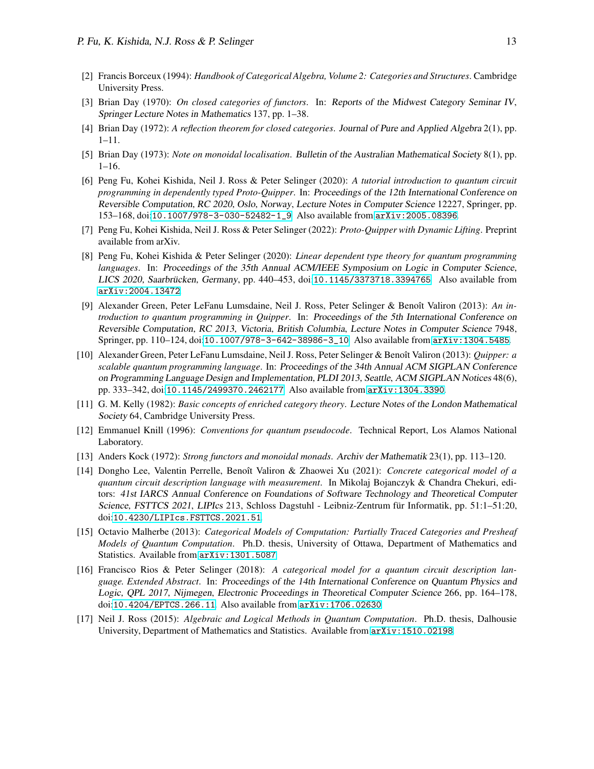- <span id="page-12-9"></span>[2] Francis Borceux (1994): *Handbook of Categorical Algebra, Volume 2: Categories and Structures*. Cambridge University Press.
- <span id="page-12-11"></span>[3] Brian Day (1970): *On closed categories of functors*. In: Reports of the Midwest Category Seminar IV, Springer Lecture Notes in Mathematics 137, pp. 1–38.
- <span id="page-12-13"></span><span id="page-12-12"></span>[4] Brian Day (1972): *A reflection theorem for closed categories*. Journal of Pure and Applied Algebra 2(1), pp. 1–11.
- <span id="page-12-4"></span>[5] Brian Day (1973): *Note on monoidal localisation*. Bulletin of the Australian Mathematical Society 8(1), pp. 1–16.
- [6] Peng Fu, Kohei Kishida, Neil J. Ross & Peter Selinger (2020): *A tutorial introduction to quantum circuit programming in dependently typed Proto-Quipper*. In: Proceedings of the 12th International Conference on Reversible Computation, RC 2020, Oslo, Norway, Lecture Notes in Computer Science 12227, Springer, pp. 153–168, doi:[10.1007/978-3-030-52482-1\\_9](http://dx.doi.org/10.1007/978-3-030-52482-1_9). Also available from [arXiv:2005.08396](http://arxiv.org/abs/2005.08396).
- <span id="page-12-5"></span><span id="page-12-0"></span>[7] Peng Fu, Kohei Kishida, Neil J. Ross & Peter Selinger (2022): *Proto-Quipper with Dynamic Lifting*. Preprint available from arXiv.
- [8] Peng Fu, Kohei Kishida & Peter Selinger (2020): *Linear dependent type theory for quantum programming languages*. In: Proceedings of the 35th Annual ACM/IEEE Symposium on Logic in Computer Science, LICS 2020, Saarbrücken, Germany, pp. 440-453, doi:[10.1145/3373718.3394765](http://dx.doi.org/10.1145/3373718.3394765). Also available from [arXiv:2004.13472](http://arxiv.org/abs/2004.13472).
- <span id="page-12-1"></span>[9] Alexander Green, Peter LeFanu Lumsdaine, Neil J. Ross, Peter Selinger & Benoît Valiron (2013): *An introduction to quantum programming in Quipper*. In: Proceedings of the 5th International Conference on Reversible Computation, RC 2013, Victoria, British Columbia, Lecture Notes in Computer Science 7948, Springer, pp. 110–124, doi:[10.1007/978-3-642-38986-3\\_10](http://dx.doi.org/10.1007/978-3-642-38986-3_10). Also available from [arXiv:1304.5485](http://arxiv.org/abs/1304.5485).
- <span id="page-12-2"></span>[10] Alexander Green, Peter LeFanu Lumsdaine, Neil J. Ross, Peter Selinger & Benoˆıt Valiron (2013): *Quipper: a scalable quantum programming language*. In: Proceedings of the 34th Annual ACM SIGPLAN Conference on Programming Language Design and Implementation, PLDI 2013, Seattle, ACM SIGPLAN Notices 48(6), pp. 333–342, doi:[10.1145/2499370.2462177](http://dx.doi.org/10.1145/2499370.2462177). Also available from [arXiv:1304.3390](http://arxiv.org/abs/1304.3390).
- <span id="page-12-10"></span>[11] G. M. Kelly (1982): *Basic concepts of enriched category theory*. Lecture Notes of the London Mathematical Society 64, Cambridge University Press.
- <span id="page-12-3"></span>[12] Emmanuel Knill (1996): *Conventions for quantum pseudocode*. Technical Report, Los Alamos National Laboratory.
- <span id="page-12-15"></span><span id="page-12-8"></span>[13] Anders Kock (1972): *Strong functors and monoidal monads*. Archiv der Mathematik 23(1), pp. 113–120.
- [14] Dongho Lee, Valentin Perrelle, Benoît Valiron & Zhaowei Xu (2021): *Concrete categorical model of a quantum circuit description language with measurement*. In Mikolaj Bojanczyk & Chandra Chekuri, editors: 41st IARCS Annual Conference on Foundations of Software Technology and Theoretical Computer Science, FSTTCS 2021, LIPIcs 213, Schloss Dagstuhl - Leibniz-Zentrum für Informatik, pp. 51:1–51:20, doi:[10.4230/LIPIcs.FSTTCS.2021.51](http://dx.doi.org/10.4230/LIPIcs.FSTTCS.2021.51).
- <span id="page-12-14"></span>[15] Octavio Malherbe (2013): *Categorical Models of Computation: Partially Traced Categories and Presheaf Models of Quantum Computation*. Ph.D. thesis, University of Ottawa, Department of Mathematics and Statistics. Available from [arXiv:1301.5087](http://arxiv.org/abs/1301.5087).
- <span id="page-12-6"></span>[16] Francisco Rios & Peter Selinger (2018): *A categorical model for a quantum circuit description language. Extended Abstract*. In: Proceedings of the 14th International Conference on Quantum Physics and Logic, QPL 2017, Nijmegen, Electronic Proceedings in Theoretical Computer Science 266, pp. 164–178, doi:[10.4204/EPTCS.266.11](http://dx.doi.org/10.4204/EPTCS.266.11). Also available from [arXiv:1706.02630](http://arxiv.org/abs/1706.02630).
- <span id="page-12-7"></span>[17] Neil J. Ross (2015): *Algebraic and Logical Methods in Quantum Computation*. Ph.D. thesis, Dalhousie University, Department of Mathematics and Statistics. Available from [arXiv:1510.02198](http://arxiv.org/abs/1510.02198).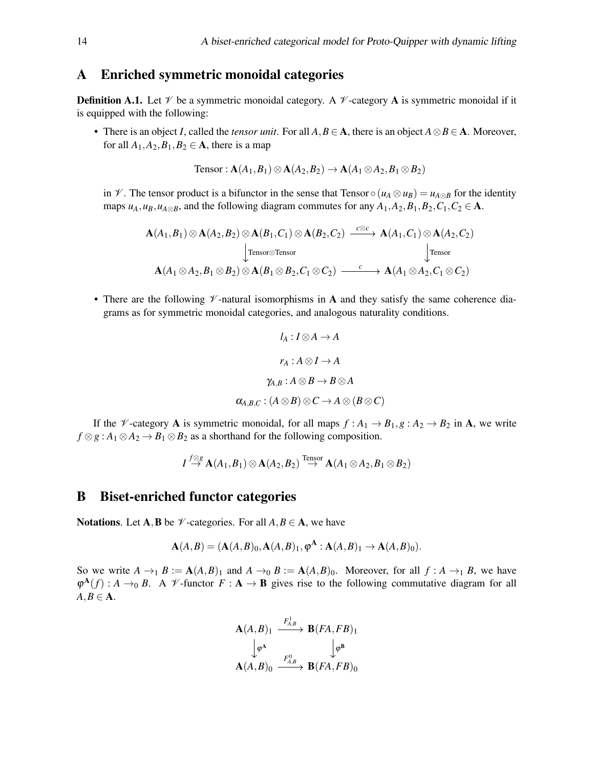## <span id="page-13-0"></span>A Enriched symmetric monoidal categories

**Definition A.1.** Let  $\mathcal V$  be a symmetric monoidal category. A  $\mathcal V$ -category **A** is symmetric monoidal if it is equipped with the following:

• There is an object *I*, called the *tensor unit*. For all  $A, B \in \mathbf{A}$ , there is an object  $A \otimes B \in \mathbf{A}$ . Moreover, for all  $A_1$ ,  $A_2$ ,  $B_1$ ,  $B_2 \in \mathbf{A}$ , there is a map

$$
Tensor : \mathbf{A}(A_1, B_1) \otimes \mathbf{A}(A_2, B_2) \rightarrow \mathbf{A}(A_1 \otimes A_2, B_1 \otimes B_2)
$$

in  $V$ . The tensor product is a bifunctor in the sense that Tensor  $\circ (u_A \otimes u_B) = u_{A \otimes B}$  for the identity maps  $u_A, u_B, u_{A \otimes B}$ , and the following diagram commutes for any  $A_1, A_2, B_1, B_2, C_1, C_2 \in \mathbf{A}$ .

$$
\mathbf{A}(A_1,B_1) \otimes \mathbf{A}(A_2,B_2) \otimes \mathbf{A}(B_1,C_1) \otimes \mathbf{A}(B_2,C_2) \xrightarrow{\mathcal{C} \otimes \mathcal{C}} \mathbf{A}(A_1,C_1) \otimes \mathbf{A}(A_2,C_2)
$$
\n
$$
\downarrow \text{Tensor} \qquad \qquad \downarrow \text{Tensor}
$$
\n
$$
\mathbf{A}(A_1 \otimes A_2, B_1 \otimes B_2) \otimes \mathbf{A}(B_1 \otimes B_2, C_1 \otimes C_2) \xrightarrow{\mathcal{C}} \mathbf{A}(A_1 \otimes A_2, C_1 \otimes C_2)
$$

• There are the following  $\nu$ -natural isomorphisms in A and they satisfy the same coherence diagrams as for symmetric monoidal categories, and analogous naturality conditions.

$$
l_A: I \otimes A \to A
$$

$$
r_A: A \otimes I \to A
$$

$$
\gamma_{A,B}: A \otimes B \to B \otimes A
$$

$$
\alpha_{A,B,C}: (A \otimes B) \otimes C \to A \otimes (B \otimes C)
$$

If the *V*-category **A** is symmetric monoidal, for all maps  $f : A_1 \to B_1, g : A_2 \to B_2$  in **A**, we write  $f \otimes g : A_1 \otimes A_2 \rightarrow B_1 \otimes B_2$  as a shorthand for the following composition.

$$
I\mathop{\to}^{\text{f}\otimes\text{g}}\mathbf{A}(A_1,B_1)\otimes\mathbf{A}(A_2,B_2)\mathop{\to}^{\text{Tensor}}\mathbf{A}(A_1\otimes A_2,B_1\otimes B_2)
$$

### <span id="page-13-1"></span>B Biset-enriched functor categories

Notations. Let A, B be  $\mathcal V$ -categories. For all  $A, B \in \mathbf A$ , we have

$$
A(A, B) = (A(A, B)_0, A(A, B)_1, \varphi^A : A(A, B)_1 \to A(A, B)_0).
$$

So we write  $A \rightarrow_1 B := A(A, B)$ <sub>1</sub> and  $A \rightarrow_0 B := A(A, B)$ <sub>0</sub>. Moreover, for all  $f : A \rightarrow_1 B$ , we have  $\varphi^{\mathbf{A}}(f)$ : *A*  $\rightarrow$ <sub>0</sub> *B*. A *V*-functor *F* : **A**  $\rightarrow$  **B** gives rise to the following commutative diagram for all  $A, B \in \mathbf{A}$ .

$$
\mathbf{A}(A,B)_1 \xrightarrow{F_{A,B}^1} \mathbf{B}(FA,FB)_1
$$
\n
$$
\downarrow \varphi^A \qquad \qquad \downarrow \varphi^B
$$
\n
$$
\mathbf{A}(A,B)_0 \xrightarrow{F_{A,B}^0} \mathbf{B}(FA,FB)_0
$$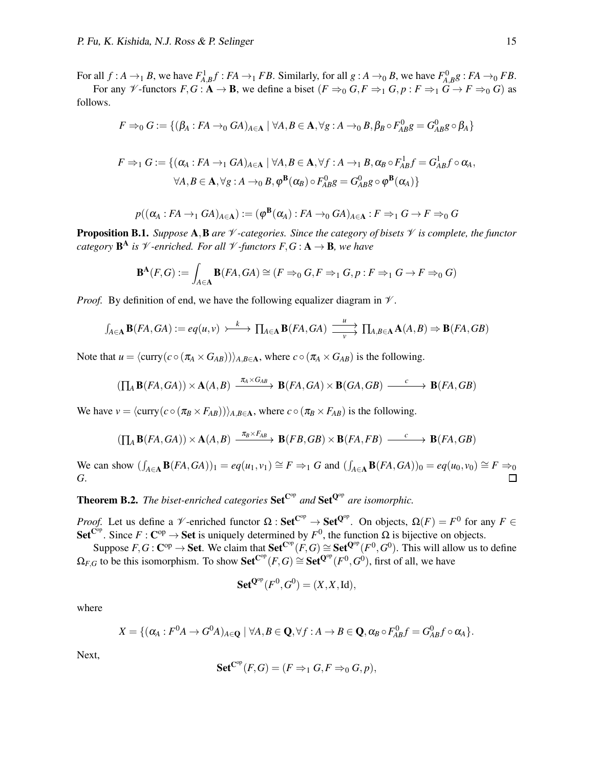For all  $f : A \to_1 B$ , we have  $F_{A,B}^1 f : FA \to_1 FB$ . Similarly, for all  $g : A \to_0 B$ , we have  $F_{A,B}^0 g : FA \to_0 FB$ . For any  $\mathscr V$ -functors  $F, G: \mathbf{A} \to \mathbf{B}$ , we define a biset  $(F \Rightarrow_0 G, F \Rightarrow_1 G, p: F \Rightarrow_1 G \to F \Rightarrow_0 G$  as

follows.

$$
F \Rightarrow_0 G := \{ (\beta_A : FA \to_0 GA)_{A \in \mathbf{A}} \mid \forall A, B \in \mathbf{A}, \forall g : A \to_0 B, \beta_B \circ F_{AB}^0 g = G_{AB}^0 g \circ \beta_A \}
$$

$$
F \Rightarrow_1 G := \{ (\alpha_A : FA \to_1 GA)_{A \in \mathbf{A}} \mid \forall A, B \in \mathbf{A}, \forall f : A \to_1 B, \alpha_B \circ F_{AB}^1 f = G_{AB}^1 f \circ \alpha_A, \\ \forall A, B \in \mathbf{A}, \forall g : A \to_0 B, \varphi^{\mathbf{B}}(\alpha_B) \circ F_{AB}^0 g = G_{AB}^0 g \circ \varphi^{\mathbf{B}}(\alpha_A) \}
$$

$$
p((\alpha_A : FA \to_1 GA)_{A \in \mathbf{A}}) := (\varphi^{\mathbf{B}}(\alpha_A) : FA \to_0 GA)_{A \in \mathbf{A}} : F \Rightarrow_1 G \to F \Rightarrow_0 G
$$

Proposition B.1. *Suppose* A,B *are* V *-categories. Since the category of bisets* V *is complete, the functor category* B <sup>A</sup> *is* V *-enriched. For all* V *-functors F*,*G* : A → B*, we have*

$$
\mathbf{B}^{\mathbf{A}}(F,G) := \int_{A \in \mathbf{A}} \mathbf{B}(FA, GA) \cong (F \Rightarrow_0 G, F \Rightarrow_1 G, p : F \Rightarrow_1 G \to F \Rightarrow_0 G)
$$

*Proof.* By definition of end, we have the following equalizer diagram in  $\mathcal V$ .

$$
\int_{A\in\mathbf{A}} \mathbf{B}(FA, GA) := eq(u, v) \longrightarrow \prod_{A\in\mathbf{A}} \mathbf{B}(FA, GA) \xrightarrow[v \to]{} \prod_{A,B\in\mathbf{A}} \mathbf{A}(A, B) \Rightarrow \mathbf{B}(FA, GB)
$$

Note that  $u = \langle \text{curry}(c \circ (\pi_A \times G_{AB})) \rangle_{A, B \in \mathbf{A}}$ , where  $c \circ (\pi_A \times G_{AB})$  is the following.

$$
(\prod_{A} \mathbf{B}(FA, GA)) \times \mathbf{A}(A, B) \xrightarrow{\pi_{A} \times G_{AB}} \mathbf{B}(FA, GA) \times \mathbf{B}(GA, GB) \xrightarrow{c} \mathbf{B}(FA, GB)
$$

We have  $v = \langle \text{curry}(c \circ (\pi_B \times F_{AB})) \rangle_{A,B \in \mathbf{A}}$ , where  $c \circ (\pi_B \times F_{AB})$  is the following.

$$
(\prod_{A} \mathbf{B}(FA, GA)) \times \mathbf{A}(A, B) \xrightarrow{\pi_B \times F_{AB}} \mathbf{B}(FB, GB) \times \mathbf{B}(FA, FB) \xrightarrow{c} \mathbf{B}(FA, GB)
$$

We can show  $(\int_{A \in \mathbf{A}} \mathbf{B}(FA, GA))_1 = eq(u_1, v_1) \cong F \Rightarrow_1 G$  and  $(\int_{A \in \mathbf{A}} \mathbf{B}(FA, GA))_0 = eq(u_0, v_0) \cong F \Rightarrow_0$ *G*.  $\Box$ 

**Theorem B.2.** The biset-enriched categories  $Set^{C^{op}}$  and  $Set^{Q^{op}}$  are isomorphic.

*Proof.* Let us define a V-enriched functor  $\Omega$ : Set<sup>Cop</sup>  $\to$  Set<sup>Qop</sup>. On objects,  $\Omega(F) = F^0$  for any  $F \in$ Set<sup>Cop</sup>. Since  $F : \mathbf{C}^{op} \to \mathbf{Set}$  is uniquely determined by  $F^0$ , the function  $\Omega$  is bijective on objects.

Suppose  $F, G: \mathbb{C}^{op} \to \mathbf{Set}$ . We claim that  $\mathbf{Set}^{\mathbb{C}^{op}}(F, G) \cong \mathbf{Set}^{\mathbb{Q}^{op}}(F^0, G^0)$ . This will allow us to define  $\Omega_{F,G}$  to be this isomorphism. To show  $\mathbf{Set}^{\mathbf{C}^{op}}(F,G) \cong \mathbf{Set}^{\mathbf{Q}^{op}}(F^0,G^0)$ , first of all, we have

$$
\mathbf{Set}^{\mathbf{Q}^{\mathrm{op}}}(F^0, G^0) = (X, X, \mathrm{Id}),
$$

where

$$
X = \{ (\alpha_A : F^0 A \to G^0 A)_{A \in \mathbf{Q}} \mid \forall A, B \in \mathbf{Q}, \forall f : A \to B \in \mathbf{Q}, \alpha_B \circ F^0_{AB} f = G^0_{AB} f \circ \alpha_A \}.
$$

Next,

$$
\mathbf{Set}^{\mathbf{C}^{op}}(F,G)=(F\Rightarrow_1 G,F\Rightarrow_0 G,p),
$$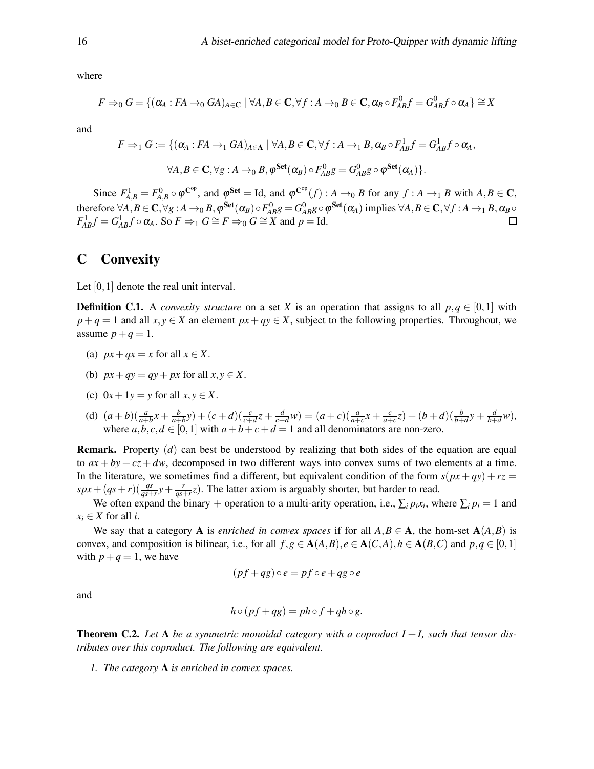where

$$
F \Rightarrow_0 G = \{ (\alpha_A : FA \rightarrow_0 GA)_{A \in \mathbf{C}} \mid \forall A, B \in \mathbf{C}, \forall f : A \rightarrow_0 B \in \mathbf{C}, \alpha_B \circ F_{AB}^0 f = G_{AB}^0 f \circ \alpha_A \} \cong X
$$

and

$$
F \Rightarrow_1 G := \{ (\alpha_A : FA \to_1 GA)_{A \in \mathbf{A}} \mid \forall A, B \in \mathbf{C}, \forall f : A \to_1 B, \alpha_B \circ F_{AB}^1 f = G_{AB}^1 f \circ \alpha_A,
$$
  

$$
\forall A, B \in \mathbf{C}, \forall g : A \to_0 B, \varphi^{\mathbf{Set}}(\alpha_B) \circ F_{AB}^0 g = G_{AB}^0 g \circ \varphi^{\mathbf{Set}}(\alpha_A) \}.
$$

Since  $F_{A,B}^1 = F_{A,B}^0 \circ \varphi^{\mathbf{C}^{\mathrm{op}}}$ , and  $\varphi^{\mathbf{Set}} = \text{Id}$ , and  $\varphi^{\mathbf{C}^{\mathrm{op}}}(f) : A \to_0 B$  for any  $f : A \to_1 B$  with  $A, B \in \mathbf{C}$ , therefore  $\forall A, B \in \mathbf{C}, \forall g : A \rightarrow_0 B, \phi^{\mathbf{Set}}(\alpha_B) \circ F^0_{AB}g = G^0_{AB}g \circ \phi^{\mathbf{Set}}(\alpha_A)$  implies  $\forall A, B \in \mathbf{C}, \forall f : A \rightarrow_1 B, \alpha_B \circ \phi^{\mathbf{Set}}(\alpha_A)$  $F_{AB}^1 f = G_{AB}^1 f \circ \alpha_A$ . So  $F \Rightarrow_1 G \cong F \Rightarrow_0 G \cong X$  and  $p = \text{Id}$ .

#### <span id="page-15-0"></span>C Convexity

Let [0,1] denote the real unit interval.

**Definition C.1.** A *convexity structure* on a set *X* is an operation that assigns to all  $p, q \in [0, 1]$  with  $p + q = 1$  and all  $x, y \in X$  an element  $px + qy \in X$ , subject to the following properties. Throughout, we assume  $p+q=1$ .

- (a)  $px+qx = x$  for all  $x \in X$ .
- (b)  $px+qy = qy+px$  for all  $x, y \in X$ .
- (c)  $0x + 1y = y$  for all  $x, y \in X$ .
- (d)  $(a+b)(\frac{a}{a+b}x + \frac{b}{a+b})$  $\frac{b}{a+b}y$  +  $(c+d)(\frac{c}{c+d}z + \frac{d}{c+1})$  $\frac{d}{c+d}w$ ) =  $(a + c)(\frac{a}{a+c}x + \frac{c}{a+c})$  $\frac{c}{a+c}z$ ) +  $(b+d)(\frac{b}{b+d}y + \frac{d}{b+c}y)$  $\frac{d}{b+d}$ *w*), where  $a, b, c, d \in [0, 1]$  with  $a + b + c + d = 1$  and all denominators are non-zero.

Remark. Property (*d*) can best be understood by realizing that both sides of the equation are equal to  $ax + by + cz + dw$ , decomposed in two different ways into convex sums of two elements at a time. In the literature, we sometimes find a different, but equivalent condition of the form  $s(px + qy) + rz =$  $spx + (qs + r)(\frac{qs}{qs+r}y + \frac{r}{qs+r})$  $\frac{r}{qs+r}$ z). The latter axiom is arguably shorter, but harder to read.

We often expand the binary + operation to a multi-arity operation, i.e.,  $\sum_i p_i x_i$ , where  $\sum_i p_i = 1$  and  $x_i \in X$  for all *i*.

We say that a category **A** is *enriched in convex spaces* if for all  $A, B \in \mathbf{A}$ , the hom-set  $\mathbf{A}(A, B)$  is convex, and composition is bilinear, i.e., for all  $f, g \in A(A, B), e \in A(C, A), h \in A(B, C)$  and  $p, q \in [0, 1]$ with  $p+q=1$ , we have

$$
(pf+qg)\circ e = pf\circ e + qg\circ e
$$

and

$$
h \circ (pf + qg) = ph \circ f + qh \circ g.
$$

<span id="page-15-1"></span>**Theorem C.2.** Let  $A$  be a symmetric monoidal category with a coproduct  $I + I$ , such that tensor dis*tributes over this coproduct. The following are equivalent.*

*1. The category* A *is enriched in convex spaces.*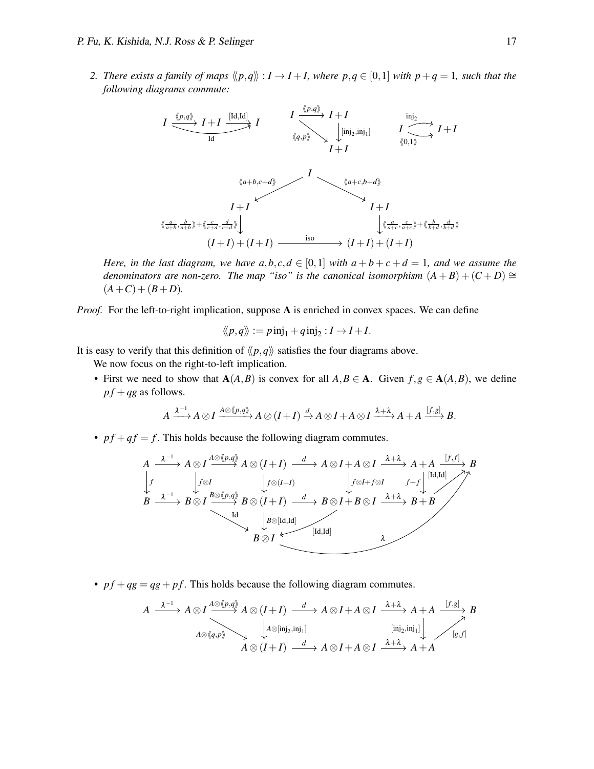2. There exists a family of maps  $\langle p,q \rangle : I \to I + I$ , where  $p,q \in [0,1]$  with  $p+q=1$ , such that the *following diagrams commute:*



*Here, in the last diagram, we have*  $a,b,c,d \in [0,1]$  *with*  $a+b+c+d=1$ *, and we assume the denominators are non-zero. The map "iso" is the canonical isomorphism*  $(A + B) + (C + D) \cong$  $(A+C)+(B+D)$ .

*Proof.* For the left-to-right implication, suppose A is enriched in convex spaces. We can define

$$
\langle\!\langle p,q\rangle\!\rangle := p\operatorname{inj}_1 + q\operatorname{inj}_2 : I \to I + I.
$$

It is easy to verify that this definition of  $\langle p, q \rangle$  satisfies the four diagrams above.

We now focus on the right-to-left implication.

• First we need to show that  $A(A, B)$  is convex for all  $A, B \in A$ . Given  $f, g \in A(A, B)$ , we define  $pf+qg$  as follows.

$$
A \xrightarrow{\lambda^{-1}} A \otimes I \xrightarrow{A \otimes \langle p,q \rangle} A \otimes (I+I) \xrightarrow{d} A \otimes I + A \otimes I \xrightarrow{\lambda + \lambda} A + A \xrightarrow{[f,g]} B.
$$

•  $pf + qf = f$ . This holds because the following diagram commutes.

$$
A \xrightarrow{\lambda^{-1}} A \otimes I \xrightarrow{A \otimes (p,q)} A \otimes (I+I) \xrightarrow{d} A \otimes I + A \otimes I \xrightarrow{\lambda + \lambda} A + A \xrightarrow{[f,f]} B
$$
  
\n
$$
\downarrow f
$$
  
\n
$$
B \xrightarrow{\lambda^{-1}} B \otimes I \xrightarrow{B \otimes (p,q)} B \otimes (I+I) \xrightarrow{d} B \otimes I + B \otimes I \xrightarrow{\lambda + \lambda} B + B
$$
  
\n
$$
\downarrow g
$$
  
\n
$$
B \otimes I \xrightarrow{\downarrow a \otimes [Id,Id]}
$$
  
\n
$$
B \otimes I \xrightarrow{\downarrow a \otimes [Id,Id]}
$$
  
\n
$$
A \otimes I + A \otimes I \xrightarrow{A + \lambda} A + A \xrightarrow{[f,f]} B
$$

•  $pf+qg = qg + pf$ . This holds because the following diagram commutes.

$$
A \xrightarrow{\lambda^{-1}} A \otimes I \xrightarrow{A \otimes (p,q)} A \otimes (I+I) \xrightarrow{d} A \otimes I + A \otimes I \xrightarrow{\lambda + \lambda} A + A \xrightarrow{[f,g]} B
$$
  
\n
$$
A \otimes \langle q, p \rangle \longrightarrow A \otimes (I+I) \xrightarrow{d} A \otimes I + A \otimes I \xrightarrow{\lambda + \lambda} A + A
$$
  
\n
$$
\xrightarrow{[inj_2,inj_1]} A \otimes I + A \otimes I \xrightarrow{\lambda + \lambda} A + A
$$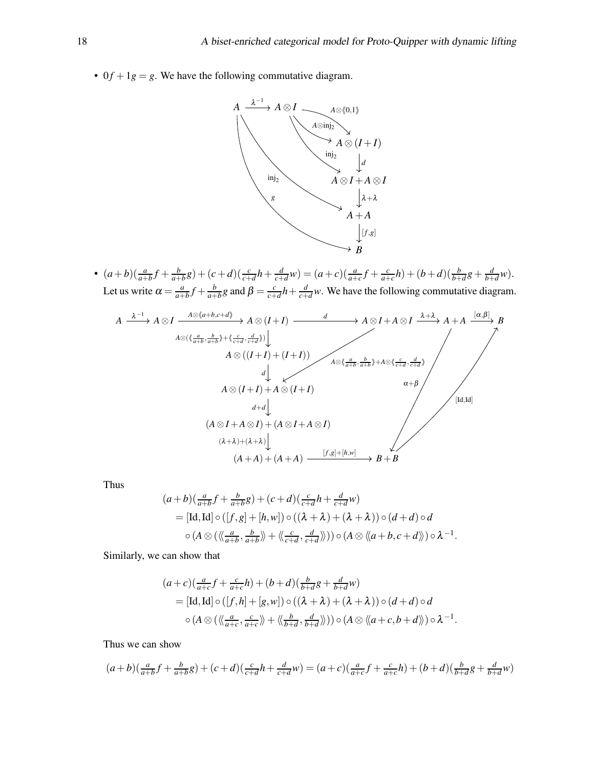• 0 $f + 1g = g$ . We have the following commutative diagram.



•  $(a+b)(\frac{a}{a+b}f + \frac{b}{a+b})$  $\frac{b}{a+b}g$ ) + (*c*+*d*)( $\frac{c}{c+d}h + \frac{d}{c+1}$  $\frac{d}{c+d}w$ ) =  $(a+c)(\frac{a}{a+c}f + \frac{c}{a+c})$  $\frac{c}{a+c}h$ ) + (*b* + *d*)( $\frac{b}{b+d}g$  +  $\frac{d}{b+d}$  $\frac{d}{b+d}w$ ). Let us write  $\alpha = \frac{a}{a^+}$  $\frac{a}{a+b}f + \frac{b}{a+b}$  $\frac{b}{a+b}$ *g* and  $\beta = \frac{c}{c+b}$  $\frac{c}{c+d}h + \frac{d}{c+1}$  $\frac{d}{c+d}$ *w*. We have the following commutative diagram.

$$
A \xrightarrow{\lambda^{-1}} A \otimes I \xrightarrow{A \otimes (a+b,c+d)} A \otimes (I+I) \xrightarrow{d} A \otimes I + A \otimes I \xrightarrow{\lambda+\lambda} A + A \xrightarrow{[\alpha,\beta]} B
$$
  
\n
$$
A \otimes ((\frac{a}{a+b}, \frac{b}{a+b}) + (\frac{c}{c+d}, \frac{d}{c+d})) \downarrow
$$
  
\n
$$
A \otimes ((I+I) + (I+I))
$$
  
\n
$$
A \otimes (\frac{a}{a+b}, \frac{b}{a+b}) + A \otimes (\frac{c}{c+d}, \frac{d}{c+d})
$$
  
\n
$$
A \otimes (I+I) + A \otimes (I+I)
$$
  
\n
$$
A \otimes (I+I) + A \otimes (I+I)
$$
  
\n
$$
(A \otimes I + A \otimes I) + (A \otimes I + A \otimes I)
$$
  
\n
$$
(A+A) + (A+A) \xrightarrow{[f,g]+[h,w]} B + B
$$
  
\n
$$
(A+A) + (A+A) \xrightarrow{[f,g]+[h,w]} B + B
$$

Thus

$$
(a+b)(\frac{a}{a+b}f + \frac{b}{a+b}g) + (c+d)(\frac{c}{c+d}h + \frac{d}{c+d}w)
$$
  
= [Id, Id] \circ ([f,g] + [h,w]) \circ ((\lambda + \lambda) + (\lambda + \lambda)) \circ (d+d) \circ d  

$$
\circ (A \otimes (\langle \langle \frac{a}{a+b}, \frac{b}{a+b} \rangle \rangle + \langle \langle \frac{c}{c+d}, \frac{d}{c+d} \rangle \rangle)) \circ (A \otimes \langle \langle a+b, c+d \rangle \rangle) \circ \lambda^{-1}.
$$

Similarly, we can show that

$$
(a+c)\left(\frac{a}{a+c}f + \frac{c}{a+c}h\right) + (b+d)\left(\frac{b}{b+d}g + \frac{d}{b+d}w\right)
$$
  
= [Id, Id]  $\circ$  ([f,h] + [g,w])  $\circ$  (( $\lambda + \lambda$ ) + ( $\lambda + \lambda$ ))  $\circ$  ( $d + d$ )  $\circ$  $d$   
 $\circ$  ( $A \otimes (\langle \frac{a}{a+c}, \frac{c}{a+c} \rangle \rangle + \langle \langle \frac{b}{b+d}, \frac{d}{b+d} \rangle \rangle) )  $\circ$  ( $A \otimes \langle a+c, b+d \rangle$ )  $\circ \lambda^{-1}$ .$ 

Thus we can show

$$
(a+b)(\frac{a}{a+b}f+\frac{b}{a+b}g)+(c+d)(\frac{c}{c+d}h+\frac{d}{c+d}w)=(a+c)(\frac{a}{a+c}f+\frac{c}{a+c}h)+(b+d)(\frac{b}{b+d}g+\frac{d}{b+d}w)
$$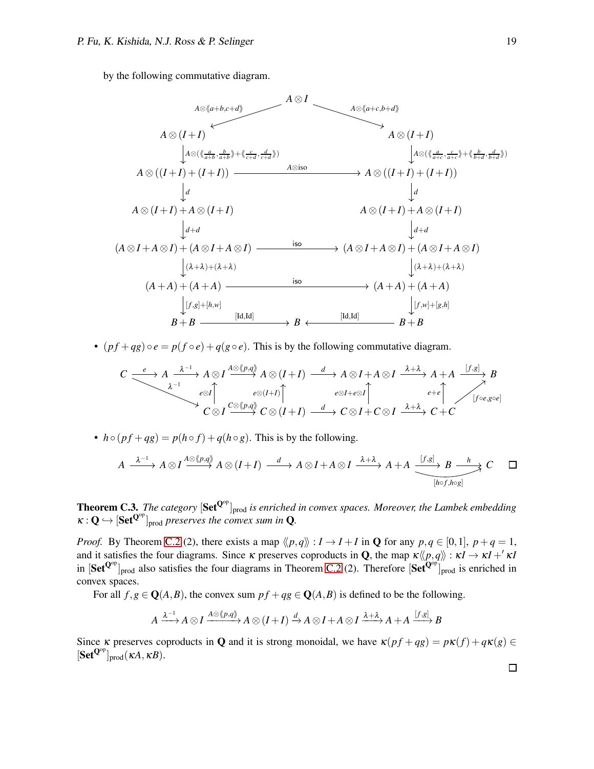by the following commutative diagram.



•  $(p f + q g) \circ e = p(f \circ e) + q(g \circ e)$ . This is by the following commutative diagram.

$$
C \xrightarrow{\cdot} A \xrightarrow{\lambda^{-1}} A \otimes I \xrightarrow{\Lambda \otimes (p,q)} A \otimes (I+I) \xrightarrow{d} A \otimes I + A \otimes I \xrightarrow{\lambda+\lambda} A + A \xrightarrow{[f,g]} B
$$
  

$$
\xrightarrow{\cdot} C \otimes I \xrightarrow{c \otimes (p,q)} C \otimes (I+I) \xrightarrow{d} C \otimes I + C \otimes I \xrightarrow{\lambda+\lambda} C + C
$$

•  $h \circ (pf + qg) = p(h \circ f) + q(h \circ g)$ . This is by the following.

$$
A \xrightarrow{\lambda^{-1}} A \otimes I \xrightarrow{A \otimes \langle p,q \rangle} A \otimes (I+I) \xrightarrow{d} A \otimes I + A \otimes I \xrightarrow{\lambda + \lambda} A + A \xrightarrow{[f,g]} B \xrightarrow{h} C \square
$$

**Theorem C.3.** *The category*  $[Set^{Q^{op}}]_{prod}$  *is enriched in convex spaces. Moreover, the Lambek embedding*  $\kappa: \mathbf{Q} \hookrightarrow [\mathbf{Set}^{\mathbf{Q}^{op}}]_{\text{prod} }$  *preserves the convex sum in* Q.

*Proof.* By Theorem [C.2](#page-15-1) (2), there exists a map  $\langle p, q \rangle : I \to I + I$  in **Q** for any  $p, q \in [0, 1], p + q = 1$ , and it satisfies the four diagrams. Since  $\kappa$  preserves coproducts in **Q**, the map  $\kappa \langle p, q \rangle : \kappa I \to \kappa I +' \kappa I$ in  $[Set^{Q^{op}}]_{prod}$  also satisfies the four diagrams in Theorem [C.2](#page-15-1) (2). Therefore  $[Set^{Q^{op}}]_{prod}$  is enriched in convex spaces.

For all  $f, g \in \mathbf{Q}(A, B)$ , the convex sum  $pf + qg \in \mathbf{Q}(A, B)$  is defined to be the following.

$$
A \xrightarrow{\lambda^{-1}} A \otimes I \xrightarrow{A \otimes \langle p,q \rangle} A \otimes (I+I) \xrightarrow{d} A \otimes I + A \otimes I \xrightarrow{\lambda + \lambda} A + A \xrightarrow{[f,g]} B
$$

Since  $\kappa$  preserves coproducts in **Q** and it is strong monoidal, we have  $\kappa (pf+qg) = p\kappa (f) + q\kappa (g) \in$  $[\textbf{Set}^{\mathbf{Q}^{op}}]_{\text{prod}}(\kappa A, \kappa B).$ 

 $\Box$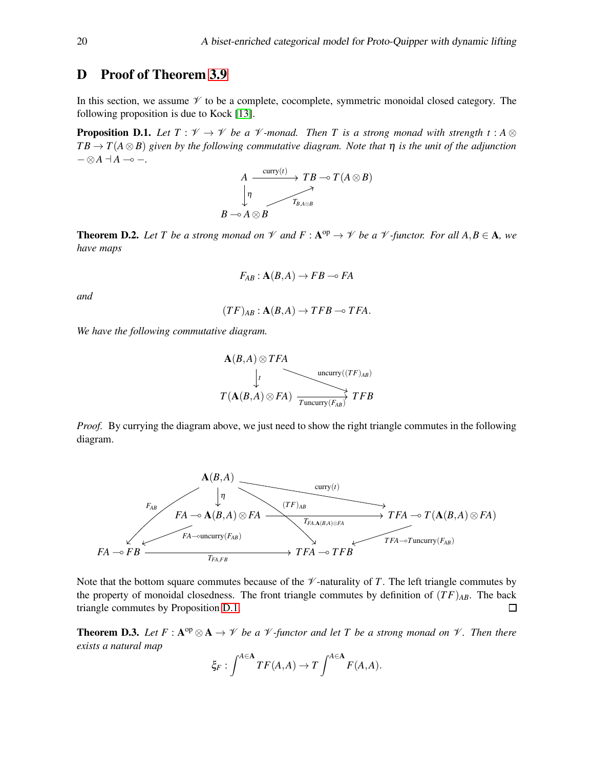## <span id="page-19-0"></span>D Proof of Theorem [3.9](#page-7-3)

In this section, we assume  $\mathcal V$  to be a complete, cocomplete, symmetric monoidal closed category. The following proposition is due to Kock [\[13\]](#page-12-15).

<span id="page-19-1"></span>**Proposition D.1.** Let  $T : \mathcal{V} \to \mathcal{V}$  be a  $\mathcal{V}$ -monad. Then T is a strong monad with strength  $t : A \otimes$  $TB \to T(A \otimes B)$  given by the following commutative diagram. Note that  $\eta$  is the unit of the adjunction − ⊗*A* ⊣ *A* ⊸ −*.*

$$
\begin{array}{ccc}\nA & \xrightarrow{\text{curry}(t)} & TB \multimap T(A \otimes B) \\
\downarrow & & \nearrow & \\
B \multimap A \otimes B & & \\
\end{array}
$$

<span id="page-19-2"></span>**Theorem D.2.** Let T be a strong monad on  $\mathcal V$  and  $F : A^{op} \to \mathcal V$  be a  $\mathcal V$ -functor. For all  $A, B \in A$ , we *have maps*

$$
F_{AB}: \mathbf{A}(B,A) \to FB \multimap FA
$$

*and*

$$
(TF)_{AB} : \mathbf{A}(B,A) \to TFB \multimap TFA.
$$

*We have the following commutative diagram.*

$$
\mathbf{A}(B,A) \otimes TFA
$$
\n
$$
\downarrow t
$$
\n
$$
T(\mathbf{A}(B,A) \otimes FA)
$$
\n
$$
\xrightarrow[T \text{uncurry}(TF)_{AB}]{\text{uncurry}((TF)_{AB})}
$$
\n
$$
TFB
$$

*Proof.* By currying the diagram above, we just need to show the right triangle commutes in the following diagram.



Note that the bottom square commutes because of the  $\mathcal V$ -naturality of *T*. The left triangle commutes by the property of monoidal closedness. The front triangle commutes by definition of  $(TF)_{AB}$ . The back triangle commutes by Proposition [D.1.](#page-19-1)  $\Box$ 

<span id="page-19-3"></span>**Theorem D.3.** Let  $F: A^{op} \otimes A \to V$  be a  $V$ -functor and let T be a strong monad on  $V$ . Then there *exists a natural map*

$$
\xi_F: \int^{A \in \mathbf{A}} TF(A, A) \to T \int^{A \in \mathbf{A}} F(A, A).
$$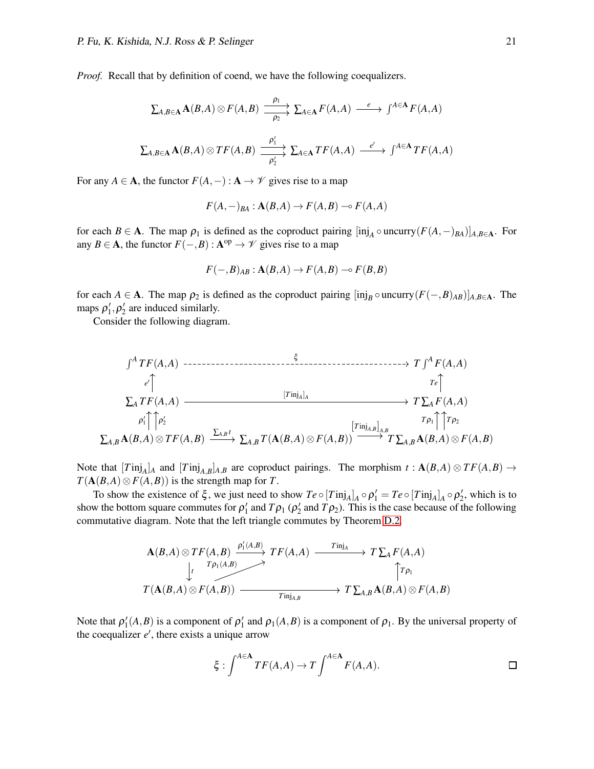*Proof.* Recall that by definition of coend, we have the following coequalizers.

$$
\sum_{A,B\in\mathbf{A}}\mathbf{A}(B,A)\otimes F(A,B)\xrightarrow[\rho_2]{\rho_1} \sum_{A\in\mathbf{A}}F(A,A)\xrightarrow{e} \int^{A\in\mathbf{A}}F(A,A)
$$
  

$$
\sum_{A,B\in\mathbf{A}}\mathbf{A}(B,A)\otimes TF(A,B)\xrightarrow[\rho_1]{\rho_1'} \sum_{A\in\mathbf{A}}TF(A,A)\xrightarrow{e'}\int^{A\in\mathbf{A}}TF(A,A)
$$

 $\rho'_2$ 

For any  $A \in \mathbf{A}$ , the functor  $F(A, -): \mathbf{A} \to \mathcal{V}$  gives rise to a map

$$
F(A, -)_{BA} : \mathbf{A}(B, A) \to F(A, B) \to F(A, A)
$$

for each *B* ∈ **A**. The map  $\rho_1$  is defined as the coproduct pairing  $\left[$ inj<sub>A</sub>  $\circ$  uncurry( $F(A, -)_{BA}$ )]<sub>*A*,*B*∈A. For</sub> any *B*  $\in$  **A**, the functor  $F(-, B)$  :  $A^{\text{op}} \to \mathcal{V}$  gives rise to a map

$$
F(-,B)_{AB} : \mathbf{A}(B,A) \to F(A,B) \to F(B,B)
$$

for each *A*  $\in$  **A**. The map  $\rho_2$  is defined as the coproduct pairing  $[\text{inj}_B \circ \text{uncarry}(F(-, B)_{AB})]_{A, B \in \mathbf{A}}$ . The maps  $\rho'_1, \rho'_2$  are induced similarly.

Consider the following diagram.

$$
\int^{A} TF(A, A) \longrightarrow TF(A, A)
$$
\n
$$
\downarrow^{c}
$$
\n
$$
\sum_{A} TF(A, A) \longrightarrow T\sum_{A} F(A, A)
$$
\n
$$
\downarrow^{c}
$$
\n
$$
\downarrow^{c}
$$
\n
$$
\downarrow^{c}
$$
\n
$$
\downarrow^{c}
$$
\n
$$
\downarrow^{c}
$$
\n
$$
\downarrow^{c}
$$
\n
$$
\downarrow^{c}
$$
\n
$$
\downarrow^{c}
$$
\n
$$
\downarrow^{c}
$$
\n
$$
\downarrow^{c}
$$
\n
$$
\downarrow^{c}
$$
\n
$$
\downarrow^{c}
$$
\n
$$
\downarrow^{c}
$$
\n
$$
\downarrow^{c}
$$
\n
$$
\downarrow^{c}
$$
\n
$$
\downarrow^{c}
$$
\n
$$
\downarrow^{c}
$$
\n
$$
\downarrow^{c}
$$
\n
$$
\downarrow^{c}
$$
\n
$$
\downarrow^{c}
$$
\n
$$
\downarrow^{c}
$$
\n
$$
\downarrow^{c}
$$
\n
$$
\downarrow^{c}
$$
\n
$$
\downarrow^{c}
$$
\n
$$
\downarrow^{c}
$$
\n
$$
\downarrow^{c}
$$
\n
$$
\downarrow^{c}
$$
\n
$$
\downarrow^{c}
$$
\n
$$
\downarrow^{c}
$$
\n
$$
\downarrow^{c}
$$
\n
$$
\downarrow^{c}
$$
\n
$$
\downarrow^{c}
$$
\n
$$
\downarrow^{c}
$$
\n
$$
\downarrow^{c}
$$
\n
$$
\downarrow^{c}
$$
\n
$$
\downarrow^{c}
$$
\n
$$
\downarrow^{c}
$$
\n
$$
\downarrow^{c}
$$
\n
$$
\downarrow^{c}
$$
\n
$$
\downarrow^{c}
$$
\n
$$
\downarrow^{c}
$$
\n
$$
\downarrow^{c}
$$
\n
$$
\downarrow^{c}
$$
\n
$$
\downarrow^{c}
$$
\n
$$
\downarrow^{c}
$$
\n
$$
\downarrow^{c}
$$
\n
$$
\downarrow^{c}
$$
\n
$$
\downarrow^{c}
$$
\n
$$
\downarrow^{c}
$$
\n
$$
\downarrow
$$

Note that  $[T\text{inj}_A]_A$  and  $[T\text{inj}_{A,B}]_{A,B}$  are coproduct pairings. The morphism  $t : A(B,A) \otimes TF(A,B) \rightarrow$  $T(A(B,A) \otimes F(A,B))$  is the strength map for *T*.

To show the existence of  $\xi$ , we just need to show  $Te \circ [T\text{inj}_A]_A \circ \rho'_1 = Te \circ [T\text{inj}_A]_A \circ \rho'_2$ , which is to show the bottom square commutes for  $\rho'_1$  and  $T\rho_1$  ( $\rho'_2$  and  $T\rho_2$ ). This is the case because of the following commutative diagram. Note that the left triangle commutes by Theorem [D.2.](#page-19-2)

$$
\mathbf{A}(B,A) \otimes TF(A,B) \xrightarrow{P'_1(A,B)} TF(A,A) \xrightarrow{T\mathsf{inj}_A} T \sum_{A} F(A,A)
$$
\n
$$
\downarrow \qquad \qquad \downarrow \qquad \qquad \uparrow \qquad \qquad \uparrow \qquad \uparrow \qquad \uparrow \qquad \uparrow \qquad \uparrow \qquad \uparrow \qquad \uparrow \qquad \uparrow \qquad \uparrow \qquad \uparrow \qquad \uparrow \qquad \uparrow \qquad \uparrow \qquad \uparrow \qquad \uparrow \qquad \uparrow \qquad \uparrow \qquad \uparrow \qquad \uparrow \qquad \uparrow \qquad \uparrow \qquad \uparrow \qquad \uparrow \qquad \uparrow \qquad \uparrow \qquad \uparrow \qquad \uparrow \qquad \uparrow \qquad \uparrow \qquad \uparrow \qquad \uparrow \qquad \uparrow \qquad \uparrow \qquad \uparrow \qquad \uparrow \qquad \uparrow \qquad \uparrow \qquad \uparrow \qquad \uparrow \qquad \uparrow \qquad \uparrow \qquad \uparrow \qquad \uparrow \qquad \uparrow \qquad \uparrow \qquad \uparrow \qquad \uparrow \qquad \uparrow \qquad \uparrow \qquad \uparrow \qquad \uparrow \qquad \uparrow \qquad \uparrow \qquad \uparrow \qquad \uparrow \qquad \uparrow \qquad \uparrow \qquad \uparrow \qquad \uparrow \qquad \uparrow \qquad \uparrow \qquad \uparrow \qquad \uparrow \qquad \uparrow \qquad \uparrow \qquad \uparrow \qquad \uparrow \qquad \uparrow \qquad \uparrow \qquad \uparrow \qquad \uparrow \qquad \uparrow \qquad \uparrow \qquad \uparrow \qquad \uparrow \qquad \uparrow \qquad \uparrow \qquad \uparrow \qquad \uparrow \qquad \uparrow \qquad \uparrow \qquad \uparrow \qquad \uparrow \qquad \uparrow \qquad \uparrow \qquad \uparrow \qquad \uparrow \qquad \uparrow \qquad \uparrow \qquad \uparrow \qquad \uparrow \qquad \uparrow \qquad \uparrow \qquad \uparrow \qquad \uparrow \qquad \uparrow \qquad \uparrow \qquad \uparrow \qquad \uparrow \qquad \uparrow \qquad \uparrow \qquad \uparrow \qquad \uparrow \qquad \uparrow \qquad \uparrow \qquad \uparrow \qquad \uparrow \qquad \uparrow \qquad \uparrow \qquad \uparrow \qquad \uparrow \qquad \uparrow \qquad
$$

Note that  $\rho'_1(A,B)$  is a component of  $\rho'_1$  and  $\rho_1(A,B)$  is a component of  $\rho_1$ . By the universal property of the coequalizer *e* ′ , there exists a unique arrow

$$
\xi : \int^{A \in \mathbf{A}} TF(A, A) \to T \int^{A \in \mathbf{A}} F(A, A).
$$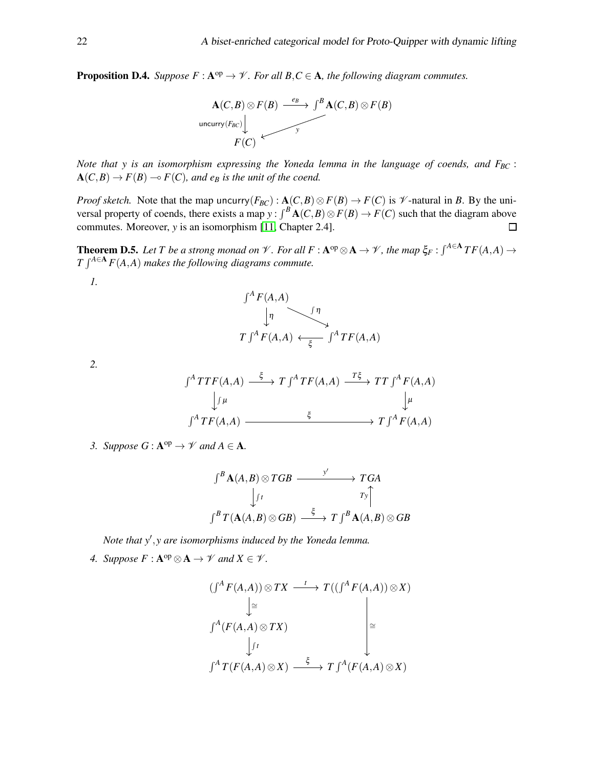<span id="page-21-0"></span>**Proposition D.4.** *Suppose*  $F : A^{op} \to V$ *. For all*  $B, C \in A$ *, the following diagram commutes.* 



*Note that y is an isomorphism expressing the Yoneda lemma in the language of coends, and FBC* :  $A(C,B) \rightarrow F(B) \rightarrow F(C)$ , and e<sub>B</sub> is the unit of the coend.

*Proof sketch.* Note that the map uncurry( $F_{BC}$ ):  $\mathbf{A}(C,B) \otimes F(B) \to F(C)$  is  $\mathcal V$ -natural in *B*. By the universal property of coends, there exists a map  $y: \int^B \mathbf{A}(C, B) \otimes F(B) \to F(C)$  such that the diagram above commutes. Moreover, *y* is an isomorphism [\[11,](#page-12-10) Chapter 2.4].  $\Box$ 

<span id="page-21-1"></span>**Theorem D.5.** Let T be a strong monad on  $\mathscr V$ . For all  $F : A^{op} \otimes A \to \mathscr V$ , the map  $\xi_F : \int^{A \in A} TF(A,A) \to$  $T \int^{A \in \mathbf{A}} F(A, A)$  *makes the following diagrams commute.* 

*1.*

$$
\int^A F(A, A)
$$
\n
$$
\downarrow \eta
$$
\n
$$
T \int^A F(A, A) \leftarrow \int_{\xi}^{\eta} \int^A T F(A, A)
$$

*2.*

$$
\int^{A} TTF(A, A) \xrightarrow{\xi} T \int^{A} TF(A, A) \xrightarrow{T\xi} TT \int^{A} F(A, A)
$$
  

$$
\downarrow \int \mu \qquad \qquad \downarrow \mu
$$
  

$$
\int^{A} TF(A, A) \xrightarrow{\xi} T \int^{A} F(A, A)
$$

*3. Suppose*  $G: \mathbf{A}^{op} \to \mathcal{V}$  and  $A \in \mathbf{A}$ .

$$
\int^B \mathbf{A}(A,B) \otimes TGB \xrightarrow{\qquad \qquad y' \qquad} TGA
$$
\n
$$
\downarrow f \qquad \qquad Ty \uparrow
$$
\n
$$
\int^B T(\mathbf{A}(A,B) \otimes GB) \xrightarrow{\qquad \xi \qquad} T \int^B \mathbf{A}(A,B) \otimes GB
$$

*Note that y*′ ,*y are isomorphisms induced by the Yoneda lemma.*

*4.* Suppose  $F : A^{op} \otimes A \rightarrow \mathcal{V}$  and  $X \in \mathcal{V}$ .

$$
(f^{A} F(A, A)) \otimes TX \xrightarrow{t} T((f^{A} F(A, A)) \otimes X)
$$
  
\n
$$
\downarrow \cong
$$
  
\n
$$
f^{A}(F(A, A) \otimes TX)
$$
  
\n
$$
\downarrow f^{t}
$$
  
\n
$$
f^{A} T(F(A, A) \otimes X) \xrightarrow{\xi} T f^{A}(F(A, A) \otimes X)
$$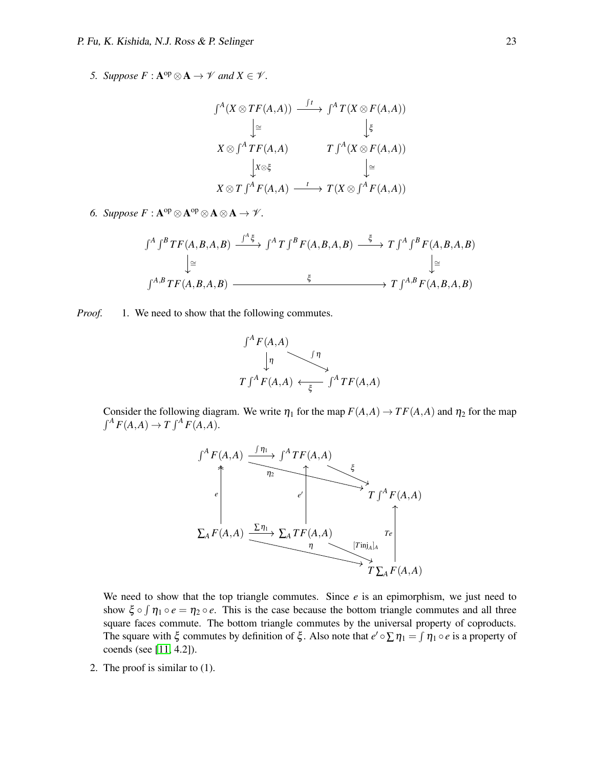*5. Suppose*  $F : A^{op} \otimes A \rightarrow \mathcal{V}$  and  $X \in \mathcal{V}$ .

$$
\int^{A} (X \otimes TF(A, A)) \xrightarrow{\int f} \int^{A} T(X \otimes F(A, A))
$$
\n
$$
\downarrow \cong \qquad \qquad \downarrow \xi
$$
\n
$$
X \otimes \int^{A} TF(A, A) \qquad \qquad T \int^{A} (X \otimes F(A, A))
$$
\n
$$
\downarrow x \otimes \xi \qquad \qquad \downarrow \cong
$$
\n
$$
X \otimes T \int^{A} F(A, A) \xrightarrow{\quad t} T(X \otimes \int^{A} F(A, A))
$$

*6.* Suppose  $F: \mathbf{A}^{\mathrm{op}} \otimes \mathbf{A}^{\mathrm{op}} \otimes \mathbf{A} \otimes \mathbf{A} \to \mathcal{V}$ .

$$
\int^{A} \int^{B} TF(A, B, A, B) \xrightarrow{\int^{A} \xi} \int^{A} T \int^{B} F(A, B, A, B) \xrightarrow{\xi} T \int^{A} \int^{B} F(A, B, A, B)
$$
\n
$$
\downarrow \cong
$$
\n
$$
\int^{A, B} TF(A, B, A, B) \xrightarrow{\xi} T \int^{A, B} F(A, B, A, B)
$$

*Proof.* 1. We need to show that the following commutes.



Consider the following diagram. We write  $\eta_1$  for the map  $F(A,A) \to TF(A,A)$  and  $\eta_2$  for the map  $\int^A F(A,A) \to T \int^A F(A,A).$ 



We need to show that the top triangle commutes. Since  $e$  is an epimorphism, we just need to show  $\xi \circ \int \eta_1 \circ e = \eta_2 \circ e$ . This is the case because the bottom triangle commutes and all three square faces commute. The bottom triangle commutes by the universal property of coproducts. The square with  $\xi$  commutes by definition of  $\xi$ . Also note that  $e' \circ \sum \eta_1 = \int \eta_1 \circ e$  is a property of coends (see [\[11,](#page-12-10) 4.2]).

2. The proof is similar to (1).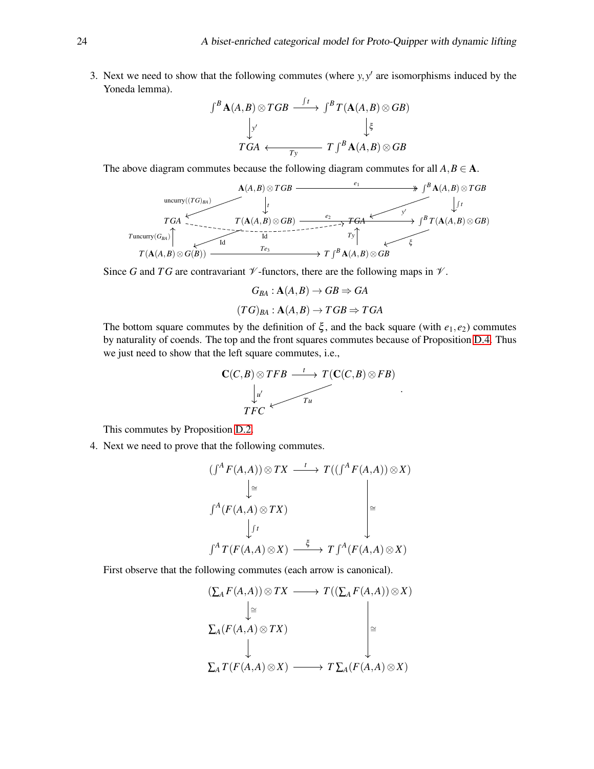3. Next we need to show that the following commutes (where  $y, y'$  are isomorphisms induced by the Yoneda lemma).

$$
\int^{B} \mathbf{A}(A,B) \otimes TGB \xrightarrow{\int t} \int^{B} T(\mathbf{A}(A,B) \otimes GB)
$$
\n
$$
\downarrow \zeta
$$
\n
$$
TGA \longleftarrow T\int^{B} \mathbf{A}(A,B) \otimes GB
$$

The above diagram commutes because the following diagram commutes for all  $A, B \in \mathbf{A}$ .



Since *G* and *TG* are contravariant  $\mathcal V$ -functors, there are the following maps in  $\mathcal V$ .

$$
G_{BA}: \mathbf{A}(A,B) \to GB \Rightarrow GA
$$

$$
(TG)_{BA}: \mathbf{A}(A,B) \to TGB \Rightarrow TGA
$$

The bottom square commutes by the definition of  $\xi$ , and the back square (with  $e_1, e_2$ ) commutes by naturality of coends. The top and the front squares commutes because of Proposition [D.4.](#page-21-0) Thus we just need to show that the left square commutes, i.e.,

$$
\mathbf{C}(C,B)\otimes TFB \xrightarrow{t} T(\mathbf{C}(C,B)\otimes FB) \xrightarrow[\mu]{} TFC
$$

.

This commutes by Proposition [D.2.](#page-19-2)

4. Next we need to prove that the following commutes.

$$
(f^{A} F(A, A)) \otimes TX \xrightarrow{t} T((f^{A} F(A, A)) \otimes X)
$$
  
\n
$$
\downarrow \cong
$$
  
\n
$$
f^{A}(F(A, A) \otimes TX)
$$
  
\n
$$
\downarrow_{f} t
$$
  
\n
$$
f^{A} T(F(A, A) \otimes X) \xrightarrow{\xi} T f^{A}(F(A, A) \otimes X)
$$

First observe that the following commutes (each arrow is canonical).

$$
(\sum_{A} F(A, A)) \otimes TX \longrightarrow T((\sum_{A} F(A, A)) \otimes X)
$$
  
\n
$$
\downarrow \cong
$$
  
\n
$$
\sum_{A} (F(A, A) \otimes TX)
$$
  
\n
$$
\downarrow \cong
$$
  
\n
$$
\sum_{A} T(F(A, A) \otimes X) \longrightarrow T \sum_{A} (F(A, A) \otimes X)
$$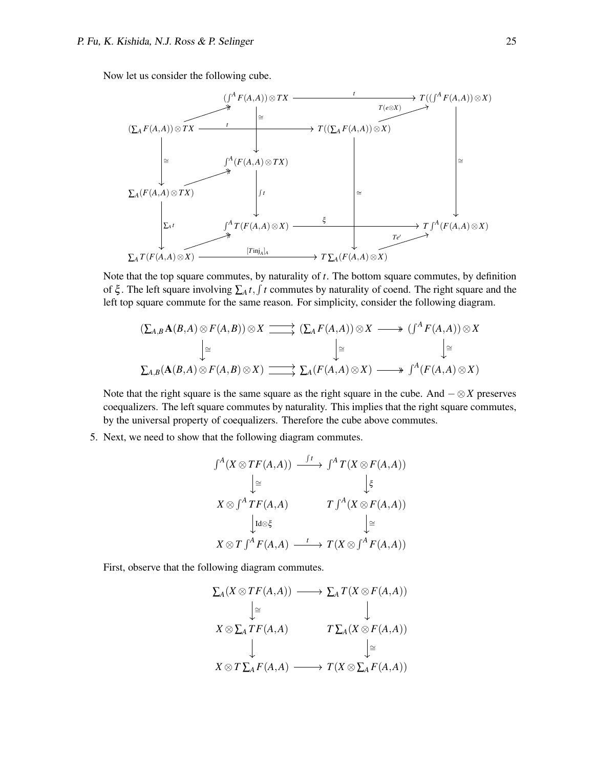Now let us consider the following cube.



Note that the top square commutes, by naturality of *t*. The bottom square commutes, by definition of  $\xi$ . The left square involving  $\sum_A t, \int t$  commutes by naturality of coend. The right square and the left top square commute for the same reason. For simplicity, consider the following diagram.

$$
(\sum_{A,B} \mathbf{A}(B,A) \otimes F(A,B)) \otimes X \longrightarrow (\sum_{A} F(A,A)) \otimes X \longrightarrow (f^A F(A,A)) \otimes X
$$
  
\n
$$
\downarrow \cong \qquad \qquad \downarrow \cong \qquad \qquad \downarrow \cong
$$
  
\n
$$
\sum_{A,B} (\mathbf{A}(B,A) \otimes F(A,B) \otimes X) \longrightarrow \sum_{A} (F(A,A) \otimes X) \longrightarrow f^A (F(A,A) \otimes X)
$$

Note that the right square is the same square as the right square in the cube. And − ⊗*X* preserves coequalizers. The left square commutes by naturality. This implies that the right square commutes, by the universal property of coequalizers. Therefore the cube above commutes.

5. Next, we need to show that the following diagram commutes.

$$
\int^{A} (X \otimes TF(A, A)) \xrightarrow{\int f} \int^{A} T(X \otimes F(A, A))
$$
\n
$$
\downarrow \cong \qquad \qquad \downarrow \xi
$$
\n
$$
X \otimes \int^{A} TF(A, A) \qquad \qquad T \int^{A} (X \otimes F(A, A))
$$
\n
$$
\downarrow \text{Id} \otimes \xi \qquad \qquad \downarrow \cong
$$
\n
$$
X \otimes T \int^{A} F(A, A) \xrightarrow{\quad t} T(X \otimes \int^{A} F(A, A))
$$

First, observe that the following diagram commutes.

$$
\Sigma_A(X \otimes TF(A, A)) \longrightarrow \Sigma_A T(X \otimes F(A, A))
$$
\n
$$
\downarrow \cong \qquad \qquad \downarrow
$$
\n
$$
X \otimes \Sigma_A TF(A, A) \qquad \qquad T \Sigma_A(X \otimes F(A, A))
$$
\n
$$
\downarrow \qquad \qquad \downarrow
$$
\n
$$
X \otimes T \Sigma_A F(A, A) \longrightarrow T(X \otimes \Sigma_A F(A, A))
$$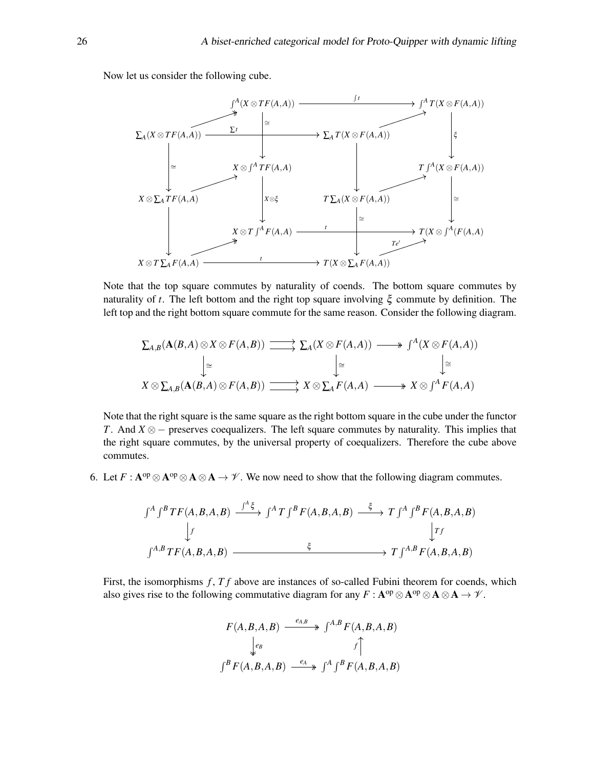Now let us consider the following cube.



Note that the top square commutes by naturality of coends. The bottom square commutes by naturality of *t*. The left bottom and the right top square involving ξ commute by definition. The left top and the right bottom square commute for the same reason. Consider the following diagram.

$$
\sum_{A,B} (\mathbf{A}(B,A) \otimes X \otimes F(A,B)) \xrightarrow{\longrightarrow} \sum_{A} (X \otimes F(A,A)) \xrightarrow{\longrightarrow} \int^{A} (X \otimes F(A,A))
$$
  
\n
$$
\downarrow \cong \qquad \qquad \downarrow \cong \qquad \qquad \downarrow \cong
$$
  
\n
$$
X \otimes \sum_{A,B} (\mathbf{A}(B,A) \otimes F(A,B)) \xrightarrow{\longrightarrow} X \otimes \sum_{A} F(A,A) \xrightarrow{\longrightarrow} X \otimes \int^{A} F(A,A)
$$

Note that the right square is the same square as the right bottom square in the cube under the functor *T*. And *X* ⊗ − preserves coequalizers. The left square commutes by naturality. This implies that the right square commutes, by the universal property of coequalizers. Therefore the cube above commutes.

6. Let  $F: A^{op} \otimes A^{op} \otimes A \otimes A \to \mathcal{V}$ . We now need to show that the following diagram commutes.

$$
\int^{A} \int^{B} TF(A, B, A, B) \xrightarrow{\int^{A} \xi} \int^{A} T \int^{B} F(A, B, A, B) \xrightarrow{\xi} T \int^{A} \int^{B} F(A, B, A, B)
$$
\n
$$
\downarrow f
$$
\n
$$
\int^{A, B} TF(A, B, A, B) \xrightarrow{\xi} T \int^{A, B} F(A, B, A, B)
$$

First, the isomorphisms *f*, *T f* above are instances of so-called Fubini theorem for coends, which also gives rise to the following commutative diagram for any  $F : A^{op} \otimes A^{op} \otimes A \otimes A \to \mathcal{V}$ .

$$
F(A, B, A, B) \xrightarrow{e_{A,B}} \int^{A,B} F(A, B, A, B)
$$
  

$$
\downarrow e_B
$$
  

$$
\int^B F(A, B, A, B) \xrightarrow{e_A} \int^A \int^B F(A, B, A, B)
$$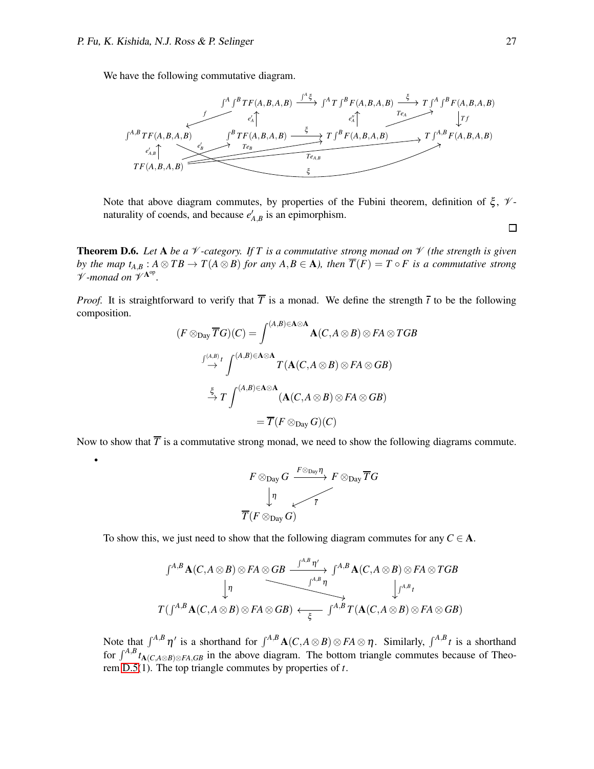•

We have the following commutative diagram.



Note that above diagram commutes, by properties of the Fubini theorem, definition of  $\xi$ ,  $\mathcal{V}$ naturality of coends, and because  $e'_{A,B}$  is an epimorphism.

**Theorem D.6.** Let A be a  $\mathcal V$ -category. If T is a commutative strong monad on  $\mathcal V$  (the strength is given *by the map t*<sub>*A*,*B* :  $A \otimes TB \rightarrow T(A \otimes B)$  *for any A*, $B \in A$ *), then*  $\overline{T}(F) = T \circ F$  *is a commutative strong*</sub> V *-monad on* V A op *.*

*Proof.* It is straightforward to verify that  $\overline{T}$  is a monad. We define the strength  $\overline{t}$  to be the following composition.

$$
(F \otimes_{\text{Day}} \overline{T}G)(C) = \int^{(A,B)\in \mathbf{A}\otimes\mathbf{A}} \mathbf{A}(C, A \otimes B) \otimes FA \otimes TGB
$$

$$
\stackrel{\int^{(A,B)} t}{\to} \int^{(A,B)\in \mathbf{A}\otimes\mathbf{A}} T(\mathbf{A}(C, A \otimes B) \otimes FA \otimes GB)
$$

$$
\stackrel{\xi}{\to} T \int^{(A,B)\in \mathbf{A}\otimes\mathbf{A}} (\mathbf{A}(C, A \otimes B) \otimes FA \otimes GB)
$$

$$
= \overline{T}(F \otimes_{\text{Day}} G)(C)
$$

Now to show that  $\overline{T}$  is a commutative strong monad, we need to show the following diagrams commute.

$$
\begin{array}{ccccc}\nF\otimes_{\operatorname{Day}}G & \xrightarrow{F\otimes_{\operatorname{Day}}\eta} & F\otimes_{\operatorname{Day}}\overline{T}G \\
\downarrow & & \swarrow & \overline{\tau} \\
\overline{T}(F\otimes_{\operatorname{Day}}G) & & & \end{array}
$$

To show this, we just need to show that the following diagram commutes for any  $C \in \mathbf{A}$ .

$$
\begin{array}{ccc}\n\int^{A,B} \mathbf{A}(C, A \otimes B) \otimes FA \otimes GB & \xrightarrow{\int^{A,B} \eta'} & \int^{A,B} \mathbf{A}(C, A \otimes B) \otimes FA \otimes TGB \\
\downarrow \eta & & \downarrow^{A,B} \n\end{array}
$$
\n
$$
T(\int^{A,B} \mathbf{A}(C, A \otimes B) \otimes FA \otimes GB) \leftrightarrow \xleftarrow{\xi} \int^{A,B} T(\mathbf{A}(C, A \otimes B) \otimes FA \otimes GB)
$$

Note that  $\int^{A,B} \eta'$  is a shorthand for  $\int^{A,B} \mathbf{A}(C, A \otimes B) \otimes FA \otimes \eta$ . Similarly,  $\int^{A,B} t$  is a shorthand for  $\int^{A,B} t_{A(C,A\otimes B)\otimes FA,GB}$  in the above diagram. The bottom triangle commutes because of Theorem [D.5\(](#page-21-1)1). The top triangle commutes by properties of *t*.

 $\Box$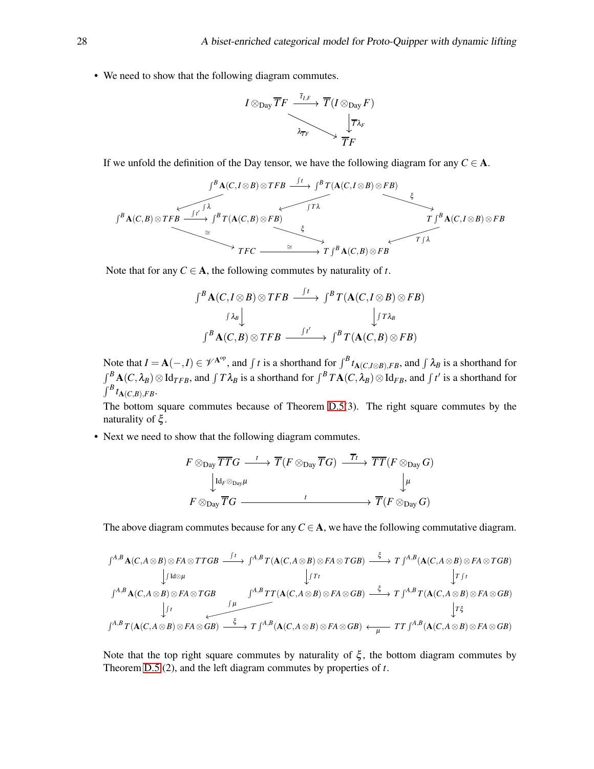• We need to show that the following diagram commutes.

$$
I \otimes_{\text{Day}} \overline{T}F \xrightarrow{\overline{I}_{I,F}} \overline{T}(I \otimes_{\text{Day}} F) \xrightarrow[\overline{T} \lambda_F]{\overline{T} \lambda_F} \longrightarrow \overline{\frac{1}{T} \overline{F}}
$$

If we unfold the definition of the Day tensor, we have the following diagram for any  $C \in \mathbf{A}$ .

$$
\int^{B} \mathbf{A}(C, I \otimes B) \otimes TFB \xrightarrow{\int f} \int^{B} T(\mathbf{A}(C, I \otimes B) \otimes FB) \xrightarrow{\xi} \int^{B} T(\mathbf{A}(C, I \otimes B) \otimes FB) \xrightarrow{\xi} \int^{B} \mathbf{A}(C, B) \otimes TFB \xrightarrow{\cong} \int^{T} \mathbf{A}(C, B) \otimes TFB \xrightarrow{\cong} \int^{T} \int^{B} \mathbf{A}(C, B) \otimes FB
$$

Note that for any  $C \in A$ , the following commutes by naturality of *t*.

$$
\int^B \mathbf{A}(C, I \otimes B) \otimes TFB \xrightarrow{\int t} \int^B T(\mathbf{A}(C, I \otimes B) \otimes FB) \xrightarrow[\int f \lambda_B] \int^B \mathbf{A}(C, B) \otimes TFB \xrightarrow{\int t'} \int^B T(\mathbf{A}(C, B) \otimes FB)
$$

Note that  $I = \mathbf{A}(-, I) \in \mathcal{V}^{\mathbf{A}^{\mathrm{op}}}$ , and  $\int t$  is a shorthand for  $\int^B t_{\mathbf{A}(C, I \otimes B), FB}$ , and  $\int \lambda_B$  is a shorthand for  $\int^B \mathbf{A}(C, \lambda_B) \otimes \mathrm{Id}_{TFB}$ , and  $\int T\lambda_B$  is a shorthand for  $\int^B T\mathbf{A}(C, \lambda_B) \otimes \mathrm{Id}_{FB}$ , and  $\int t'$  is a shorthand for  $\int^B t_{\mathbf{A}(C,B),FB}$ 

The bottom square commutes because of Theorem [D.5\(](#page-21-1)3). The right square commutes by the naturality of ξ .

• Next we need to show that the following diagram commutes.

$$
F \otimes_{\text{Day}} \overline{TT}G \xrightarrow{t} \overline{T}(F \otimes_{\text{Day}} \overline{T}G) \xrightarrow{\overline{T}t} \overline{T}(F \otimes_{\text{Day}} G)
$$

$$
\downarrow^{Id_{F} \otimes_{\text{Day}} \mu} \downarrow^{Id_{F}}
$$

$$
F \otimes_{\text{Day}} \overline{T}G \xrightarrow{t} \overline{T}(F \otimes_{\text{Day}} G)
$$

The above diagram commutes because for any  $C \in \mathbf{A}$ , we have the following commutative diagram.

$$
\int^{A,B} \mathbf{A}(C, A \otimes B) \otimes FA \otimes TTGB \xrightarrow{\int t} \int^{A,B} T(\mathbf{A}(C, A \otimes B) \otimes FA \otimes TGB) \xrightarrow{\xi} T \int^{A,B} (\mathbf{A}(C, A \otimes B) \otimes FA \otimes TGB) \xrightarrow{\int t} \int_{T \upharpoonright t} \int^{A,B} \mathbf{A}(C, A \otimes B) \otimes FA \otimes TGB) \xrightarrow{\int t} \int_{T \upharpoonright t} \int^{A,B} T(\mathbf{A}(C, A \otimes B) \otimes FA \otimes GB) \xrightarrow{\xi} T \int^{A,B} T(\mathbf{A}(C, A \otimes B) \otimes FA \otimes GB) \xrightarrow{\int t} \int_{T \upharpoonright t} \int_{T \upharpoonright t} \int_{T \upharpoonright t} \int_{T \upharpoonright t} \int_{T \upharpoonright t} \int_{T \upharpoonright t} \int_{T \upharpoonright t} \int_{T \upharpoonright t} \int_{T \upharpoonright t} \int_{T \upharpoonright t} \int_{T \upharpoonright t} \int_{T \upharpoonright t} \int_{T \upharpoonright t} \int_{T \upharpoonright t} \int_{T \upharpoonright t} \int_{T \upharpoonright t} \int_{T \upharpoonright t} \int_{T \upharpoonright t} \int_{T \upharpoonright t} \int_{T \upharpoonright t} \int_{T \upharpoonright t} \int_{T \upharpoonright t} \int_{T \upharpoonright t} \int_{T \upharpoonright t} \int_{T \upharpoonright t} \int_{T \upharpoonright t} \int_{T \upharpoonright t} \int_{T \upharpoonright t} \int_{T \upharpoonright t} \int_{T \upharpoonright t} \int_{T \upharpoonright t} \int_{T \upharpoonright t} \int_{T \upharpoonright t} \int_{T \upharpoonright t} \int_{T \upharpoonright t} \int_{T \upharpoonright t} \int_{T \upharpoonright t} \int_{T \upharpoonright t} \int_{T \upharpoonright t} \int_{T \upharpoonright t} \int_{T \upharpoonright t} \int_{T \upharpoonright t} \int_{T \upharpoonright t} \int_{T \upharpoonright t} \int_{T \upharpoonright t} \int_{T \upharpoonright t} \int_{T \upharpoonright
$$

Note that the top right square commutes by naturality of  $\xi$ , the bottom diagram commutes by Theorem [D.5](#page-21-1) (2), and the left diagram commutes by properties of *t*.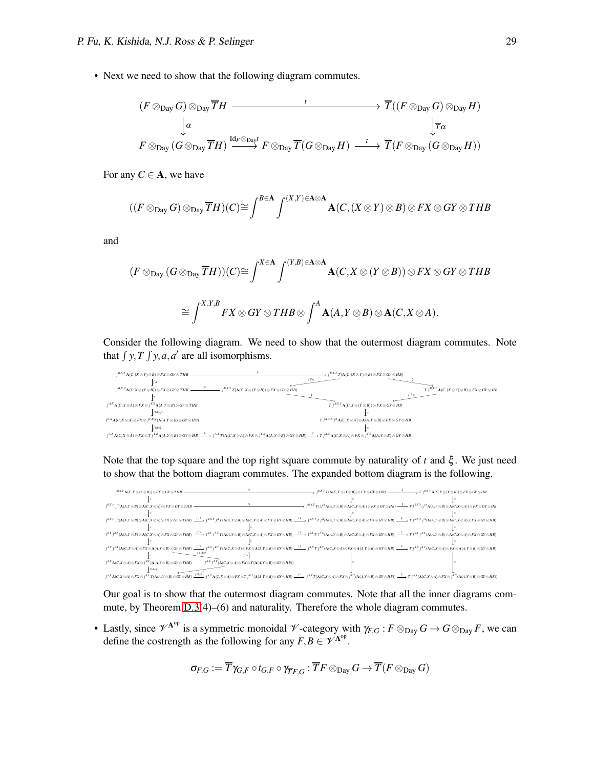• Next we need to show that the following diagram commutes.

$$
(F \otimes_{\text{Day}} G) \otimes_{\text{Day}} \overline{T}H \longrightarrow \overline{T}((F \otimes_{\text{Day}} G) \otimes_{\text{Day}} H)
$$
  
\n
$$
\downarrow \alpha \qquad \qquad \downarrow \overline{T}(\overline{F} \otimes_{\text{Day}} \overline{T}H) \xrightarrow{\mathrm{Id}_F \otimes_{\text{Day}} r} F \otimes_{\text{Day}} \overline{T}(G \otimes_{\text{Day}} H) \longrightarrow \overline{T}(F \otimes_{\text{Day}} (G \otimes_{\text{Day}} H))
$$

For any  $C \in \mathbf{A}$ , we have

$$
((F \otimes_{\text{Day}} G) \otimes_{\text{Day}} \overline{T}H)(C) \cong \int^{B \in \mathbf{A}} \int^{(X,Y) \in \mathbf{A} \otimes \mathbf{A}} \mathbf{A}(C,(X \otimes Y) \otimes B) \otimes FX \otimes GY \otimes THB
$$

and

$$
(F \otimes_{\text{Day}} (G \otimes_{\text{Day}} \overline{T}H))(C) \cong \int^{X \in \mathbf{A}} \int^{(Y,B) \in \mathbf{A} \otimes \mathbf{A}} \mathbf{A}(C, X \otimes (Y \otimes B)) \otimes FX \otimes GY \otimes THB
$$

$$
\cong \int^{X,Y,B} FX \otimes GY \otimes THB \otimes \int^{A} \mathbf{A}(A, Y \otimes B) \otimes \mathbf{A}(C, X \otimes A).
$$

Consider the following diagram. We need to show that the outermost diagram commutes. Note that  $\int y, T \int y, a, a'$  are all isomorphisms.



Note that the top square and the top right square commute by naturality of *t* and ξ . We just need to show that the bottom diagram commutes. The expanded bottom diagram is the following.



Our goal is to show that the outermost diagram commutes. Note that all the inner diagrams commute, by Theorem [D.3\(](#page-19-3)4)–(6) and naturality. Therefore the whole diagram commutes.

• Lastly, since  $\mathscr{V}^{A^{op}}$  is a symmetric monoidal  $\mathscr{V}$ -category with  $\gamma_{F,G}: F \otimes_{Day} G \to G \otimes_{Day} F$ , we can define the costrength as the following for any  $F, B \in \mathscr{V}^{A^{op}}$ .

$$
\sigma_{F,G}:=\overline{T}\gamma_{G,F}\circ t_{G,F}\circ \gamma_{\overline{T}F,G}:\overline{T}F\otimes_{\mathrm{Day}}G\to \overline{T}(F\otimes_{\mathrm{Day}}G)
$$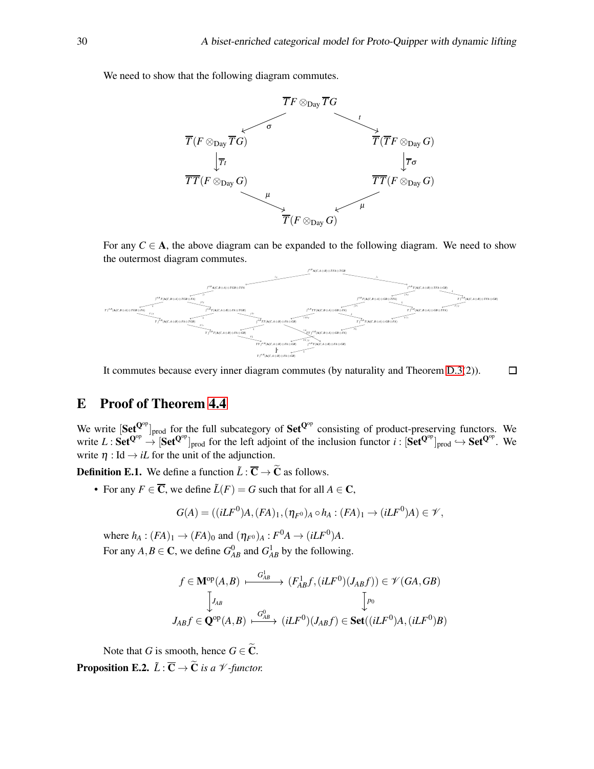We need to show that the following diagram commutes.



For any  $C \in A$ , the above diagram can be expanded to the following diagram. We need to show the outermost diagram commutes.



It commutes because every inner diagram commutes (by naturality and Theorem [D.3\(](#page-19-3)2)).  $\Box$ 

## <span id="page-29-0"></span>E Proof of Theorem [4.4](#page-9-0)

We write  $[Set^{Q^{op}}]_{prod}$  for the full subcategory of  $Set^{Q^{op}}$  consisting of product-preserving functors. We write  $L : \mathbf{Set}^{\mathbf{Q}^{op}} \to [\mathbf{Set}^{\mathbf{Q}^{op}}]_{prod}$  for the left adjoint of the inclusion functor  $i : [\mathbf{Set}^{\mathbf{Q}^{op}}]_{prod} \to \mathbf{Set}^{\mathbf{Q}^{op}}$ . We write  $\eta$  : Id  $\rightarrow$  *iL* for the unit of the adjunction.

**Definition E.1.** We define a function  $\tilde{L}$  :  $\overline{C} \rightarrow \widetilde{C}$  as follows.

• For any  $F \in \overline{C}$ , we define  $\tilde{L}(F) = G$  such that for all  $A \in \mathbb{C}$ ,

$$
G(A) = ((iLF0)A, (FA)1, (\eta_{F0})A \circ hA : (FA)1 \to (iLF0)A) \in \mathcal{V},
$$

where  $h_A : (FA)_1 \rightarrow (FA)_0$  and  $(\eta_{F^0})_A : F^0 A \rightarrow (iLF^0)A$ . For any  $A, B \in \mathbb{C}$ , we define  $G_{AB}^0$  and  $G_{AB}^1$  by the following.

$$
f \in \mathbf{M}^{\mathrm{op}}(A,B) \xrightarrow{\quad G^1_{AB}} (\mathcal{F}^1_{AB}f, (i\mathcal{L}F^0)(J_{AB}f)) \in \mathscr{V}(GA, GB)
$$

$$
\downarrow_{AB} \qquad \qquad \downarrow_{\mathit{P}_0} \qquad \qquad \downarrow_{\mathit{P}_0}
$$

$$
J_{AB}f \in \mathbf{Q}^{\mathrm{op}}(A,B) \xrightarrow{\quad G^0_{AB}} (i\mathcal{L}F^0)(J_{AB}f) \in \mathbf{Set}((i\mathcal{L}F^0)A, (i\mathcal{L}F^0)B)
$$

Note that *G* is smooth, hence  $G \in \widetilde{C}$ .

**Proposition E.2.**  $\tilde{L}$  :  $\overline{C}$   $\rightarrow$   $\tilde{C}$  *is a*  $\mathcal{V}$  *-functor.*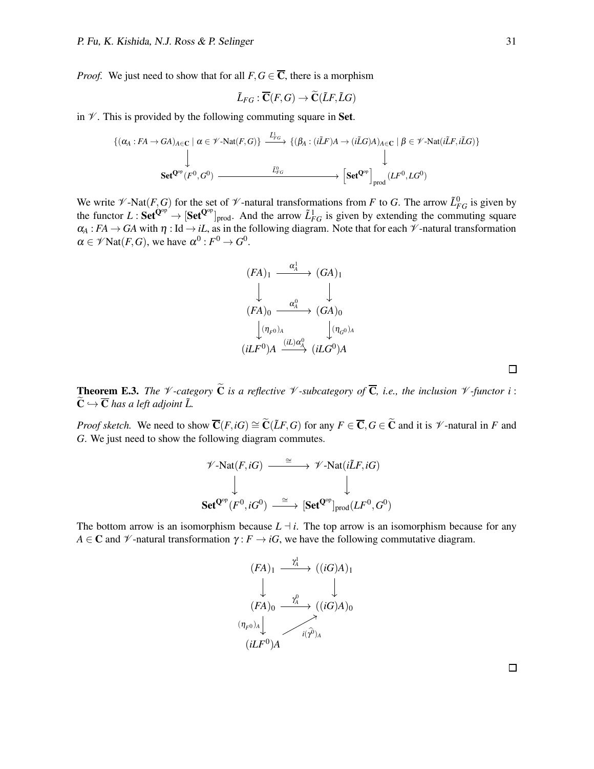*Proof.* We just need to show that for all  $F, G \in \overline{C}$ , there is a morphism

$$
\tilde{L}_{FG}:\overline{\mathbf{C}}(F,G)\rightarrow \widetilde{\mathbf{C}}(\tilde{L}F,\tilde{L}G)
$$

in  $\mathcal V$ . This is provided by the following commuting square in Set.

$$
\{ (\alpha_A : FA \to GA)_{A \in \mathbf{C}} \mid \alpha \in \mathscr{V} \text{-Nat}(F, G) \} \xrightarrow{\tilde{L}_{FG}^{1}} \{ (\beta_A : (i\tilde{L}F)A \to (i\tilde{L}G)A)_{A \in \mathbf{C}} \mid \beta \in \mathscr{V} \text{-Nat}(i\tilde{L}F, i\tilde{L}G) \} \downarrow
$$
\n
$$
\text{Set}^{\mathbf{Q}^{op}}(F^0, G^0) \xrightarrow{\tilde{L}_{FG}^{0}} \text{Set}^{\mathbf{Q}^{op}} \text{erf}(F^0, LG^0)
$$

We write  $\mathcal{V}\text{-}\text{Nat}(F,G)$  for the set of  $\mathcal{V}\text{-}$ natural transformations from *F* to *G*. The arrow  $\tilde{L}_{FG}^0$  is given by the functor  $L : \mathbf{Set}^{\mathbf{Q}^{op}} \to [\mathbf{Set}^{\mathbf{Q}^{op}}]_{prod}$ . And the arrow  $\tilde{L}_{FG}^1$  is given by extending the commuting square  $\alpha_A : FA \to GA$  with  $\eta : Id \to iL$ , as in the following diagram. Note that for each  $\mathcal V$ -natural transformation  $\alpha \in \mathscr{V}\mathrm{Nat}(F,G)$ , we have  $\alpha^0: F^0 \to G^0$ .

$$
(FA)_1 \xrightarrow{\alpha_A^1} (GA)_1
$$
  
\n
$$
(FA)_0 \xrightarrow{\alpha_A^0} (GA)_0
$$
  
\n
$$
(n_{F^0})_A \xrightarrow{(iL)\alpha_A^0} (iLG^0)_A
$$
  
\n
$$
(iLF^0)_A \xrightarrow{(iL)\alpha_A^0} (iLG^0)_A
$$

**Theorem E.3.** *The*  $\mathcal V$ -category  $\widetilde{\mathbf{C}}$  *is a reflective*  $\mathcal V$ -subcategory of  $\overline{\mathbf{C}}$ *, i.e., the inclusion*  $\mathcal V$ -functor *i* :  $\widetilde{\mathbf{C}} \hookrightarrow \overline{\mathbf{C}}$  has a left adjoint  $\widetilde{L}$ .

*Proof sketch.* We need to show  $\overline{C}(F, iG) \cong \widetilde{C}(\widetilde{L}F, G)$  for any  $F \in \overline{C}, G \in \widetilde{C}$  and it is  $\mathcal V$ -natural in *F* and *G*. We just need to show the following diagram commutes.

$$
\mathscr{V}\text{-Nat}(F, iG) \xrightarrow{\cong} \mathscr{V}\text{-Nat}(i\tilde{L}F, iG)
$$
  

$$
\downarrow \qquad \qquad \downarrow
$$
  

$$
\mathbf{Set}^{\mathbf{Q}^{op}}(F^0, iG^0) \xrightarrow{\cong} [\mathbf{Set}^{\mathbf{Q}^{op}}]_{prod}(LF^0, G^0)
$$

The bottom arrow is an isomorphism because  $L \dashv i$ . The top arrow is an isomorphism because for any *A*  $\in$  **C** and  $\mathcal{V}$ -natural transformation  $\gamma$ : *F*  $\rightarrow$  *iG*, we have the following commutative diagram.

$$
(FA)_1 \xrightarrow{\gamma_4^1} ((iG)A)_1
$$
  
\n
$$
\downarrow \qquad \qquad (\downarrow
$$
  
\n
$$
(FA)_0 \xrightarrow{\gamma_0^0} ((iG)A)_0
$$
  
\n
$$
(\eta_{F^0})_A \downarrow \qquad \qquad \downarrow
$$
  
\n
$$
(iLF^0)_A
$$

 $\Box$ 

 $\Box$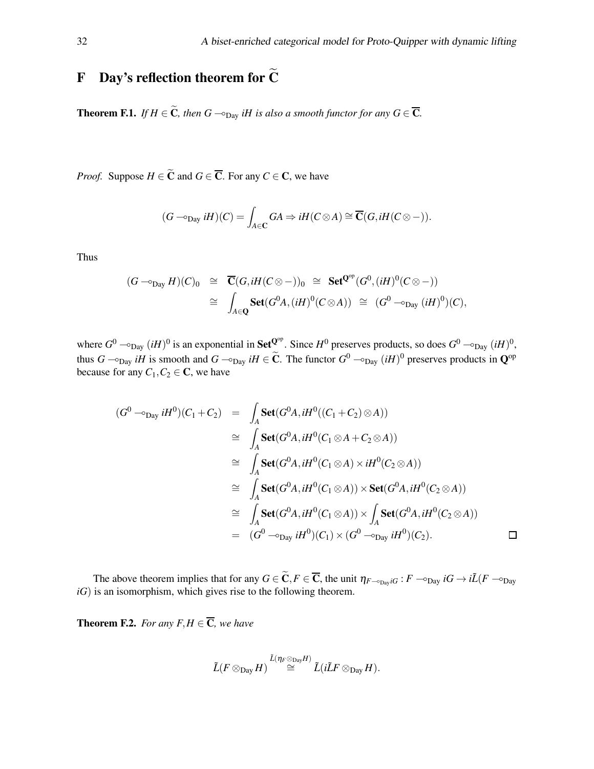## <span id="page-31-0"></span>F Day's reflection theorem for  $\widetilde{C}$

<span id="page-31-1"></span>**Theorem F.1.** *If*  $H \in \widetilde{C}$ *, then*  $G - \varphi_{\text{Day}}$  *iH is also a smooth functor for any*  $G \in \overline{C}$ *.* 

*Proof.* Suppose  $H \in \tilde{C}$  and  $G \in \overline{C}$ . For any  $C \in C$ , we have

$$
(G - \circ_{\text{Day}} iH)(C) = \int_{A \in \mathbf{C}} GA \Rightarrow iH(C \otimes A) \cong \overline{\mathbf{C}}(G, iH(C \otimes -)).
$$

Thus

$$
(G - \circ_{\text{Day}} H)(C)_0 \cong \overline{\mathbf{C}}(G, iH(C \otimes -))_0 \cong \text{Set}^{\mathbf{Q}^{op}}(G^0, (iH)^0(C \otimes -))
$$
  

$$
\cong \int_{A \in \mathbf{Q}} \text{Set}(G^0 A, (iH)^0(C \otimes A)) \cong (G^0 - \circ_{\text{Day}} (iH)^0)(C),
$$

where  $G^0$   $\sim_{\text{Day}} (iH)^0$  is an exponential in Set<sup>Q°</sup>. Since  $H^0$  preserves products, so does  $G^0$   $\sim_{\text{Day}} (iH)^0$ , thus  $G \to_{\text{Day}} iH$  is smooth and  $G \to_{\text{Day}} iH \in \tilde{C}$ . The functor  $G^0 \to_{\text{Day}} (iH)^0$  preserves products in  $\mathbb{Q}^{\text{op}}$ because for any  $C_1, C_2 \in \mathbb{C}$ , we have

$$
(G^{0} \rightarrow_{\text{Day}} iH^{0})(C_{1} + C_{2}) = \int_{A} \text{Set}(G^{0}A, iH^{0}((C_{1} + C_{2}) \otimes A))
$$
  
\n
$$
\cong \int_{A} \text{Set}(G^{0}A, iH^{0}(C_{1} \otimes A + C_{2} \otimes A))
$$
  
\n
$$
\cong \int_{A} \text{Set}(G^{0}A, iH^{0}(C_{1} \otimes A) \times iH^{0}(C_{2} \otimes A))
$$
  
\n
$$
\cong \int_{A} \text{Set}(G^{0}A, iH^{0}(C_{1} \otimes A)) \times \text{Set}(G^{0}A, iH^{0}(C_{2} \otimes A))
$$
  
\n
$$
\cong \int_{A} \text{Set}(G^{0}A, iH^{0}(C_{1} \otimes A)) \times \int_{A} \text{Set}(G^{0}A, iH^{0}(C_{2} \otimes A))
$$
  
\n
$$
= (G^{0} \rightarrow_{\text{Day}} iH^{0})(C_{1}) \times (G^{0} \rightarrow_{\text{Day}} iH^{0})(C_{2}).
$$

The above theorem implies that for any  $G \in \widetilde{C}$ ,  $F \in \overline{C}$ , the unit  $\eta_{F \sim p_{\text{av}}}$ *iG* :  $F \sim p_{\text{av}}$ *iG*  $\rightarrow$  *i* $\widetilde{L}(F \sim p_{\text{av}})$  $iG$ ) is an isomorphism, which gives rise to the following theorem.

<span id="page-31-2"></span>**Theorem F.2.** *For any F,H*  $\in \overline{C}$ *, we have* 

$$
\tilde{L}(F \otimes_{\mathrm{Day}} H) \stackrel{\tilde{L}(\eta_F \otimes_{\mathrm{Day}} H)}{\cong} \tilde{L}(i\tilde{L}F \otimes_{\mathrm{Day}} H).
$$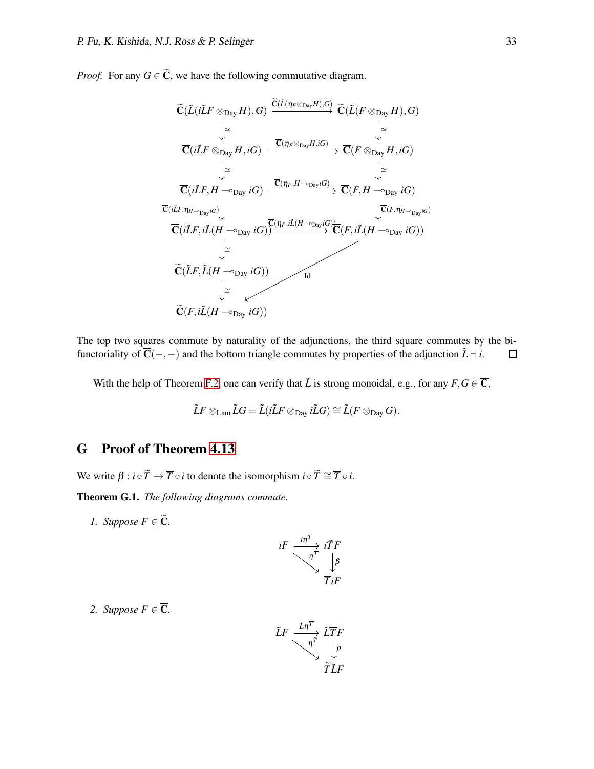*Proof.* For any  $G \in \widetilde{C}$ , we have the following commutative diagram.

$$
\widetilde{C}(\widetilde{L}(i\widetilde{L}F \otimes_{Day} H), G) \xrightarrow{\widetilde{C}(\widetilde{L}(\eta_F \otimes_{Day} H), G)} \widetilde{C}(\widetilde{L}(F \otimes_{Day} H), G)
$$
\n
$$
\downarrow \cong \qquad \qquad \downarrow \cong
$$
\n
$$
\overline{C}(i\widetilde{L}F \otimes_{Day} H, iG) \xrightarrow{\overline{C}(\eta_F \otimes_{Day} H, iG)} \overline{C}(F \otimes_{Day} H, iG)
$$
\n
$$
\downarrow \cong \qquad \qquad \downarrow \cong
$$
\n
$$
\overline{C}(i\widetilde{L}F, H \rightarrow_{Day} iG) \xrightarrow{\overline{C}(\eta_F, H \rightarrow_{Day} iG)} \overline{C}(F, H \rightarrow_{Day} iG)
$$
\n
$$
\overline{C}(i\widetilde{L}F, i\widetilde{L}(H \rightarrow_{Day} iG) \overline{\widetilde{C}(\eta_F, i\widetilde{L}(H \rightarrow_{Day} iG))} \xrightarrow{\overline{C}(F, i\widetilde{L}(H \rightarrow_{Day} iG))}
$$
\n
$$
\downarrow \cong
$$
\n
$$
\widetilde{C}(\widetilde{L}F, \widetilde{L}(H \rightarrow_{Day} iG)) \xrightarrow{\qquad \qquad \downarrow \qquad \qquad \downarrow \qquad \downarrow \qquad \downarrow \qquad \downarrow \qquad \downarrow \qquad \downarrow \qquad \downarrow \qquad \downarrow \qquad \downarrow \qquad \downarrow \qquad \downarrow \qquad \downarrow \qquad \downarrow \qquad \downarrow \qquad \downarrow \qquad \downarrow \qquad \downarrow \qquad \downarrow \qquad \downarrow \qquad \downarrow \qquad \downarrow \qquad \downarrow \qquad \downarrow \qquad \downarrow \qquad \downarrow \qquad \downarrow \qquad \downarrow \qquad \downarrow \qquad \downarrow \qquad \downarrow \qquad \downarrow \qquad \downarrow \qquad \downarrow \qquad \downarrow \qquad \downarrow \qquad \downarrow \qquad \downarrow \qquad \downarrow \qquad \downarrow \qquad \downarrow \qquad \downarrow \qquad \downarrow \qquad \downarrow \qquad \downarrow \qquad \downarrow \qquad \downarrow \qquad \downarrow \qquad \downarrow \qquad \downarrow \qquad \down
$$

The top two squares commute by naturality of the adjunctions, the third square commutes by the bifunctoriality of  $\overline{C}(-,-)$  and the bottom triangle commutes by properties of the adjunction  $\tilde{L} \dashv i$ .  $\Box$ 

With the help of Theorem [F.2,](#page-31-2) one can verify that  $\tilde{L}$  is strong monoidal, e.g., for any  $F, G \in \overline{C}$ ,

$$
\tilde{L}F\otimes_{\mathrm{Lam}}\tilde{L}G=\tilde{L}(i\tilde{L}F\otimes_{\mathrm{Day}}i\tilde{L}G)\cong\tilde{L}(F\otimes_{\mathrm{Day}}G).
$$

## <span id="page-32-0"></span>G Proof of Theorem [4.13](#page-10-1)

We write  $\beta : i \circ \widetilde{T} \to \overline{T} \circ i$  to denote the isomorphism  $i \circ \widetilde{T} \cong \overline{T} \circ i$ .

<span id="page-32-1"></span>Theorem G.1. *The following diagrams commute.*

*1. Suppose*  $F \in \widetilde{C}$ *.* 

$$
iF \xrightarrow{\text{inf}} \frac{\text{inf}}{\text{inf}}
$$

$$
\text{inf}}
$$

$$
\text{inf}
$$

$$
\text{inf}
$$

2. Suppose  $F \in \overline{\mathbb{C}}$ *.* 

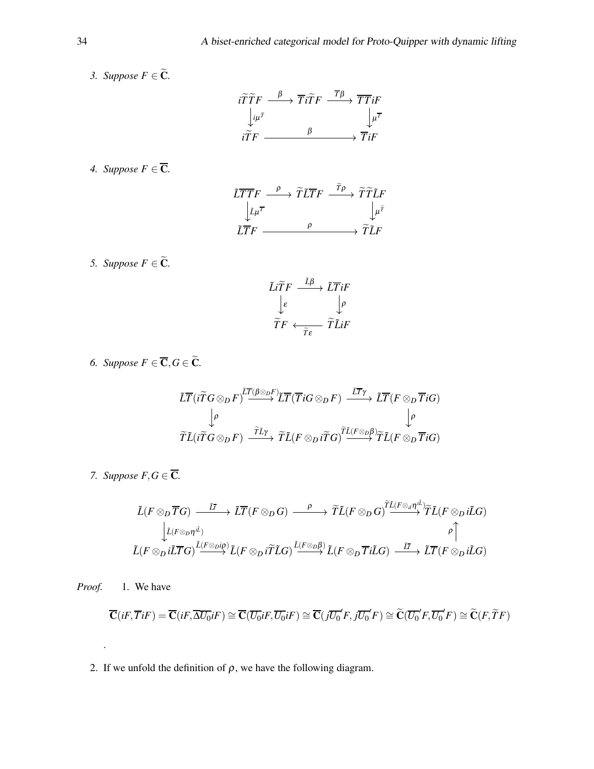*3. Suppose*  $F \in \widetilde{C}$ *.* 

$$
\begin{array}{ccc}\n i\widetilde{T}\widetilde{T}F & \xrightarrow{\beta} & \overline{T}i\widetilde{T}F & \xrightarrow{\overline{T}\beta} & \overline{T}\overline{T}iF \\
\downarrow\mu^{\widetilde{T}} & & \downarrow\mu^{\overline{T}} \\
i\widetilde{T}F & \xrightarrow{\beta} & \overline{T}iF\n\end{array}
$$

*4. Suppose*  $F \in \overline{\mathbf{C}}$ *.* 

$$
\begin{array}{ccc}\n\widetilde{L} \overline{T} \overline{T} F & \xrightarrow{\rho} & \widetilde{T} \widetilde{L} \overline{T} F & \xrightarrow{\Gamma \rho} & \widetilde{T} \widetilde{T} \widetilde{L} F \\
\downarrow \widetilde{\mu}^{\overline{\tau}} & & \downarrow \mu^{\overline{\tau}} \\
\widetilde{L} \overline{T} F & \xrightarrow{\rho} & & \widetilde{T} \widetilde{L} F\n\end{array}
$$

*5. Suppose*  $F \in \widetilde{C}$ *.* 

$$
\begin{array}{ccc}\n\tilde{L}\tilde{T}F & \xrightarrow{\tilde{L}\beta} & \tilde{L}\overline{T}iF \\
\downarrow\varepsilon & & \downarrow\rho \\
\tilde{T}F & \xleftarrow{\tilde{T}\varepsilon} & \tilde{T}\tilde{L}iF\n\end{array}
$$

*6. Suppose*  $F \in \overline{C}, G \in \widetilde{C}$ *.* 

$$
\begin{array}{ccc}\n\widetilde{L}\overline{T}(i\widetilde{T}G\otimes_{D}F)^{\overline{LT}(\beta\otimes_{D}F)}\widetilde{L}\overline{T}(\overline{T}iG\otimes_{D}F)&\xrightarrow{\overline{LT}\gamma}&\widetilde{L}\overline{T}(F\otimes_{D}\overline{T}iG)\\
&\downarrow\rho&&\downarrow\rho\\
\widetilde{T}\widetilde{L}(i\widetilde{T}G\otimes_{D}F)&\xrightarrow{\widetilde TL\gamma}&\widetilde TL(F\otimes_{D}i\widetilde{T}G)^{\widetilde TL(F\otimes_{D}\beta)}\widetilde TL(F\otimes_{D}\overline{T}iG)\n\end{array}
$$

*7. Suppose*  $F, G \in \overline{\mathbb{C}}$ *.* 

$$
\begin{array}{ccc}\tilde{L}(F\otimes_{D}\overline{T}G)&\stackrel{\tilde{L}\bar{I}}{\longrightarrow}&\tilde{L}\overline{T}(F\otimes_{D}G)&\stackrel{\rho}{\longrightarrow}&\widetilde{T}\tilde{L}(F\otimes_{D}G)^{\widetilde{T}\tilde{L}(F\otimes_{d}\eta^{i\tilde{L}})}\widetilde{T}\tilde{L}(F\otimes_{D}i\tilde{L}G)\\ &\stackrel{\bigcup\limits_{L(F\otimes_{D}\eta^{L})}}{\downarrow}L(F\otimes_{D}i\tilde{L}\overline{T}G)\stackrel{\tilde{L}(F\otimes_{D}\eta^{D})}{\longrightarrow}\tilde{L}(F\otimes_{D}i\tilde{T}\tilde{L}G)\stackrel{\tilde{L}\bar{L}\otimes_{D}\beta)}{\longrightarrow}L(F\otimes_{D}\overline{T}i\tilde{L}G)\stackrel{\tilde{L}\bar{I}}{\longrightarrow}&\tilde{L}\overline{T}(F\otimes_{D}i\tilde{L}G)\end{array}
$$

*Proof.* 1. We have

.

$$
\overline{\mathbf{C}}(iF,\overline{T}iF)=\overline{\mathbf{C}}(iF,\overline{\Delta U_0}iF)\cong \overline{\mathbf{C}}(\overline{U_0}iF,\overline{U_0}iF)\cong \overline{\mathbf{C}}(j\overline{U_0}'F,j\overline{U_0}'F)\cong \widetilde{\mathbf{C}}(\overline{U_0}'F,\overline{U_0}'F)\cong \widetilde{\mathbf{C}}(F,\widetilde{T}F)
$$

2. If we unfold the definition of  $\rho$ , we have the following diagram.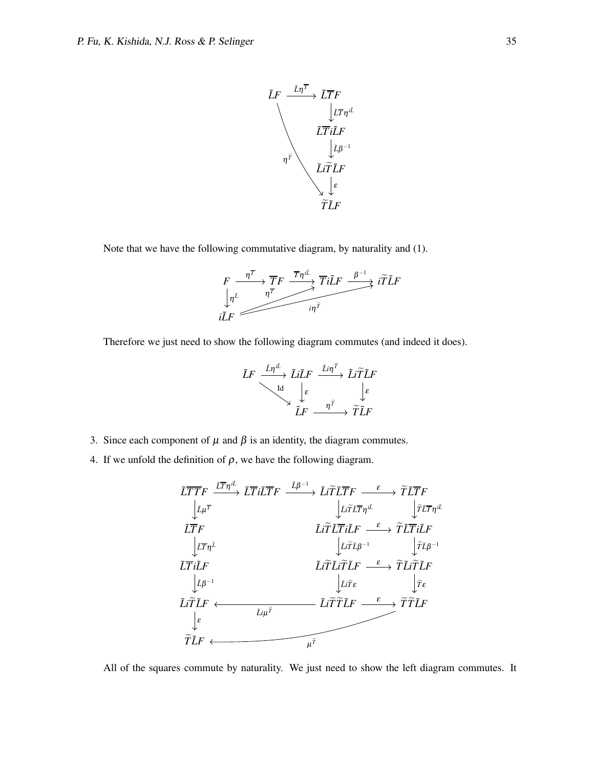

Note that we have the following commutative diagram, by naturality and (1).



Therefore we just need to show the following diagram commutes (and indeed it does).

$$
\begin{array}{ccc}\n \tilde{L}F & \xrightarrow{\tilde{L}\eta^{i\tilde{L}}}& \tilde{L}i\tilde{L}F & \xrightarrow{\tilde{L}i\eta^{\tilde{T}}} & \tilde{L}i\widetilde{T}\tilde{L}F \\
 & \searrow & \downarrow \varepsilon & \downarrow \varepsilon \\
 & \xrightarrow{\mathrm{Id}}& \downarrow \varepsilon & \eta^{\tilde{T}} & \downarrow \tilde{T}\tilde{L}F\n\end{array}
$$

- 3. Since each component of  $\mu$  and  $\beta$  is an identity, the diagram commutes.
- 4. If we unfold the definition of  $\rho$ , we have the following diagram.

$$
\begin{array}{ccc}\n\widetilde{L}\overline{T}\overline{T}F & \xrightarrow{\tilde{L}\overline{T}}\tilde{\iota}\widetilde{T}F & \xrightarrow{\tilde{L}\beta^{-1}} \tilde{L}\tilde{\iota}\widetilde{T}\tilde{L}\overline{T}F & \xrightarrow{\varepsilon} \tilde{T}\tilde{L}\overline{T}F \\
&\downarrow \tilde{\iota}\mu^{\overline{\tau}} & \downarrow \tilde{\iota}\tilde{\iota}\tilde{\iota}\tilde{\iota}\overline{T}\eta^{\underline{\iota}\underline{\iota}} & \downarrow \tilde{\iota}\tilde{\iota}\overline{\iota}\overline{T}\eta^{\underline{\iota}\underline{\iota}} \\
\downarrow \tilde{\iota}\overline{\tau}\overline{\tau}\mu^{\underline{\iota}} & \downarrow \tilde{\iota}\tilde{\iota}\tilde{\iota}\overline{\iota}\overline{\iota}\overline{\tau}\mu^{\underline{\iota}\underline{\iota}} & \downarrow \tilde{\iota}\tilde{\iota}\overline{\iota}\overline{\iota}\overline{\tau}\mu^{\underline{\iota}} \\
\downarrow \tilde{\iota}\overline{\tau}\eta^{\underline{\iota}} & \downarrow \tilde{\iota}\tilde{\iota}\tilde{\iota}\overline{\iota}\mu^{\underline{\iota}} & \downarrow \tilde{\iota}\tilde{\iota}\tilde{\iota}\overline{\iota}\overline{\iota}\mu^{\underline{\iota}} \\
\downarrow \tilde{\iota}\overline{\rho}^{-1} & \downarrow \tilde{\iota}\tilde{\iota}\overline{\iota}\mu^{\overline{\iota}} & \downarrow \tilde{\iota}\tilde{\iota}\overline{\iota}\mu^{\overline{\iota}} \\
\downarrow \tilde{\iota}\tilde{\iota}\overline{\tilde{\iota}}\mu^{\overline{\iota}} & \downarrow \tilde{\iota}\tilde{\iota}\overline{\tilde{\iota}}\mu^{\overline{\iota}} & \downarrow \tilde{\iota}\tilde{\iota}\overline{\tilde{\iota}}\mu^{\overline{\iota}} \\
\downarrow \tilde{\iota}\tilde{\iota}\overline{\tilde{\iota}}\mu^{\overline{\iota}} & \downarrow \tilde{\iota}\tilde{\iota}\tilde{\iota}\overline{\tilde{\iota}}\mu^{\overline{\iota}} & \downarrow \tilde{\iota}\tilde{\iota}\
$$

All of the squares commute by naturality. We just need to show the left diagram commutes. It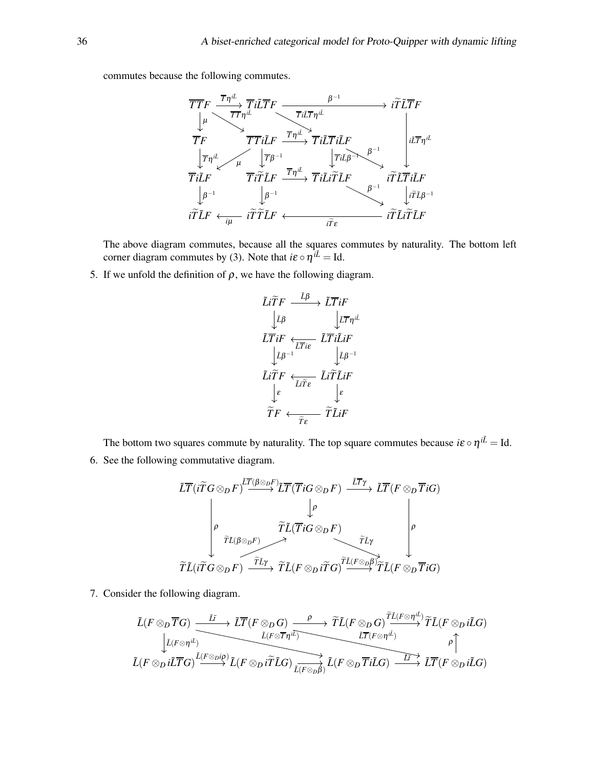commutes because the following commutes.

$$
\begin{array}{ccc}\n\overline T\overline T F & \overline T\eta^{i\bar{L}} & \overline T i\bar{L}\overline T F & \xrightarrow{\beta^{-1}} & \overline i\widetilde T\bar{L}\overline T F \\
\downarrow^{\mu} & \xrightarrow{\overline T}\overline T i\tilde{L}F & \xrightarrow{\overline T} i\bar{L}\overline T \eta^{i\bar{L}} & \xrightarrow{\overline T}\overline i\bar{L}\overline T i\tilde{L}F \\
\downarrow^{\overline T}\eta^{i\bar{L}} & \downarrow^{\overline T}\overline T i\tilde{L}F & \xrightarrow{\overline T}\eta^{i\bar{L}} & \downarrow^{\overline T}\overline i\tilde{L}\overline T i\tilde{L}F \\
\downarrow^{\overline T}\eta^{i\bar{L}} & \xrightarrow{\overline T}\tilde i\widetilde T\tilde LF & \xrightarrow{\overline T}\eta^{i\bar{L}} & \overline T i\tilde{L}i\widetilde T\tilde LF & \xrightarrow{\overline T}\tilde i\tilde L\overline T i\tilde LF \\
\downarrow^{\beta^{-1}} & \downarrow^{\beta^{-1}} & \xrightarrow{\overline T}\tilde i\tilde L\tilde T & \xrightarrow{\overline T}\tilde f & \xrightarrow{\overline T}\tilde f\tilde L\overline T i\tilde LF \\
\downarrow^{\beta^{-1}} & \downarrow^{\overline T}\tilde LF & \xrightarrow{\overline T}\tilde T\tilde LF & \xrightarrow{\overline T}\tilde f\tilde L\overline T i\tilde LF & \xrightarrow{\overline T}\tilde f\tilde L\tilde T\tilde LF\n\end{array}
$$

The above diagram commutes, because all the squares commutes by naturality. The bottom left corner diagram commutes by (3). Note that  $i\epsilon \circ \eta^{i\tilde{L}} = Id$ .

5. If we unfold the definition of  $\rho$ , we have the following diagram.

$$
\begin{array}{ccc}\n\tilde{L}\tilde{T}F & \xrightarrow{\tilde{L}\beta} & \tilde{L}\overline{T}iF \\
\downarrow \tilde{L}\beta & & \downarrow \tilde{L}\overline{T}\eta^{i\tilde{L}} \\
\downarrow \tilde{L}\beta & & \downarrow \tilde{L}\overline{T}\eta^{i\tilde{L}} \\
\downarrow \tilde{L}\beta^{-1} & & \downarrow \tilde{L}\beta^{-1} \\
\tilde{L}\tilde{T}F & \xleftarrow{\tilde{L}\tilde{T}\tilde{\epsilon}} & \tilde{L}\tilde{i}\tilde{T}\tilde{L}iF \\
\downarrow \varepsilon & & \downarrow \varepsilon \\
\widetilde{T}F & \xleftarrow{\tilde{T}\tilde{\epsilon}} & \tilde{T}\tilde{L}iF\n\end{array}
$$

The bottom two squares commute by naturality. The top square commutes because  $i\epsilon \circ \eta^{i\tilde{L}} =$  Id. 6. See the following commutative diagram.

$$
\begin{array}{ccc}\n\widetilde{LT}(i\widetilde{T}G\otimes_{D}F)^{\overline{LT}(\beta\otimes_{D}F)}\widetilde{LT}(\overline{T}iG\otimes_{D}F) & \xrightarrow{\overline{LT}\gamma}& \widetilde{LT}(F\otimes_{D}\overline{T}iG) \\
& & \downarrow\rho & & \uparrow & & \downarrow\rho & & \downarrow\rho \\
& & \widetilde{TL}(\overline{T}iG\otimes_{D}F) & \xrightarrow{\widetilde{TL}\gamma}& \widetilde{TL}\gamma & & \downarrow\rho \\
& & \widetilde{TL}(i\widetilde{T}G\otimes_{D}F) & \xrightarrow{\widetilde{TL}\gamma}& \widetilde{TL}(F\otimes_{D}i\widetilde{T}G)^{\overline{TL}(\overline{F}\otimes_{D}\beta)}\widetilde{TL}(F\otimes_{D}\overline{T}iG)\n\end{array}
$$

7. Consider the following diagram.

$$
\begin{array}{ccc}\tilde{L}(F\otimes_D \overline{T}G) & \xrightarrow{\tilde{L}I} & \tilde{L}\overline{T}(F\otimes_D G) & \xrightarrow{\rho} & \tilde{T}\tilde{L}(F\otimes_D G) & \tilde{T}\tilde{L}(F\otimes_H \iota^{\tilde{L}})\\ & \xrightarrow{\tilde{L}(F\otimes_H \iota^{\tilde{L}})} & \xrightarrow{\tilde{L}(F\otimes \overline{T}\eta^{\tilde{L}})} & \xrightarrow{\tilde{L}\overline{T}(F\otimes_H \iota^{\tilde{L}})} & \rho\\ \tilde{L}(F\otimes_D i\tilde{L}\overline{T}G) & \xrightarrow{\tilde{L}(F\otimes_D i\tilde{L}} & \tilde{L}(F\otimes_D i\tilde{T} \iota^{\tilde{L}}G) & \xrightarrow{\tilde{L}\overline{T}(F\otimes_D \iota^{\tilde{L}})} & \rho\\ \end{array}
$$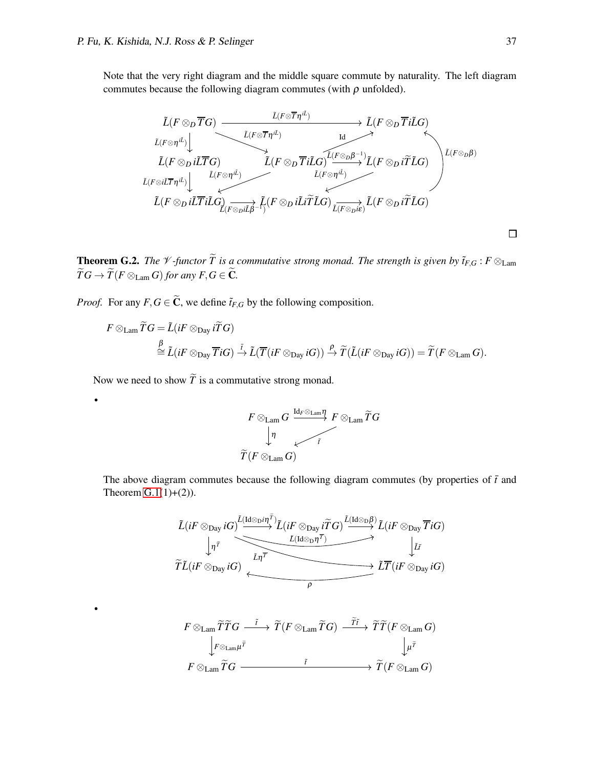Note that the very right diagram and the middle square commute by naturality. The left diagram commutes because the following diagram commutes (with  $\rho$  unfolded).



**Theorem G.2.** *The*  $\mathcal V$ -functor  $\widetilde{T}$  is a commutative strong monad. The strength is given by  $\tilde{t}_{F,G}$ :  $F \otimes_{\text{Lam}}$  $\widetilde{T}G \rightarrow \widetilde{T}(F \otimes_{\text{Lam}} G)$  *for any*  $F, G \in \widetilde{C}$ *.* 

*Proof.* For any  $F, G \in \widetilde{\mathbb{C}}$ , we define  $\widetilde{t}_{F,G}$  by the following composition.

$$
F \otimes_{\text{Lam}} \widetilde{T}G = \widetilde{L}(iF \otimes_{\text{Day}} i\widetilde{T}G) \n\stackrel{\beta}{\simeq} \widetilde{L}(iF \otimes_{\text{Day}} \overline{T}iG) \stackrel{\overline{t}}{\rightarrow} \widetilde{L}(\overline{T}(iF \otimes_{\text{Day}} iG)) \stackrel{\rho}{\rightarrow} \widetilde{T}(\widetilde{L}(iF \otimes_{\text{Day}} iG)) = \widetilde{T}(F \otimes_{\text{Lam}} G).
$$

Now we need to show  $\widetilde{T}$  is a commutative strong monad.

•

•

$$
\begin{array}{ccc}\nF \otimes_{\text{Lam}} G & \xrightarrow{\text{Id}_F \otimes_{\text{Lam}} \eta} F \otimes_{\text{Lam}} \widetilde{T}G \\
\downarrow & & \uparrow & \\
\widetilde{T}(F \otimes_{\text{Lam}} G) & & & \n\end{array}
$$

The above diagram commutes because the following diagram commutes (by properties of  $\bar{t}$  and Theorem  $G(1(1)+(2))$ .

$$
\begin{array}{ccc}\n\tilde{L}(iF \otimes_{\text{Day}} iG) & \xrightarrow{\tilde{L}(Id \otimes_{\text{D}} i\eta^{\overline{T}})} \tilde{L}(iF \otimes_{\text{Day}} i\widetilde{T}G) & \xrightarrow{\tilde{L}(Id \otimes_{\text{D}} \beta)} \tilde{L}(iF \otimes_{\text{Day}} \overline{T}iG) \\
& & \xrightarrow{\tilde{L}} \tilde{L}(Id \otimes_{\text{D}} \eta^{\overline{T}}) & \xrightarrow{\tilde{L}} \tilde{L} \\
\tilde{T}\tilde{L}(iF \otimes_{\text{Day}} iG) & \xrightarrow{\tilde{L}} \tilde{T}(iF \otimes_{\text{Day}} iG)\n\end{array}
$$

$$
F \otimes_{\text{Lam}} \widetilde{T}\widetilde{T}G \xrightarrow{\tilde{f}} \widetilde{T}(F \otimes_{\text{Lam}} \widetilde{T}G) \xrightarrow{\tilde{T}\tilde{f}} \widetilde{T}(\overline{F} \otimes_{\text{Lam}} G)
$$
  

$$
\downarrow_{F \otimes_{\text{Lam}} \widetilde{T}G} \xrightarrow{\tilde{f}} \downarrow_{\mu} \widetilde{T}
$$
  

$$
F \otimes_{\text{Lam}} \widetilde{T}G \xrightarrow{\tilde{f}} \widetilde{T}(\overline{F} \otimes_{\text{Lam}} G)
$$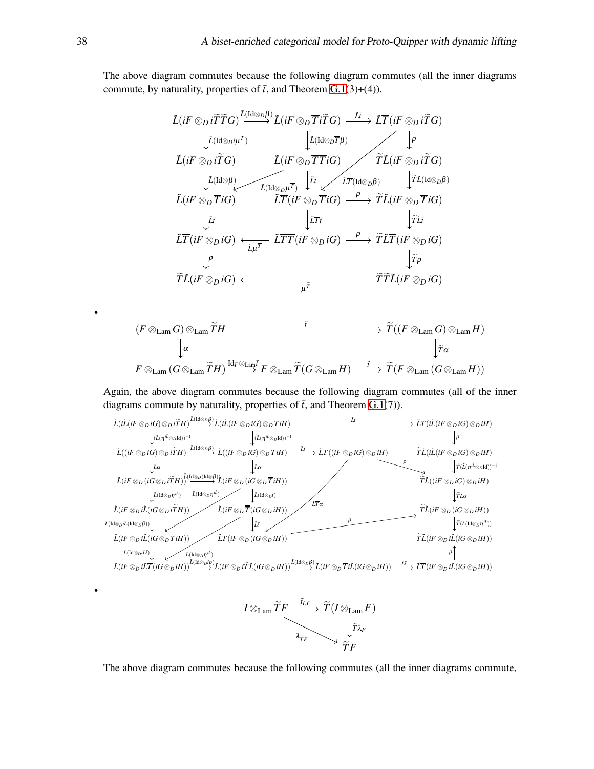The above diagram commutes because the following diagram commutes (all the inner diagrams commute, by naturality, properties of  $\bar{t}$ , and Theorem [G.1\(](#page-32-1)3)+(4)).

$$
\tilde{L}(iF \otimes_D i\tilde{T}\tilde{T}G) \xrightarrow{\tilde{L}(Id \otimes_D \beta)} \tilde{L}(iF \otimes_D \overline{T}i\tilde{T}G) \xrightarrow{\tilde{L}\tilde{T}} (iF \otimes_D i\tilde{T}G)
$$
\n
$$
\downarrow \tilde{L}(Id \otimes_D i\tilde{T}) \qquad \qquad \downarrow \tilde{L}(Id \otimes_D \overline{T}\beta) \qquad \qquad \downarrow \tilde{P}
$$
\n
$$
\tilde{L}(iF \otimes_D i\tilde{T}G) \qquad \tilde{L}(iF \otimes_D \overline{T}\tilde{T}iG) \qquad \qquad \tilde{T}\tilde{L}(iF \otimes_D i\tilde{T}G)
$$
\n
$$
\downarrow \tilde{L}(Id \otimes \beta) \qquad \qquad \tilde{L}(Id \otimes_D \overline{T}iG) \qquad \qquad \tilde{L}\tilde{T}(Id \otimes_D \beta) \qquad \qquad \downarrow \tilde{T}\tilde{L}(Id \otimes_D \beta)
$$
\n
$$
\tilde{L}(iF \otimes_D \overline{T}iG) \qquad \qquad \tilde{L}\overline{T}(iF \otimes_D \overline{T}iG) \qquad \qquad \downarrow \tilde{T}\tilde{T} \qquad \qquad \downarrow \tilde{T}\tilde{L}
$$
\n
$$
\tilde{L}\overline{T}(iF \otimes_D iG) \leftrightarrow \qquad \qquad \tilde{L}\overline{T}\overline{T}(iF \otimes_D iG) \xrightarrow{\rho} \tilde{T}\tilde{L}\overline{T}(iF \otimes_D iG)
$$
\n
$$
\downarrow \rho \qquad \qquad \downarrow \tilde{T}\tilde{T}
$$
\n
$$
\tilde{T}\tilde{L}(iF \otimes_D iG) \leftrightarrow \qquad \qquad \downarrow \tilde{T}\tilde{T} \qquad \qquad \downarrow \tilde{T}\tilde{T}\tilde{L}(iF \otimes_D iG)
$$
\n
$$
\downarrow \tilde{T}\tilde{T} \qquad \qquad \downarrow \tilde{T}\tilde{T}\tilde{L}(iF \otimes_D iG)
$$

$$
(F \otimes_{\text{Lam}} G) \otimes_{\text{Lam}} \widetilde{T}H \longrightarrow \widetilde{T}((F \otimes_{\text{Lam}} G) \otimes_{\text{Lam}} H)
$$
  
\n
$$
\downarrow \alpha \qquad \qquad \downarrow \widetilde{T}(\widetilde{T} \otimes_{\text{Lam}} \widetilde{T}H) \xrightarrow{\mathrm{Id}_{F} \otimes_{\text{Lam}} \widetilde{T}} F \otimes_{\text{Lam}} \widetilde{T}(G \otimes_{\text{Lam}} H) \longrightarrow \widetilde{T}(F \otimes_{\text{Lam}} (G \otimes_{\text{Lam}} H))
$$

Again, the above diagram commutes because the following diagram commutes (all of the inner diagrams commute by naturality, properties of  $\bar{t}$ , and Theorem [G.1\(](#page-32-1)7)).





The above diagram commutes because the following commutes (all the inner diagrams commute,

•

•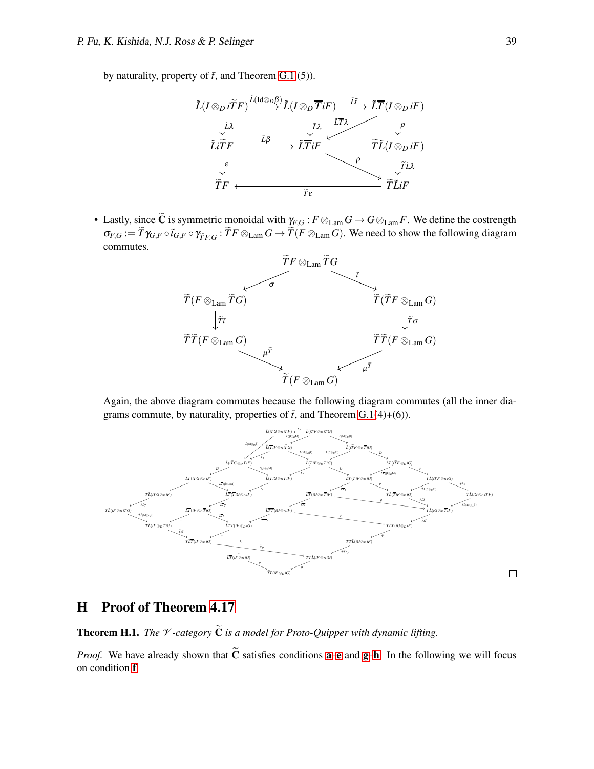by naturality, property of  $\bar{t}$ , and Theorem [G.1](#page-32-1) (5)).



• Lastly, since  $\tilde{C}$  is symmetric monoidal with  $\gamma_{F,G}: F \otimes_{\text{Lam}} G \to G \otimes_{\text{Lam}} F$ . We define the costrength  $\sigma_{F,G} := \overline{T} \gamma_{G,F} \circ \tilde{t}_{G,F} \circ \gamma_{\widetilde{T}F,G} : \overline{T}F \otimes_{\text{Lam}} G \to \overline{T}(F \otimes_{\text{Lam}} G)$ . We need to show the following diagram commutes.



Again, the above diagram commutes because the following diagram commutes (all the inner diagrams commute, by naturality, properties of  $\bar{t}$ , and Theorem [G.1\(](#page-32-1)4)+(6)).



## <span id="page-38-0"></span>H Proof of Theorem [4.17](#page-11-1)

**Theorem H.1.** *The*  $\mathcal V$ -category  $\widetilde{\mathbf{C}}$  *is a model for Proto-Ouipper with dynamic lifting.* 

*Proof.* We h[a](#page-3-1)v[e](#page-4-4) already s[h](#page-4-3)own that  $\tilde{C}$  satisfies conditions **a–e** and **[g](#page-4-1)–h**. In the following we will focus on condition [f](#page-4-2).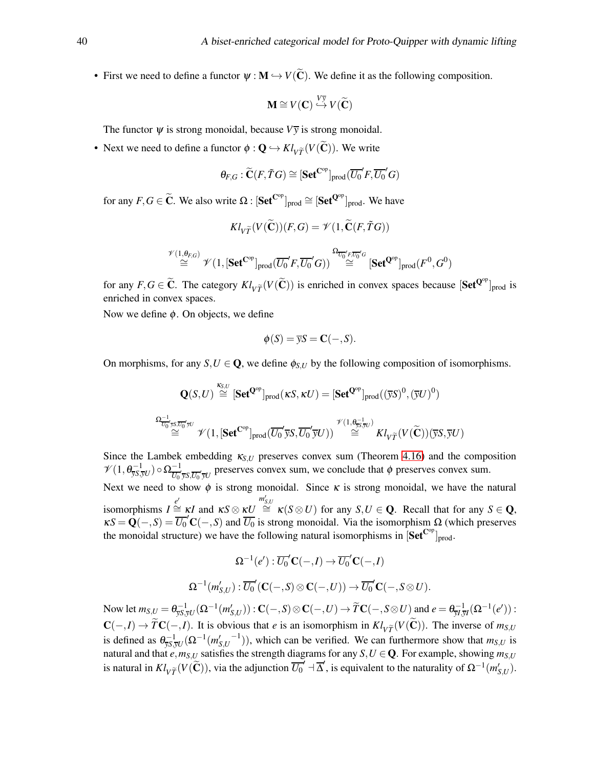• First we need to define a functor  $\psi : M \hookrightarrow V(\widetilde{C})$ . We define it as the following composition.

$$
\mathbf{M} \cong V(\mathbf{C}) \stackrel{V_{\overline{y}}}{\hookrightarrow} V(\widetilde{\mathbf{C}})
$$

The functor  $\Psi$  is strong monoidal, because  $V\bar{v}$  is strong monoidal.

• Next we need to define a functor  $\phi : \mathbf{Q} \hookrightarrow Kl_{V\widetilde{T}}(V(\widetilde{\mathbf{C}}))$ . We write

$$
\theta_{F,G}: \widetilde{\mathbf{C}}(F,\widetilde{T}G) \cong [\mathbf{Set}^{\mathbf{C}^{op}}]_{prod}(\overline{U_0}'F,\overline{U_0}'G)
$$

for any  $F, G \in \widetilde{\mathbf{C}}$ . We also write  $\Omega : [\textbf{Set}^{\mathbf{C}^{op}}]_{\text{prod}} \cong [\textbf{Set}^{\mathbf{Q}^{op}}]_{\text{prod}}$ . We have

$$
Kl_{V\widetilde{T}}(V(\widetilde{\mathbf{C}}))(F,G) = \mathscr{V}(1,\widetilde{\mathbf{C}}(F,\widetilde{T}G))
$$

$$
\stackrel{\mathscr{V}(1,\theta_{F,G})}{\cong}\mathscr{V}(1,[\mathbf{Set}^{\mathbf{C}^{\mathrm{op}}}]_{\mathrm{prod}}(\overline{U_0}'F,\overline{U_0}'G))\stackrel{\Omega_{\overline{U_0}'F,\overline{U_0}'G}}{\cong}[\mathbf{Set}^{\mathbf{Q}^{\mathrm{op}}}]_{\mathrm{prod}}(F^0,G^0)
$$

for any  $F, G \in \widetilde{C}$ . The category  $Kl_{V\widetilde{T}}(V(\widetilde{C}))$  is enriched in convex spaces because  $[\textbf{Set}^{\mathbf{Q}^{op}}]_{prod}$  is enriched in convex spaces.

Now we define  $\phi$ . On objects, we define

$$
\phi(S) = \overline{y}S = \mathbf{C}(-,S).
$$

On morphisms, for any  $S, U \in \mathbf{Q}$ , we define  $\phi_{S,U}$  by the following composition of isomorphisms.

$$
\mathbf{Q}(S,U) \stackrel{\kappa_{S,U}}{\cong} [\mathbf{Set}^{\mathbf{Q}^{op}}]_{\text{prod}}(\kappa S, \kappa U) = [\mathbf{Set}^{\mathbf{Q}^{op}}]_{\text{prod}}((\overline{y}S)^0, (\overline{y}U)^0)
$$
  

$$
\stackrel{\Omega_{\overline{U_0}^{\perp} \mathcal{TS}, \overline{U_0}^{\perp} \mathcal{F}U}}{\cong} \mathcal{V}(1, [\mathbf{Set}^{\mathbf{C}^{op}}]_{\text{prod}}(\overline{U_0}^{\prime} \overline{y}S, \overline{U_0}^{\prime} \overline{y}U)) \stackrel{\mathcal{V}(1, \theta_{\overline{y}S, \overline{y}U})}{\cong} Kl_{V\widetilde{T}}(V(\widetilde{C}))(\overline{y}S, \overline{y}U)
$$

Since the Lambek embedding  $\kappa_{S,U}$  preserves convex sum (Theorem [4.16\)](#page-11-2) and the composition  $\mathscr{V}(1,\theta_{\overline{yS},\overline{yU}}^{-1})\circ\Omega_{\overline{U_0}}^{-1}$  $\frac{-1}{U_0 \overline{y} S, \overline{U_0} \overline{y} U}$  preserves convex sum, we conclude that  $\phi$  preserves convex sum.

Next we need to show  $\phi$  is strong monoidal. Since  $\kappa$  is strong monoidal, we have the natural  $\sum_{i=1}^{n} P_i \leq \sum_{i=1}^{n} P_i = \sum_{i=1}^{n} P_i$  and  $\kappa S \otimes \kappa U \cong \kappa(S \otimes U)$  for any  $S, U \in \mathbf{Q}$ . Recall that for any  $S \in \mathbf{Q}$ ,  $\kappa S = \mathbf{Q}(-, S) = \overline{U_0}' \mathbf{C}(-, S)$  and  $\overline{U_0}$  is strong monoidal. Via the isomorphism  $\Omega$  (which preserves

the monoidal structure) we have the following natural isomorphisms in 
$$
[\textbf{Set}^{\text{C}^{op}}]_{\text{prod}}
$$
. 
$$
\Omega^{-1}(e'): \overline{U_0}'\mathbf{C}(-,I) \to \overline{U_0}'\mathbf{C}(-,I)
$$

$$
\Omega^{-1}(m'_{S,U}): \overline{U_0}'(\mathbf{C}(-,S) \otimes \mathbf{C}(-,U)) \to \overline{U_0}'\mathbf{C}(-,S \otimes U).
$$

Now let  $m_{S,U} = \theta_{\overline{y}S,\overline{y}U}^{-1}(\Omega^{-1}(m_{S,U}')) : \mathbf{C}(-,S) \otimes \mathbf{C}(-,U) \to \widetilde{T}\mathbf{C}(-,S \otimes U)$  and  $e = \theta_{\overline{y}I,\overline{y}I}^{-1}(\Omega^{-1}(e'))$ :  $\mathbf{C}(-,I) \to \widetilde{T}\mathbf{C}(-,I)$ . It is obvious that *e* is an isomorphism in  $Kl_{V\widetilde{T}}(V(\widetilde{C}))$ . The inverse of  $m_{S,U}$ is defined as  $\theta_{\overline{yS},\overline{yU}}^{-1}(\Omega^{-1}(m'_{S,U}))$  $(1 - 1)$ ), which can be verified. We can furthermore show that  $m_{S,U}$  is natural and that  $e, m_{S,U}$  satisfies the strength diagrams for any  $S, U \in \mathbf{Q}$ . For example, showing  $m_{S,U}$ is natural in  $Kl_V\widetilde{T}(V(\widetilde{C}))$ , via the adjunction  $\overline{U_0}' \dashv \overline{\Delta}'$ , is equivalent to the naturality of  $\Omega^{-1}(m'_{S,U})$ .